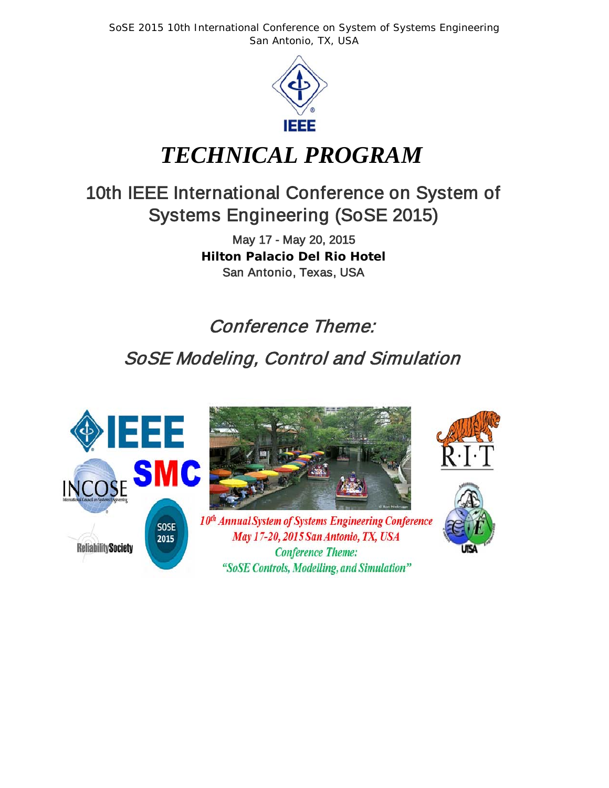

# *TECHNICAL PROGRAM*

# 10th IEEE International Conference on System of Systems Engineering (SoSE 2015)

San Antonio, Texas, USA May 17 - May 20, 2015 **Hilton Palacio Del Rio Hotel**

SoSE Modeling, Control and Simulation Conference Theme:





10th Annual System of Systems Engineering Conference May 17-20, 2015 San Antonio, TX, USA **Conference Theme:** "SoSE Controls, Modelling, and Simulation"



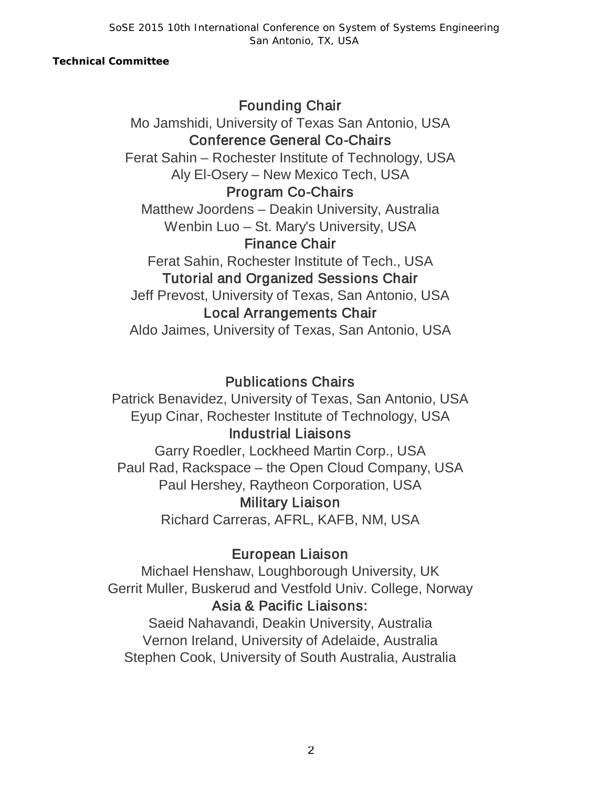**Technical Committee**

# Founding Chair

Mo Jamshidi, University of Texas San Antonio, USA Conference General Co-Chairs

Ferat Sahin – Rochester Institute of Technology, USA Aly El-Osery – New Mexico Tech, USA

# Program Co-Chairs

Matthew Joordens – Deakin University, Australia Wenbin Luo – St. Mary's University, USA

# Finance Chair

Ferat Sahin, Rochester Institute of Tech., USA Tutorial and Organized Sessions Chair Jeff Prevost, University of Texas, San Antonio, USA Local Arrangements Chair

Aldo Jaimes, University of Texas, San Antonio, USA

# Publications Chairs

Patrick Benavidez, University of Texas, San Antonio, USA Eyup Cinar, Rochester Institute of Technology, USA

# Industrial Liaisons

Garry Roedler, Lockheed Martin Corp., USA Paul Rad, Rackspace – the Open Cloud Company, USA Paul Hershey, Raytheon Corporation, USA Military Liaison

Richard Carreras, AFRL, KAFB, NM, USA

# European Liaison

Michael Henshaw, Loughborough University, UK Gerrit Muller, Buskerud and Vestfold Univ. College, Norway

# Asia & Pacific Liaisons:

Saeid Nahavandi, Deakin University, Australia Vernon Ireland, University of Adelaide, Australia Stephen Cook, University of South Australia, Australia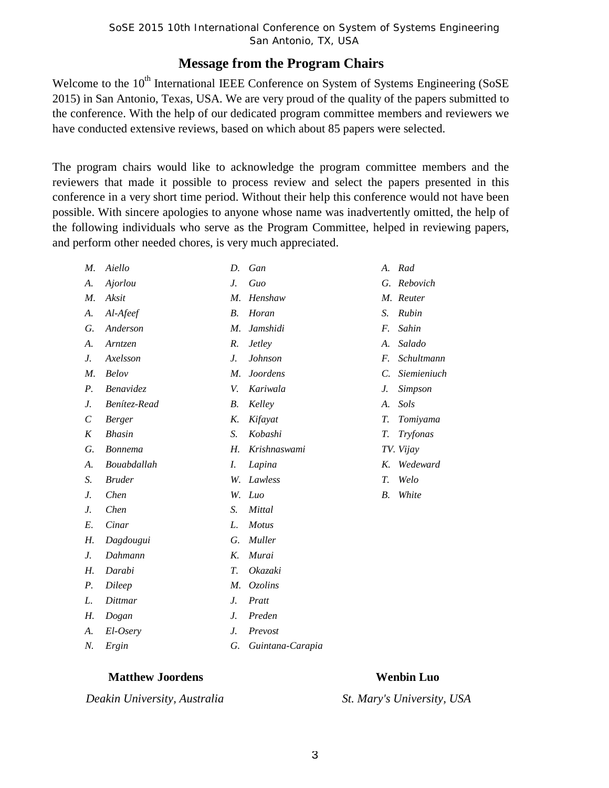# **Message from the Program Chairs**

Welcome to the 10<sup>th</sup> International IEEE Conference on System of Systems Engineering (SoSE 2015) in San Antonio, Texas, USA. We are very proud of the quality of the papers submitted to the conference. With the help of our dedicated program committee members and reviewers we have conducted extensive reviews, based on which about 85 papers were selected.

The program chairs would like to acknowledge the program committee members and the reviewers that made it possible to process review and select the papers presented in this conference in a very short time period. Without their help this conference would not have been possible. With sincere apologies to anyone whose name was inadvertently omitted, the help of the following individuals who serve as the Program Committee, helped in reviewing papers, and perform other needed chores, is very much appreciated.

| $M_{\cdot}$  | Aiello                  | D.          | Gan              | А.    | Rad         |
|--------------|-------------------------|-------------|------------------|-------|-------------|
| А.           | Ajorlou                 | J.          | Guo              | G.    | Rebovich    |
| M.           | Aksit                   | М.          | Henshaw          |       | M. Reuter   |
| A.           | $\it Al\mbox{-} A feet$ | В.          | Horan            | S.    | Rubin       |
| G.           | Anderson                | M.          | Jamshidi         | F.    | Sahin       |
| А.           | <b>Arntzen</b>          | R.          | <b>Jetley</b>    | А.    | Salado      |
| J.           | Axelsson                | $J_{\cdot}$ | Johnson          | F.    | Schultmann  |
| $M_{\cdot}$  | Belov                   | M.          | <b>Joordens</b>  | C.    | Siemieniuch |
| P.           | Benavidez               | V.          | Kariwala         | J.    | Simpson     |
| J.           | Benítez-Read            | <i>B</i> .  | Kelley           | A.    | Sols        |
| $\mathcal C$ | <b>Berger</b>           | K.          | Kifayat          | T.    | Tomiyama    |
| K            | <b>Bhasin</b>           | S.          | Kobashi          | Т.    | Tryfonas    |
| G.           | <b>Bonnema</b>          | Н.          | Krishnaswami     |       | TV. Vijay   |
| А.           | Bouabdallah             | I.          | Lapina           | K.    | Wedeward    |
| S.           | <b>Bruder</b>           | W.          | Lawless          | T.    | Welo        |
| J.           | Chen                    | W.          | Luo              | $B$ . | White       |
| J.           | Chen                    | S.          | Mittal           |       |             |
| Ε.           | Cinar                   | L.          | <b>Motus</b>     |       |             |
| Н.           | Dagdougui               | G.          | Muller           |       |             |
| J.           | Dahmann                 | K.          | Murai            |       |             |
| Н.           | Darabi                  | Т.          | Okazaki          |       |             |
| Р.           | Dileep                  | M.          | Ozolins          |       |             |
| L.           | Dittmar                 | J.          | Pratt            |       |             |
| Н.           | Dogan                   | J.          | Preden           |       |             |
| А.           | $El-Osery$              | J.          | Prevost          |       |             |
| N.           | Ergin                   | G.          | Guintana-Carapia |       |             |

## **Matthew Joordens**

## **Wenbin Luo**

*Deakin University, Australia St. Mary's University, USA*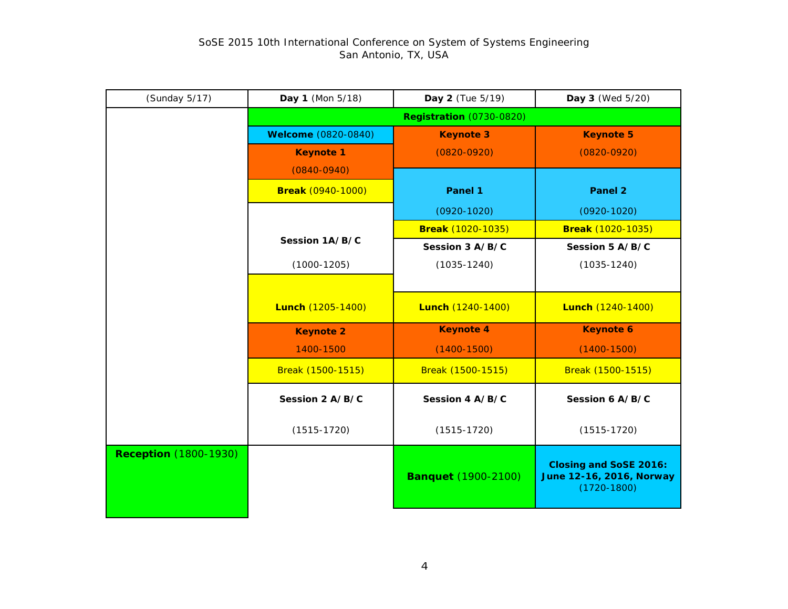| (Sunday 5/17)<br>Day 1 (Mon 5/18) |                            | Day 2 (Tue 5/19)           | Day 3 (Wed 5/20)                                                             |  |  |
|-----------------------------------|----------------------------|----------------------------|------------------------------------------------------------------------------|--|--|
|                                   | Registration (0730-0820)   |                            |                                                                              |  |  |
|                                   | <b>Welcome</b> (0820-0840) | <b>Keynote 3</b>           | <b>Keynote 5</b>                                                             |  |  |
|                                   | <b>Keynote 1</b>           | $(0820 - 0920)$            | $(0820 - 0920)$                                                              |  |  |
|                                   | $(0840 - 0940)$            |                            |                                                                              |  |  |
|                                   | <b>Break (0940-1000)</b>   | Panel 1                    | Panel 2                                                                      |  |  |
|                                   |                            | $(0920 - 1020)$            | $(0920 - 1020)$                                                              |  |  |
|                                   |                            | <b>Break</b> (1020-1035)   | <b>Break (1020-1035)</b>                                                     |  |  |
|                                   | Session 1A/B/C             | Session 3 A/B/C            | Session 5 A/B/C                                                              |  |  |
|                                   | $(1000 - 1205)$            | $(1035 - 1240)$            | $(1035 - 1240)$                                                              |  |  |
|                                   |                            |                            |                                                                              |  |  |
|                                   | Lunch (1205-1400)          | Lunch (1240-1400)          | Lunch (1240-1400)                                                            |  |  |
|                                   | <b>Keynote 2</b>           | <b>Keynote 4</b>           | <b>Keynote 6</b>                                                             |  |  |
|                                   | 1400-1500                  | $(1400 - 1500)$            | $(1400 - 1500)$                                                              |  |  |
|                                   | Break (1500-1515)          | Break (1500-1515)          | Break (1500-1515)                                                            |  |  |
|                                   | Session 2 A/B/C            | Session 4 A/B/C            | Session 6 A/B/C                                                              |  |  |
|                                   | $(1515 - 1720)$            | $(1515 - 1720)$            | $(1515 - 1720)$                                                              |  |  |
| <b>Reception (1800-1930)</b>      |                            | <b>Banquet</b> (1900-2100) | <b>Closing and SoSE 2016:</b><br>June 12-16, 2016, Norway<br>$(1720 - 1800)$ |  |  |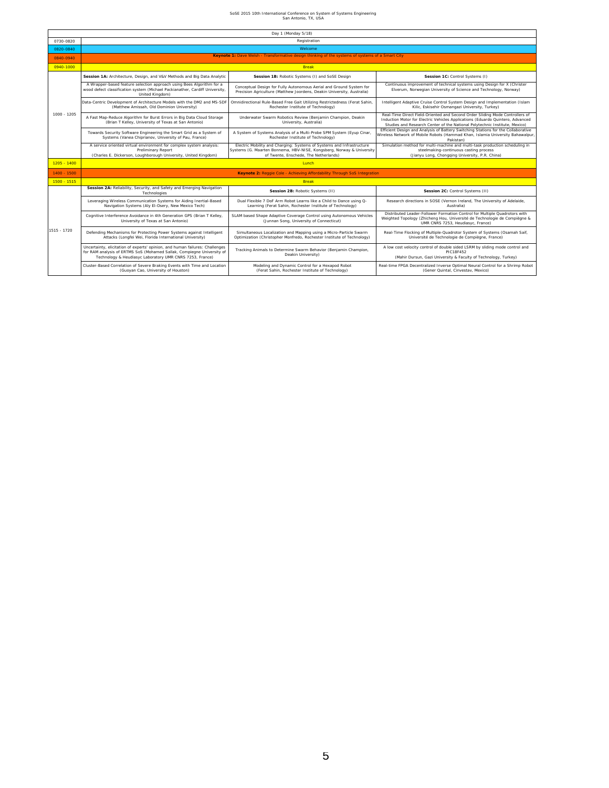| Day 1 (Monday 5/18) |                                                                                                                                                                                                                    |                                                                                                                                                                                         |                                                                                                                                                                                                                                              |  |  |
|---------------------|--------------------------------------------------------------------------------------------------------------------------------------------------------------------------------------------------------------------|-----------------------------------------------------------------------------------------------------------------------------------------------------------------------------------------|----------------------------------------------------------------------------------------------------------------------------------------------------------------------------------------------------------------------------------------------|--|--|
| 0730-0820           | Registration                                                                                                                                                                                                       |                                                                                                                                                                                         |                                                                                                                                                                                                                                              |  |  |
| 0820-0840           | Welcome                                                                                                                                                                                                            |                                                                                                                                                                                         |                                                                                                                                                                                                                                              |  |  |
| 0840-0940           | Keynote 1: Dave Welsh - Transformative design thinking of the systems of systems of a Smart City                                                                                                                   |                                                                                                                                                                                         |                                                                                                                                                                                                                                              |  |  |
| 0940-1000           |                                                                                                                                                                                                                    | <b>Break</b>                                                                                                                                                                            |                                                                                                                                                                                                                                              |  |  |
| 1000 - 1205         | Session 1A: Architecture, Design, and V&V Methods and Big Data Analytic                                                                                                                                            | Session 1B: Robotic Systems (I) and SoSE Design                                                                                                                                         | Session 1C: Control Systems (I)                                                                                                                                                                                                              |  |  |
|                     | A Wrapper-based feature selection approach using Bees Algorithm for a                                                                                                                                              |                                                                                                                                                                                         | Continuous improvement of technical systems using Design for X (Christer                                                                                                                                                                     |  |  |
|                     | wood defect classification system (Michael Packianather, Cardiff University,<br>United Kingdom)                                                                                                                    | Conceptual Design for Fully Autonomous Aerial and Ground System for<br>Precision Agriculture (Matthew Joordens, Deakin University, Australia)                                           | Elverum, Norwegian University of Science and Technology, Norway)                                                                                                                                                                             |  |  |
|                     | Data-Centric Development of Architecture Models with the DM2 and MS-SDF<br>(Matthew Amissah, Old Dominion University)                                                                                              | Omnidirectional Rule-Based Free Gait Utilizing Restrictedness (Ferat Sahin<br>Rochester Institute of Technology)                                                                        | Intelligent Adaptive Cruise Control System Design and Implementation (Islam<br>Kilic, Eskisehir Osmanqazi University, Turkey)                                                                                                                |  |  |
|                     | A Fast Map-Reduce Algorithm for Burst Errors in Big Data Cloud Storage<br>(Brian T Kelley, University of Texas at San Antonio)                                                                                     | Underwater Swarm Robotics Review (Benjamin Champion, Deakin<br>University, Australia)                                                                                                   | Real-Time Direct Field-Oriented and Second Order Sliding Mode Controllers of<br>Induction Motor for Electric Vehicles Applications (Eduardo Quintero, Advanced<br>Studies and Research Center of the National Polytechnic Institute, Mexico) |  |  |
|                     | Towards Security Software Engineering the Smart Grid as a System of<br>Systems (Vanea Chiprianov, University of Pau, France)                                                                                       | A System of Systems Analysis of a Multi-Probe SPM System (Eyup Cinar,<br>Rochester Institute of Technology)                                                                             | Efficient Design and Analysis of Battery Switching Stations for the Collaborative<br>Wireless Network of Mobile Robots (Hammad Khan, Islamia University Bahawalpur,<br>Pakistan)                                                             |  |  |
|                     | A service oriented virtual environment for complex system analysis:<br>Preliminary Report<br>(Charles E. Dickerson, Loughborough University, United Kingdom)                                                       | Electric Mobility and Charging: Systems of Systems and Infrastructure<br>Systems (G. Maarten Bonnema, HBV-NISE, Kongsberg, Norway & University<br>of Twente. Enschede. The Netherlands) | Simulation method for multi-machine and multi-task production scheduling in<br>steelmaking-continuous casting process<br>(Jianyu Long, Chongqing University, P.R. China)                                                                     |  |  |
| $1205 - 1400$       |                                                                                                                                                                                                                    | Lunch                                                                                                                                                                                   |                                                                                                                                                                                                                                              |  |  |
| 1400 - 1500         | Keynote 2: Reggie Cole - Achieving Affordability Through SoS Integration                                                                                                                                           |                                                                                                                                                                                         |                                                                                                                                                                                                                                              |  |  |
| 1500 - 1515         | <b>Break</b>                                                                                                                                                                                                       |                                                                                                                                                                                         |                                                                                                                                                                                                                                              |  |  |
|                     | Session 2A: Reliability, Security, and Safety and Emerging Navigation<br>Technologies                                                                                                                              | Session 2B: Robotic Systems (II)                                                                                                                                                        | Session 2C: Control Systems (II)                                                                                                                                                                                                             |  |  |
| 1515 - 1720         | Leveraging Wireless Communication Systems for Aiding Inertial-Based<br>Navigation Systems (Alv El-Osery, New Mexico Tech)                                                                                          | Dual Flexible 7 DoF Arm Robot Learns like a Child to Dance using Q-<br>Learning (Ferat Sahin, Rochester Institute of Technology)                                                        | Research directions in SOSE (Vernon Ireland, The University of Adelaide,<br>Australia)                                                                                                                                                       |  |  |
|                     | Cognitive Interference Avoidance in 4th Generation GPS (Brian T Kelley,<br>University of Texas at San Antonio)                                                                                                     | SLAM based Shape Adaptive Coverage Control using Autonomous Vehicles<br>(Junnan Song, University of Connecticut)                                                                        | Distributed Leader-Follower Formation Control for Multiple Quadrotors with<br>Weighted Topology (Zhicheng Hou, Université de Technologie de Compiègne &<br>UMR CNRS 7253, Heudiasyc, France)                                                 |  |  |
|                     | Defending Mechanisms for Protecting Power Systems against Intelligent<br>Attacks (Longfei Wei, Florida International University)                                                                                   | Simultaneous Localization and Mapping using a Micro-Particle Swarm<br>Optimization (Christopher Monfredo, Rochester Institute of Technology)                                            | Real-Time Flocking of Multiple-Quadrotor System of Systems (Osamah Saif,<br>Université de Technologie de Compiègne, France)                                                                                                                  |  |  |
|                     | Uncertainty, elicitation of experts' opinion, and human failures: Challenges<br>for RAM analysis of ERTMS SoS (Mohamed Sallak, Compiegne University of<br>Technology & Heudiasyc Laboratory UMR CNRS 7253, France) | Tracking Animals to Determine Swarm Behavior (Benjamin Champion,<br>Deakin University)                                                                                                  | A low cost velocity control of double sided LSRM by sliding mode control and<br>PIC18F452<br>(Mahir Dursun, Gazi University & Faculty of Technology, Turkey)                                                                                 |  |  |
|                     | Cluster-Based Correlation of Severe Braking Events with Time and Location<br>(Guoyan Cao, University of Houston)                                                                                                   | Modeling and Dynamic Control for a Hexapod Robot<br>(Ferat Sahin, Rochester Institute of Technology)                                                                                    | Real-time FPGA Decentralized Inverse Optimal Neural Control for a Shrimp Robot<br>(Gener Quintal, Cinvestav, Mexico)                                                                                                                         |  |  |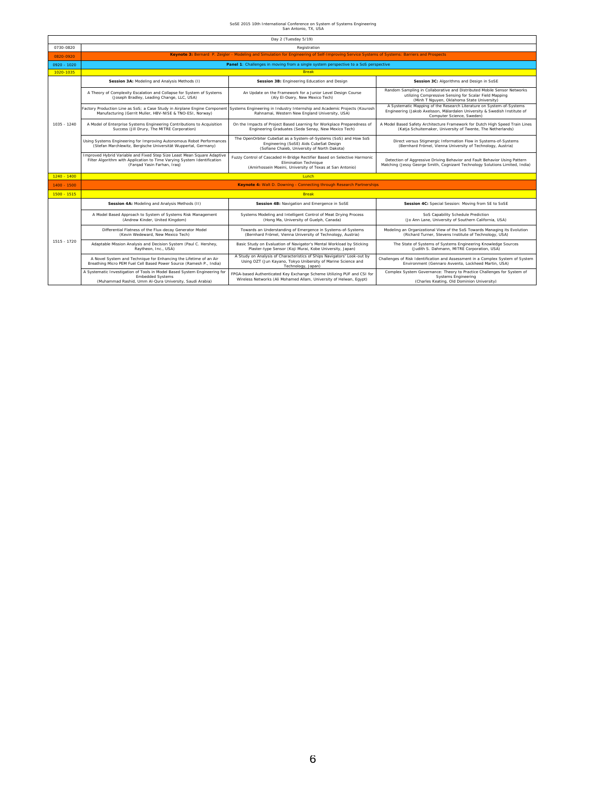| Day 2 (Tuesday 5/19) |                                                                                                                                                                                   |                                                                                                                                                                |                                                                                                                                                                                 |  |
|----------------------|-----------------------------------------------------------------------------------------------------------------------------------------------------------------------------------|----------------------------------------------------------------------------------------------------------------------------------------------------------------|---------------------------------------------------------------------------------------------------------------------------------------------------------------------------------|--|
| 0730-0820            | Registration                                                                                                                                                                      |                                                                                                                                                                |                                                                                                                                                                                 |  |
| 0820-0920            | Keynote 3: Bernard P. Zeigler - Modeling and Simulation for Engineering of Self-Improving Service Systems of Systems: Barriers and Prospects                                      |                                                                                                                                                                |                                                                                                                                                                                 |  |
| 0920 - 1020          |                                                                                                                                                                                   | Panel 1: Challenges in moving from a single system perspective to a SoS perspective                                                                            |                                                                                                                                                                                 |  |
| 1020-1035            | <b>Break</b>                                                                                                                                                                      |                                                                                                                                                                |                                                                                                                                                                                 |  |
| $1035 - 1240$        | Session 3A: Modeling and Analysis Methods (I)                                                                                                                                     | Session 3B: Engineering Education and Design                                                                                                                   | Session 3C: Algorithms and Design in SoSE                                                                                                                                       |  |
|                      | A Theory of Complexity Escalation and Collapse for System of Systems<br>(Joseph Bradley, Leading Change, LLC, USA)                                                                | An Update on the Framework for a Junior Level Design Course<br>(Aly El-Osery, New Mexico Tech)                                                                 | Random Sampling in Collaborative and Distributed Mobile Sensor Networks<br>utilizing Compressive Sensing for Scalar Field Mapping<br>(Minh T Nguyen, Oklahoma State University) |  |
|                      | Factory Production Line as SoS; a Case Study in Airplane Engine Component<br>Manufacturing (Gerrit Muller, HBV-NISE & TNO-ESI, Norway)                                            | Systems Engineering in Industry Internship and Academic Projects (Kourosh<br>Rahnamai. Western New England University. USA)                                    | A Systematic Mapping of the Research Literature on System-of-Systems<br>Engineering (Jakob Axelsson, Mälardalen University & Swedish Institute of<br>Computer Science, Sweden)  |  |
|                      | A Model of Enterprise Systems Engineering Contributions to Acquisition<br>Success (Jill Drury, The MITRE Corporation)                                                             | On the Impacts of Project Based Learning for Workplace Preparedness of<br>Engineering Graduates (Seda Senay, New Mexico Tech)                                  | A Model Based Safety Architecture Framework for Dutch High Speed Train Lines<br>(Katja Schuitemaker, University of Twente, The Netherlands)                                     |  |
|                      | Using Systems Engineering for Improving Autonomous Robot Performances<br>(Stefan Marchlewitz, Bergische Universität Wuppertal, Germany)                                           | The OpenOrbiter CubeSat as a System-of-Systems (SoS) and How SoS<br>Engineering (SoSE) Aids CubeSat Design<br>(Sofiane Chaieb, University of North Dakota)     | Direct versus Stigmergic Information Flow in Systems-of-Systems<br>(Bernhard Frömel, Vienna University of Technology, Austria)                                                  |  |
|                      | Improved Hybrid Variable and Fixed Step Size Least Mean Square Adaptive<br>Filter Algorithm with Application to Time Varying System Identification<br>(Farqad Yasin Farhan, Iraq) | Fuzzy Control of Cascaded H-Bridge Rectifier Based on Selective Harmonic<br>Elimination Technique<br>(Amirhossein Moeini, University of Texas at San Antonio)  | Detection of Aqqressive Driving Behavior and Fault Behavior Using Pattern<br>Matching (Jessy George Smith, Cognizant Technology Solutions Limited, India)                       |  |
| $1240 - 1400$        |                                                                                                                                                                                   | Lunch                                                                                                                                                          |                                                                                                                                                                                 |  |
| 1400 - 1500          | Keynote 4: Walt D. Downing - Connecting through Research Partnerships                                                                                                             |                                                                                                                                                                |                                                                                                                                                                                 |  |
| $1500 - 1515$        | <b>Break</b>                                                                                                                                                                      |                                                                                                                                                                |                                                                                                                                                                                 |  |
|                      | Session 4A: Modeling and Analysis Methods (II)                                                                                                                                    | Session 4B: Navigation and Emergence in SoSE                                                                                                                   | Session 4C: Special Session: Moving from SE to SoSE                                                                                                                             |  |
| 1515 - 1720          | A Model Based Approach to System of Systems Risk Management<br>(Andrew Kinder, United Kingdom)                                                                                    | Systems Modeling and Intelligent Control of Meat Drying Process<br>(Hong Ma, University of Guelph, Canada)                                                     | SoS Capability Schedule Prediction<br>(Jo Ann Lane, University of Southern California, USA)                                                                                     |  |
|                      | Differential Flatness of the Flux-decay Generator Model<br>(Kevin Wedeward, New Mexico Tech)                                                                                      | Towards an Understanding of Emergence in Systems-of-Systems<br>(Bernhard Frömel, Vienna University of Technology, Austria)                                     | Modeling an Organizational View of the SoS Towards Managing its Evolution<br>(Richard Turner, Stevens Institute of Technology, USA)                                             |  |
|                      | Adaptable Mission Analysis and Decision System (Paul C. Hershey,<br>Raytheon, Inc., USA)                                                                                          | Basic Study on Evaluation of Navigator's Mental Workload by Sticking<br>Plaster-type Sensor (Koii Murai, Kobe University, Japan)                               | The State of Systems of Systems Engineering Knowledge Sources<br>(Judith S. Dahmann, MITRE Corporation, USA)                                                                    |  |
|                      | A Novel System and Technique for Enhancing the Lifetime of an Air<br>Breathing Micro PEM Fuel Cell Based Power Source (Ramesh P., India)                                          | A Study on Analysis of Characteristics of Ships Navigators' Look-out by<br>Using OZT (Jun Kayano, Tokyo Unibersity of Marine Science and<br>Technology, Japan) | Challenges of Risk Identification and Assessment in a Complex System of System<br>Environment (Gennaro Avvento, Lockheed Martin, USA)                                           |  |
|                      | A Systematic Investigation of Tools in Model Based System Engineering for<br><b>Embedded Systems</b><br>(Muhammad Rashid, Umm Al-Qura University, Saudi Arabia)                   | FPGA-based Authenticated Key Exchange Scheme Utilizing PUF and CSI for<br>Wireless Networks (Ali Mohamed Allam, University of Helwan, Eqypt)                   | Complex System Governance: Theory to Practice Challenges for System of<br><b>Systems Engineering</b><br>(Charles Keating, Old Dominion University)                              |  |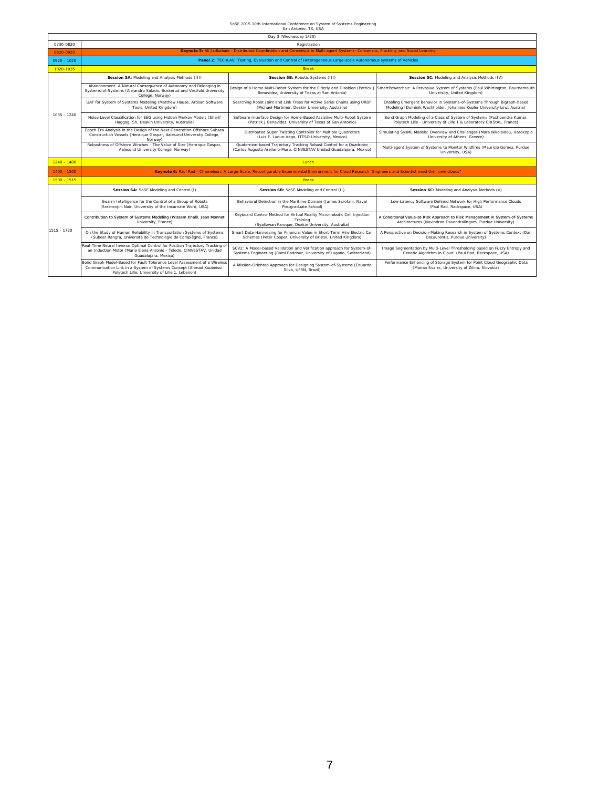| Day 3 (Wednesday 5/20) |                                                                                                                                                                                                     |                                                                                                                                                  |                                                                                                                                                                                          |  |  |
|------------------------|-----------------------------------------------------------------------------------------------------------------------------------------------------------------------------------------------------|--------------------------------------------------------------------------------------------------------------------------------------------------|------------------------------------------------------------------------------------------------------------------------------------------------------------------------------------------|--|--|
| 0730-0820              | Registration                                                                                                                                                                                        |                                                                                                                                                  |                                                                                                                                                                                          |  |  |
| 0820-0920              | Keynote 5: Ali Jadbabaie - Distributed Coordination and Consensus in Multi-agent Systems: Consensus, Flocking, and Social Learning                                                                  |                                                                                                                                                  |                                                                                                                                                                                          |  |  |
| 0920 - 1020            |                                                                                                                                                                                                     | Panel 2: TECHLAV: Testing, Evaluation and Control of Heterogeneous Large-scale Autonomous systems of Vehicles                                    |                                                                                                                                                                                          |  |  |
| 1020-1035              |                                                                                                                                                                                                     | <b>Break</b>                                                                                                                                     |                                                                                                                                                                                          |  |  |
| $1035 - 1240$          | Session 5A: Modeling and Analysis Methods (III)                                                                                                                                                     | Session 5B: Robotic Systems (III)                                                                                                                | Session 5C: Modeling and Analysis Methods (IV)                                                                                                                                           |  |  |
|                        | Abandonment: A Natural Consequence of Autonomy and Belonging in<br>Systems-of-Systems (Alejandro Salado, Buskerud and Vestfold University<br>College, Norway)                                       | Benavidez, University of Texas at San Antonio)                                                                                                   | Design of a Home Multi-Robot System for the Elderly and Disabled (Patrick J SmartPowerchair: A Pervasive System of Systems (Paul Whittington, Bournemouth<br>University, United Kingdom) |  |  |
|                        | UAF for System of Systems Modeling (Matthew Hause, Artisan Software<br>Tools. United Kingdom)                                                                                                       | Searching Robot Joint and Link Trees for Active Serial Chains using URDF<br>(Michael Mortimer, Deakin University, Australia)                     | Enabling Emergent Behavior in Systems-of-Systems Through Bigraph-based<br>Modeling (Dominik Wachholder, Johannes Kepler University Linz, Austria)                                        |  |  |
|                        | Noise Level Classification for EEG using Hidden Markov Models (Sherif<br>Haqqaq, Sh, Deakin University, Australia)                                                                                  | Software Interface Design for Home-Based Assistive Multi-Robot System<br>(Patrick J Benavidez, University of Texas at San Antonio)               | Bond Graph Modeling of a Class of System of Systems (Pushpendra Kumar,<br>Polytech Lille - University of Lille 1 & Laboratory CRIStAL, France)                                           |  |  |
|                        | Epoch Era Analysis in the Design of the Next Generation Offshore Subsea<br>Construction Vessels (Henrique Gaspar, Aalesund University College,<br>Norway)                                           | Distributed Super Twisting Controller for Multiple Quadrotors<br>(Luis F. Lugue-Vega, ITESO University, Mexico)                                  | Simulating SysML Models: Overview and Challenges (Mara Nikolaidou, Harokopio<br>University of Athens. Greece)                                                                            |  |  |
|                        | Robustness of Offshore Winches - The Value of Size (Henrique Gaspar,<br>Aalesund University College, Norway)                                                                                        | Quaternion-based Trajectory Tracking Robust Control for a Quadrotor<br>(Carlos Augusto Arellano-Muro, CINVESTAV Unidad Guadalajara, Mexico)      | Multi-agent System of Systems to Monitor Wildfires (Mauricio Gomez, Purdue<br>University, USA)                                                                                           |  |  |
| $1240 - 1400$          |                                                                                                                                                                                                     | <b>Tunch</b>                                                                                                                                     |                                                                                                                                                                                          |  |  |
| 1400 - 1500            | Keynote 6: Paul Rad - Chameleon: A Large-Scale, Reconfigurable Experimental Environment for Cloud Research *Engineers and Scientist need their own clouds*                                          |                                                                                                                                                  |                                                                                                                                                                                          |  |  |
| $1500 - 1515$          | <b>Break</b>                                                                                                                                                                                        |                                                                                                                                                  |                                                                                                                                                                                          |  |  |
| 1515 - 1720            | Session 6A: SoSE Modeling and Control (I)                                                                                                                                                           | Session 6B: SoSE Modeling and Control (II)                                                                                                       | Session 6C: Modeling and Analysis Methods (V)                                                                                                                                            |  |  |
|                        | Swarm Intelligence for the Control of a Group of Robots<br>(Sreereniini Nair, University of the Incarnate Word, USA)                                                                                | Behavioral Detection in the Maritime Domain (James Scrofani, Naval<br>Postgraduate School)                                                       | Low-Latency Software Defined Network for High Performance Clouds<br>(Paul Rad, Rackspace, USA)                                                                                           |  |  |
|                        | Contribution to System of Systems Modeling (Wissam Khalil, Jean Monnet<br>University, France)                                                                                                       | Keyboard Control Method for Virtual Reality Micro-robotic Cell Injection<br>Training<br>(Syafizwan Faroque, Deakin University, Australia)        | A Conditional Value-at-Risk Approach to Risk Management in System-of-Systems<br>Architectures (Navindran Davendralingam, Purdue University)                                              |  |  |
|                        | On the Study of Human Reliability in Transportation Systems of Systems<br>(Subeer Rangra, Université de Technologie de Compiègne, France)                                                           | Smart Data-Harnessing for Financial Value in Short-Term Hire Electric Car<br>Schemes (Peter Cooper, University of Bristol, United Kingdom)       | A Perspective on Decision-Making Research in System of Systems Context (Dan<br>DeLaurentis, Purdue University)                                                                           |  |  |
|                        | Real-Time Neural Inverse Optimal Control for Position Trajectory Tracking of<br>an Induction Motor (Maria Elena Antonio - Toledo, CINVESTAV, Unidad<br>Guadalajara, Mexico)                         | SCV2: A Model-based Validation and Verification approach for System-of-<br>Systems Engineering (Rami Baddour, University of Lugano, Switzerland) | Image Segmentation by Multi-Level Thresholding based on Fuzzy Entropy and<br>Genetic Algorithm in Cloud (Paul Rad, Rackspace, USA)                                                       |  |  |
|                        | Bond Graph Model-Based for Fault Tolerance Level Assessment of a Wireless<br>Communication Link in a System of Systems Concept (Ahmad Koubeissi,<br>Polytech Lille. University of Lille 1. Lebanon) | A Mission-Oriented Approach for Designing System-of-Systems (Eduardo<br>Silva, UFRN, Brazil)                                                     | Performance Enhancing of Storage System for Point Cloud Geographic Data<br>(Marian Svalec, University of Zilina, Slovakia)                                                               |  |  |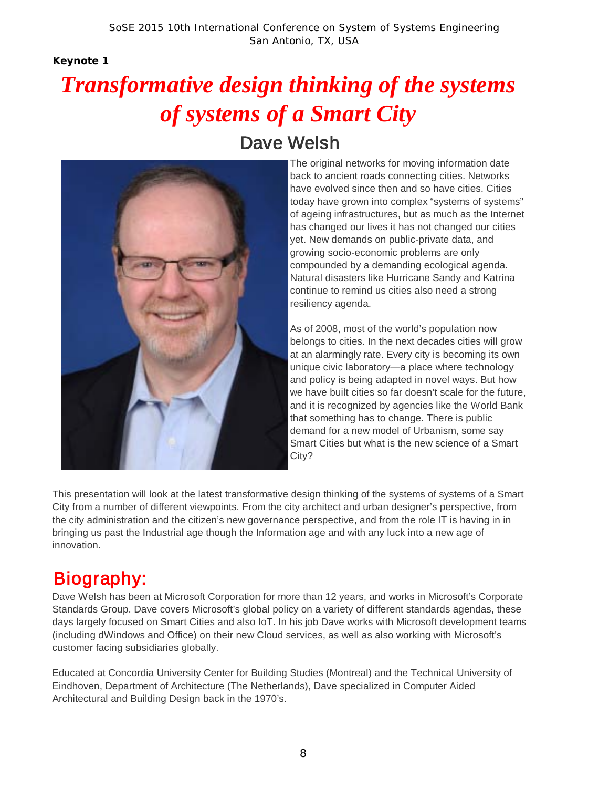# *Transformative design thinking of the systems of systems of a Smart City*



# Dave Welsh

The original networks for moving information date back to ancient roads connecting cities. Networks have evolved since then and so have cities. Cities today have grown into complex "systems of systems" of ageing infrastructures, but as much as the Internet has changed our lives it has not changed our cities yet. New demands on public-private data, and growing socio-economic problems are only compounded by a demanding ecological agenda. Natural disasters like Hurricane Sandy and Katrina continue to remind us cities also need a strong resiliency agenda.

As of 2008, most of the world's population now belongs to cities. In the next decades cities will grow at an alarmingly rate. Every city is becoming its own unique civic laboratory—a place where technology and policy is being adapted in novel ways. But how we have built cities so far doesn't scale for the future, and it is recognized by agencies like the World Bank that something has to change. There is public demand for a new model of Urbanism, some say Smart Cities but what is the new science of a Smart City?

This presentation will look at the latest transformative design thinking of the systems of systems of a Smart City from a number of different viewpoints. From the city architect and urban designer's perspective, from the city administration and the citizen's new governance perspective, and from the role IT is having in in bringing us past the Industrial age though the Information age and with any luck into a new age of innovation.

# Biography:

Dave Welsh has been at Microsoft Corporation for more than 12 years, and works in Microsoft's Corporate Standards Group. Dave covers Microsoft's global policy on a variety of different standards agendas, these days largely focused on Smart Cities and also IoT. In his job Dave works with Microsoft development teams (including dWindows and Office) on their new Cloud services, as well as also working with Microsoft's customer facing subsidiaries globally.

Educated at Concordia University Center for Building Studies (Montreal) and the Technical University of Eindhoven, Department of Architecture (The Netherlands), Dave specialized in Computer Aided Architectural and Building Design back in the 1970's.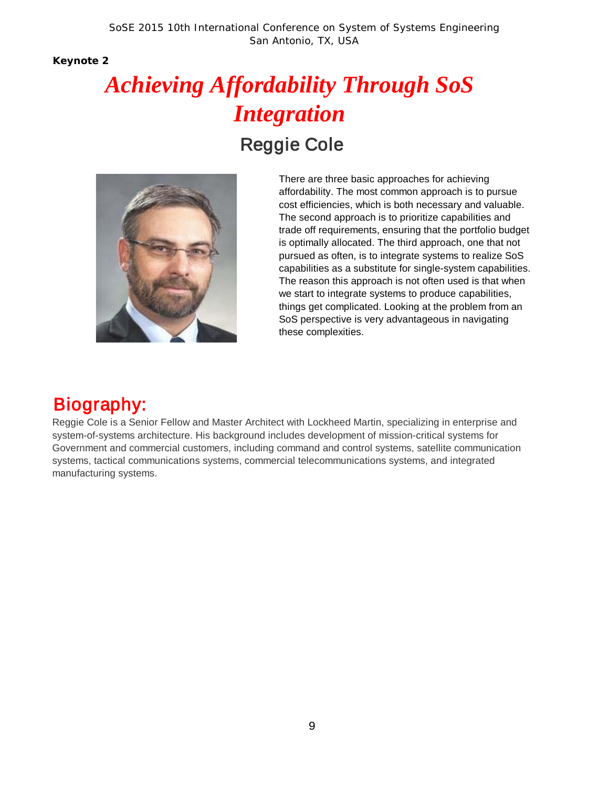# *Achieving Affordability Through SoS Integration* Reggie Cole



There are three basic approaches for achieving affordability. The most common approach is to pursue cost efficiencies, which is both necessary and valuable. The second approach is to prioritize capabilities and trade off requirements, ensuring that the portfolio budget is optimally allocated. The third approach, one that not pursued as often, is to integrate systems to realize SoS capabilities as a substitute for single-system capabilities. The reason this approach is not often used is that when we start to integrate systems to produce capabilities, things get complicated. Looking at the problem from an SoS perspective is very advantageous in navigating these complexities.

# Biography:

Reggie Cole is a Senior Fellow and Master Architect with Lockheed Martin, specializing in enterprise and system-of-systems architecture. His background includes development of mission-critical systems for Government and commercial customers, including command and control systems, satellite communication systems, tactical communications systems, commercial telecommunications systems, and integrated manufacturing systems.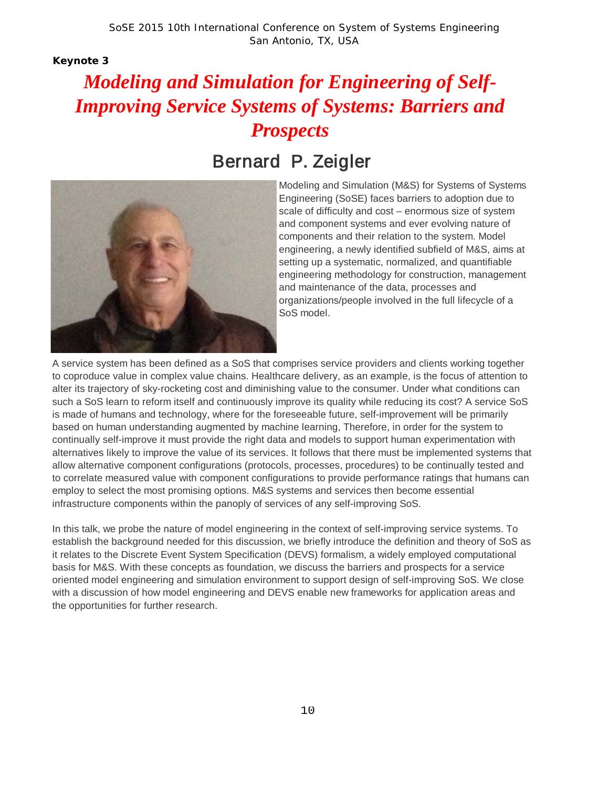# *Modeling and Simulation for Engineering of Self-Improving Service Systems of Systems: Barriers and Prospects*



# Bernard P. Zeigler

Modeling and Simulation (M&S) for Systems of Systems Engineering (SoSE) faces barriers to adoption due to scale of difficulty and cost – enormous size of system and component systems and ever evolving nature of components and their relation to the system. Model engineering, a newly identified subfield of M&S, aims at setting up a systematic, normalized, and quantifiable engineering methodology for construction, management and maintenance of the data, processes and organizations/people involved in the full lifecycle of a SoS model.

A service system has been defined as a SoS that comprises service providers and clients working together to coproduce value in complex value chains. Healthcare delivery, as an example, is the focus of attention to alter its trajectory of sky-rocketing cost and diminishing value to the consumer. Under what conditions can such a SoS learn to reform itself and continuously improve its quality while reducing its cost? A service SoS is made of humans and technology, where for the foreseeable future, self-improvement will be primarily based on human understanding augmented by machine learning, Therefore, in order for the system to continually self-improve it must provide the right data and models to support human experimentation with alternatives likely to improve the value of its services. It follows that there must be implemented systems that allow alternative component configurations (protocols, processes, procedures) to be continually tested and to correlate measured value with component configurations to provide performance ratings that humans can employ to select the most promising options. M&S systems and services then become essential infrastructure components within the panoply of services of any self-improving SoS.

In this talk, we probe the nature of model engineering in the context of self-improving service systems. To establish the background needed for this discussion, we briefly introduce the definition and theory of SoS as it relates to the Discrete Event System Specification (DEVS) formalism, a widely employed computational basis for M&S. With these concepts as foundation, we discuss the barriers and prospects for a service oriented model engineering and simulation environment to support design of self-improving SoS. We close with a discussion of how model engineering and DEVS enable new frameworks for application areas and the opportunities for further research.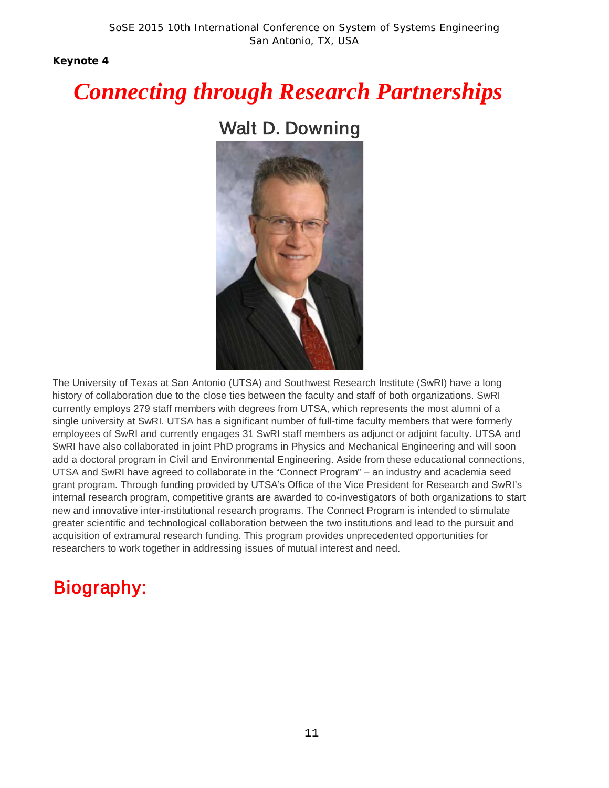# *Connecting through Research Partnerships*

# Walt D. Downing



The University of Texas at San Antonio (UTSA) and Southwest Research Institute (SwRI) have a long history of collaboration due to the close ties between the faculty and staff of both organizations. SwRI currently employs 279 staff members with degrees from UTSA, which represents the most alumni of a single university at SwRI. UTSA has a significant number of full-time faculty members that were formerly employees of SwRI and currently engages 31 SwRI staff members as adjunct or adjoint faculty. UTSA and SwRI have also collaborated in joint PhD programs in Physics and Mechanical Engineering and will soon add a doctoral program in Civil and Environmental Engineering. Aside from these educational connections, UTSA and SwRI have agreed to collaborate in the "Connect Program" – an industry and academia seed grant program. Through funding provided by UTSA's Office of the Vice President for Research and SwRI's internal research program, competitive grants are awarded to co-investigators of both organizations to start new and innovative inter-institutional research programs. The Connect Program is intended to stimulate greater scientific and technological collaboration between the two institutions and lead to the pursuit and acquisition of extramural research funding. This program provides unprecedented opportunities for researchers to work together in addressing issues of mutual interest and need.

# Biography: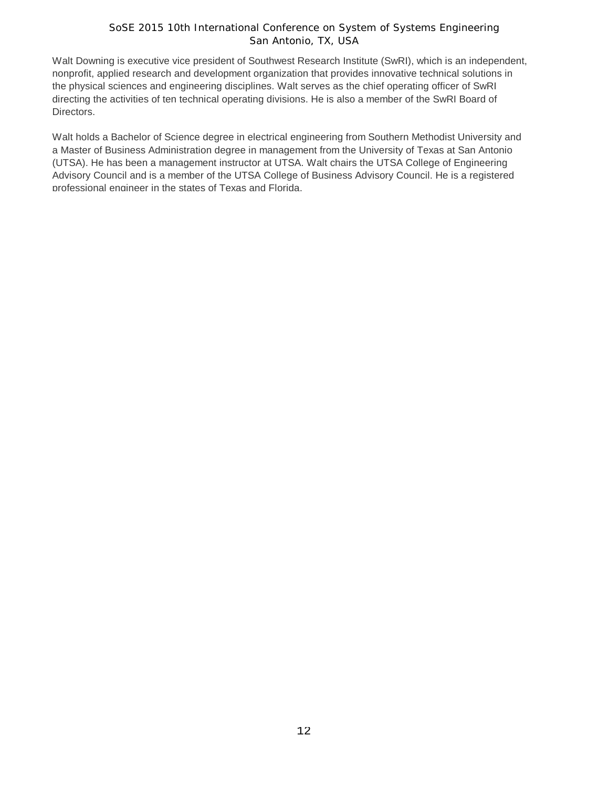Walt Downing is executive vice president of Southwest Research Institute (SwRI), which is an independent, nonprofit, applied research and development organization that provides innovative technical solutions in the physical sciences and engineering disciplines. Walt serves as the chief operating officer of SwRI directing the activities of ten technical operating divisions. He is also a member of the SwRI Board of Directors.

Walt holds a Bachelor of Science degree in electrical engineering from Southern Methodist University and a Master of Business Administration degree in management from the University of Texas at San Antonio (UTSA). He has been a management instructor at UTSA. Walt chairs the UTSA College of Engineering Advisory Council and is a member of the UTSA College of Business Advisory Council. He is a registered professional engineer in the states of Texas and Florida.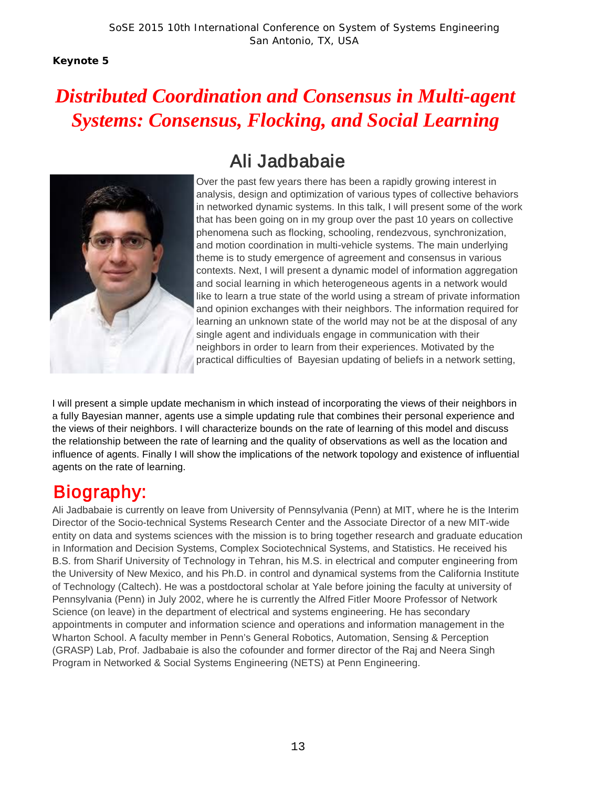# *Distributed Coordination and Consensus in Multi-agent Systems: Consensus, Flocking, and Social Learning*



# Ali Jadbabaie

Over the past few years there has been a rapidly growing interest in analysis, design and optimization of various types of collective behaviors in networked dynamic systems. In this talk, I will present some of the work that has been going on in my group over the past 10 years on collective phenomena such as flocking, schooling, rendezvous, synchronization, and motion coordination in multi-vehicle systems. The main underlying theme is to study emergence of agreement and consensus in various contexts. Next, I will present a dynamic model of information aggregation and social learning in which heterogeneous agents in a network would like to learn a true state of the world using a stream of private information and opinion exchanges with their neighbors. The information required for learning an unknown state of the world may not be at the disposal of any single agent and individuals engage in communication with their neighbors in order to learn from their experiences. Motivated by the practical difficulties of Bayesian updating of beliefs in a network setting,

I will present a simple update mechanism in which instead of incorporating the views of their neighbors in a fully Bayesian manner, agents use a simple updating rule that combines their personal experience and the views of their neighbors. I will characterize bounds on the rate of learning of this model and discuss the relationship between the rate of learning and the quality of observations as well as the location and influence of agents. Finally I will show the implications of the network topology and existence of influential agents on the rate of learning.

# Biography:

Ali Jadbabaie is currently on leave from University of Pennsylvania (Penn) at MIT, where he is the Interim Director of the Socio-technical Systems Research Center and the Associate Director of a new MIT-wide entity on data and systems sciences with the mission is to bring together research and graduate education in Information and Decision Systems, Complex Sociotechnical Systems, and Statistics. He received his B.S. from Sharif University of Technology in Tehran, his M.S. in electrical and computer engineering from the University of New Mexico, and his Ph.D. in control and dynamical systems from the California Institute of Technology (Caltech). He was a postdoctoral scholar at Yale before joining the faculty at university of Pennsylvania (Penn) in July 2002, where he is currently the Alfred Fitler Moore Professor of Network Science (on leave) in the department of electrical and systems engineering. He has secondary appointments in computer and information science and operations and information management in the Wharton School. A faculty member in Penn's General Robotics, Automation, Sensing & Perception (GRASP) Lab, Prof. Jadbabaie is also the cofounder and former director of the Raj and Neera Singh Program in Networked & Social Systems Engineering (NETS) at Penn Engineering.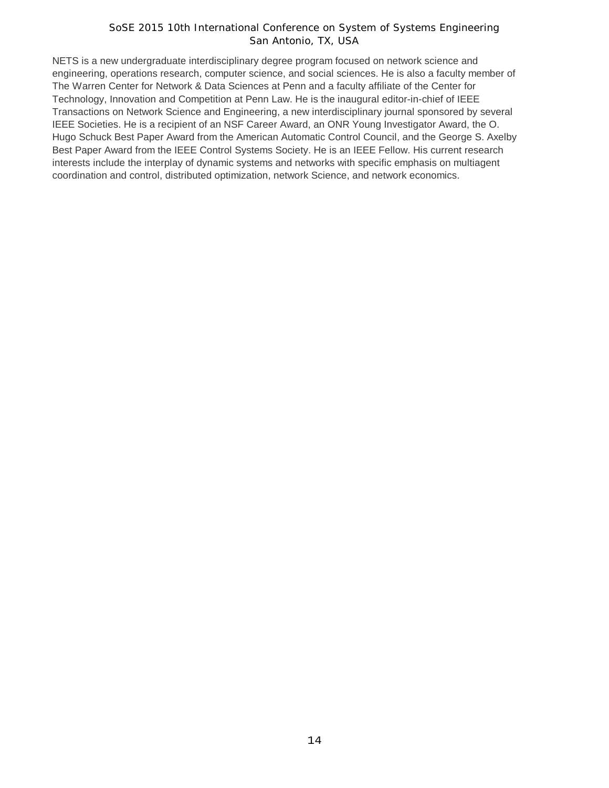NETS is a new undergraduate interdisciplinary degree program focused on network science and engineering, operations research, computer science, and social sciences. He is also a faculty member of The Warren Center for Network & Data Sciences at Penn and a faculty affiliate of the Center for Technology, Innovation and Competition at Penn Law. He is the inaugural editor-in-chief of IEEE Transactions on Network Science and Engineering, a new interdisciplinary journal sponsored by several IEEE Societies. He is a recipient of an NSF Career Award, an ONR Young Investigator Award, the O. Hugo Schuck Best Paper Award from the American Automatic Control Council, and the George S. Axelby Best Paper Award from the IEEE Control Systems Society. He is an IEEE Fellow. His current research interests include the interplay of dynamic systems and networks with specific emphasis on multiagent coordination and control, distributed optimization, network Science, and network economics.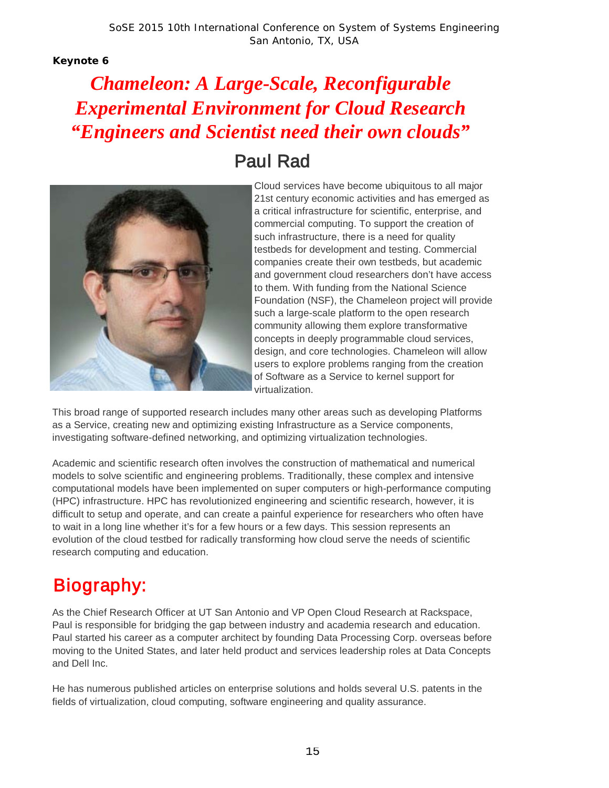# *Chameleon: A Large-Scale, Reconfigurable Experimental Environment for Cloud Research "Engineers and Scientist need their own clouds"*



# Paul Rad

Cloud services have become ubiquitous to all major 21st century economic activities and has emerged as a critical infrastructure for scientific, enterprise, and commercial computing. To support the creation of such infrastructure, there is a need for quality testbeds for development and testing. Commercial companies create their own testbeds, but academic and government cloud researchers don't have access to them. With funding from the National Science Foundation (NSF), the Chameleon project will provide such a large-scale platform to the open research community allowing them explore transformative concepts in deeply programmable cloud services, design, and core technologies. Chameleon will allow users to explore problems ranging from the creation of Software as a Service to kernel support for virtualization.

This broad range of supported research includes many other areas such as developing Platforms as a Service, creating new and optimizing existing Infrastructure as a Service components, investigating software-defined networking, and optimizing virtualization technologies.

Academic and scientific research often involves the construction of mathematical and numerical models to solve scientific and engineering problems. Traditionally, these complex and intensive computational models have been implemented on super computers or high-performance computing (HPC) infrastructure. HPC has revolutionized engineering and scientific research, however, it is difficult to setup and operate, and can create a painful experience for researchers who often have to wait in a long line whether it's for a few hours or a few days. This session represents an evolution of the cloud testbed for radically transforming how cloud serve the needs of scientific research computing and education.

# Biography:

As the Chief Research Officer at UT San Antonio and VP Open Cloud Research at Rackspace, Paul is responsible for bridging the gap between industry and academia research and education. Paul started his career as a computer architect by founding Data Processing Corp. overseas before moving to the United States, and later held product and services leadership roles at Data Concepts and Dell Inc.

He has numerous published articles on enterprise solutions and holds several U.S. patents in the fields of virtualization, cloud computing, software engineering and quality assurance.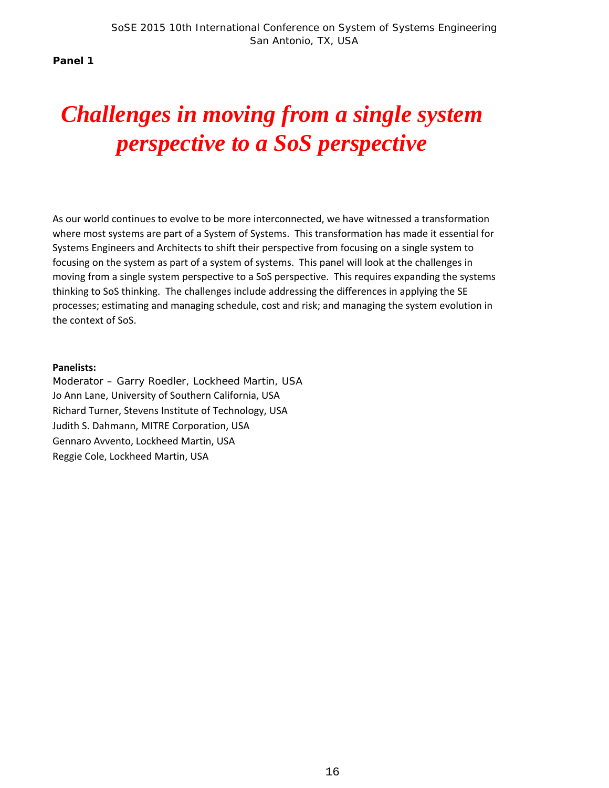**Panel 1**

# *Challenges in moving from a single system perspective to a SoS perspective*

As our world continues to evolve to be more interconnected, we have witnessed a transformation where most systems are part of a System of Systems. This transformation has made it essential for Systems Engineers and Architects to shift their perspective from focusing on a single system to focusing on the system as part of a system of systems. This panel will look at the challenges in moving from a single system perspective to a SoS perspective. This requires expanding the systems thinking to SoS thinking. The challenges include addressing the differences in applying the SE processes; estimating and managing schedule, cost and risk; and managing the system evolution in the context of SoS.

#### **Panelists:**

Moderator – Garry Roedler, Lockheed Martin, USA Jo Ann Lane, University of Southern California, USA Richard Turner, Stevens Institute of Technology, USA Judith S. Dahmann, MITRE Corporation, USA Gennaro Avvento, Lockheed Martin, USA Reggie Cole, Lockheed Martin, USA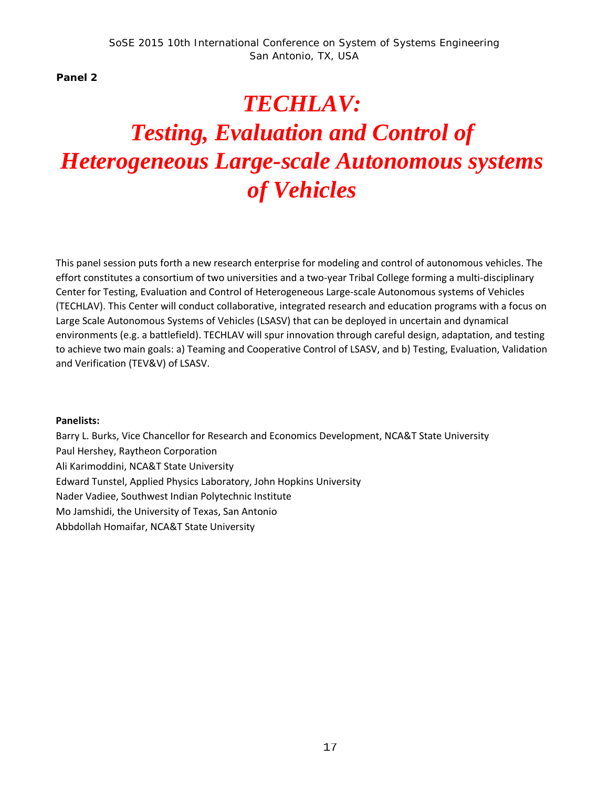**Panel 2**

# *TECHLAV:*

# *Testing, Evaluation and Control of Heterogeneous Large-scale Autonomous systems of Vehicles*

This panel session puts forth a new research enterprise for modeling and control of autonomous vehicles. The effort constitutes a consortium of two universities and a two-year Tribal College forming a multi-disciplinary Center for Testing, Evaluation and Control of Heterogeneous Large-scale Autonomous systems of Vehicles (TECHLAV). This Center will conduct collaborative, integrated research and education programs with a focus on Large Scale Autonomous Systems of Vehicles (LSASV) that can be deployed in uncertain and dynamical environments (e.g. a battlefield). TECHLAV will spur innovation through careful design, adaptation, and testing to achieve two main goals: a) Teaming and Cooperative Control of LSASV, and b) Testing, Evaluation, Validation and Verification (TEV&V) of LSASV.

#### **Panelists:**

Barry L. Burks, Vice Chancellor for Research and Economics Development, NCA&T State University Paul Hershey, Raytheon Corporation Ali Karimoddini, NCA&T State University Edward Tunstel, Applied Physics Laboratory, John Hopkins University Nader Vadiee, Southwest Indian Polytechnic Institute Mo Jamshidi, the University of Texas, San Antonio Abbdollah Homaifar, NCA&T State University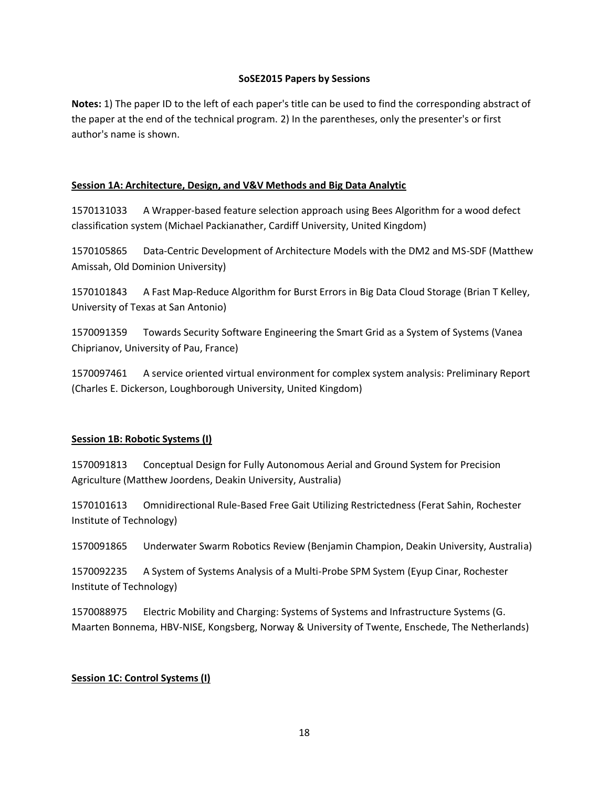#### **SoSE2015 Papers by Sessions**

**Notes:** 1) The paper ID to the left of each paper's title can be used to find the corresponding abstract of the paper at the end of the technical program. 2) In the parentheses, only the presenter's or first author's name is shown.

### **Session 1A: Architecture, Design, and V&V Methods and Big Data Analytic**

1570131033 A Wrapper-based feature selection approach using Bees Algorithm for a wood defect classification system (Michael Packianather, Cardiff University, United Kingdom)

1570105865 Data-Centric Development of Architecture Models with the DM2 and MS-SDF (Matthew Amissah, Old Dominion University)

1570101843 A Fast Map-Reduce Algorithm for Burst Errors in Big Data Cloud Storage (Brian T Kelley, University of Texas at San Antonio)

1570091359 Towards Security Software Engineering the Smart Grid as a System of Systems (Vanea Chiprianov, University of Pau, France)

1570097461 A service oriented virtual environment for complex system analysis: Preliminary Report (Charles E. Dickerson, Loughborough University, United Kingdom)

#### **Session 1B: Robotic Systems (I)**

1570091813 Conceptual Design for Fully Autonomous Aerial and Ground System for Precision Agriculture (Matthew Joordens, Deakin University, Australia)

1570101613 Omnidirectional Rule-Based Free Gait Utilizing Restrictedness (Ferat Sahin, Rochester Institute of Technology)

1570091865 Underwater Swarm Robotics Review (Benjamin Champion, Deakin University, Australia)

1570092235 A System of Systems Analysis of a Multi-Probe SPM System (Eyup Cinar, Rochester Institute of Technology)

1570088975 Electric Mobility and Charging: Systems of Systems and Infrastructure Systems (G. Maarten Bonnema, HBV-NISE, Kongsberg, Norway & University of Twente, Enschede, The Netherlands)

## **Session 1C: Control Systems (I)**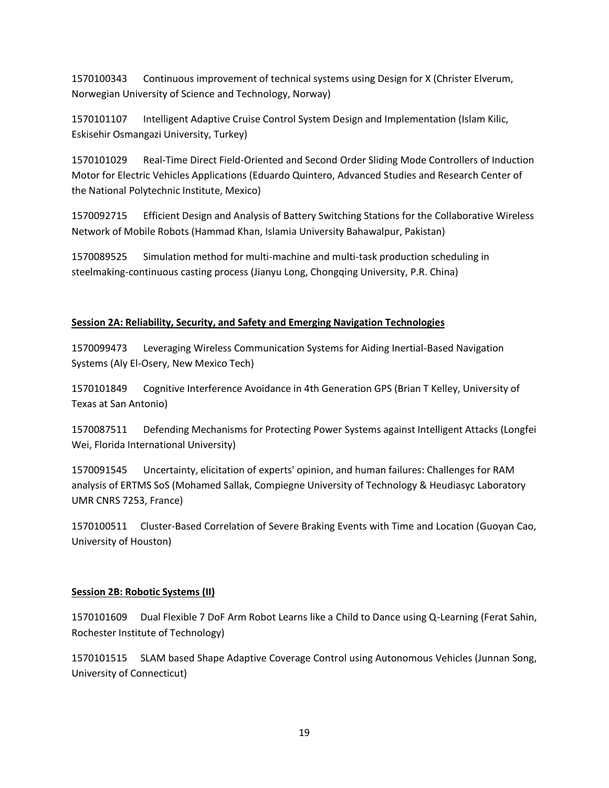1570100343 Continuous improvement of technical systems using Design for X (Christer Elverum, Norwegian University of Science and Technology, Norway)

1570101107 Intelligent Adaptive Cruise Control System Design and Implementation (Islam Kilic, Eskisehir Osmangazi University, Turkey)

1570101029 Real-Time Direct Field-Oriented and Second Order Sliding Mode Controllers of Induction Motor for Electric Vehicles Applications (Eduardo Quintero, Advanced Studies and Research Center of the National Polytechnic Institute, Mexico)

1570092715 Efficient Design and Analysis of Battery Switching Stations for the Collaborative Wireless Network of Mobile Robots (Hammad Khan, Islamia University Bahawalpur, Pakistan)

1570089525 Simulation method for multi-machine and multi-task production scheduling in steelmaking-continuous casting process (Jianyu Long, Chongqing University, P.R. China)

## **Session 2A: Reliability, Security, and Safety and Emerging Navigation Technologies**

1570099473 Leveraging Wireless Communication Systems for Aiding Inertial-Based Navigation Systems (Aly El-Osery, New Mexico Tech)

1570101849 Cognitive Interference Avoidance in 4th Generation GPS (Brian T Kelley, University of Texas at San Antonio)

1570087511 Defending Mechanisms for Protecting Power Systems against Intelligent Attacks (Longfei Wei, Florida International University)

1570091545 Uncertainty, elicitation of experts' opinion, and human failures: Challenges for RAM analysis of ERTMS SoS (Mohamed Sallak, Compiegne University of Technology & Heudiasyc Laboratory UMR CNRS 7253, France)

1570100511 Cluster-Based Correlation of Severe Braking Events with Time and Location (Guoyan Cao, University of Houston)

#### **Session 2B: Robotic Systems (II)**

1570101609 Dual Flexible 7 DoF Arm Robot Learns like a Child to Dance using Q-Learning (Ferat Sahin, Rochester Institute of Technology)

1570101515 SLAM based Shape Adaptive Coverage Control using Autonomous Vehicles (Junnan Song, University of Connecticut)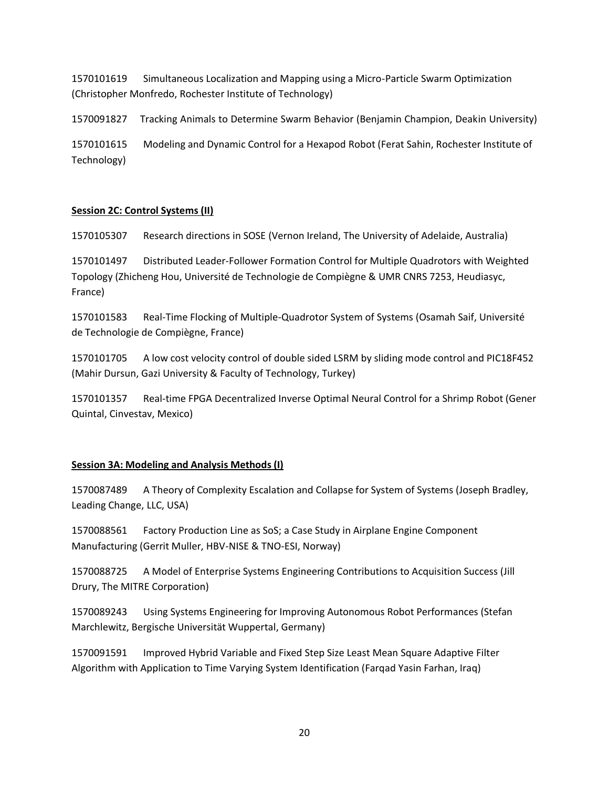1570101619 Simultaneous Localization and Mapping using a Micro-Particle Swarm Optimization (Christopher Monfredo, Rochester Institute of Technology)

1570091827 Tracking Animals to Determine Swarm Behavior (Benjamin Champion, Deakin University) 1570101615 Modeling and Dynamic Control for a Hexapod Robot (Ferat Sahin, Rochester Institute of

Technology)

### **Session 2C: Control Systems (II)**

1570105307 Research directions in SOSE (Vernon Ireland, The University of Adelaide, Australia)

1570101497 Distributed Leader-Follower Formation Control for Multiple Quadrotors with Weighted Topology (Zhicheng Hou, Université de Technologie de Compiègne & UMR CNRS 7253, Heudiasyc, France)

1570101583 Real-Time Flocking of Multiple-Quadrotor System of Systems (Osamah Saif, Université de Technologie de Compiègne, France)

1570101705 A low cost velocity control of double sided LSRM by sliding mode control and PIC18F452 (Mahir Dursun, Gazi University & Faculty of Technology, Turkey)

1570101357 Real-time FPGA Decentralized Inverse Optimal Neural Control for a Shrimp Robot (Gener Quintal, Cinvestav, Mexico)

## **Session 3A: Modeling and Analysis Methods (I)**

1570087489 A Theory of Complexity Escalation and Collapse for System of Systems (Joseph Bradley, Leading Change, LLC, USA)

1570088561 Factory Production Line as SoS; a Case Study in Airplane Engine Component Manufacturing (Gerrit Muller, HBV-NISE & TNO-ESI, Norway)

1570088725 A Model of Enterprise Systems Engineering Contributions to Acquisition Success (Jill Drury, The MITRE Corporation)

1570089243 Using Systems Engineering for Improving Autonomous Robot Performances (Stefan Marchlewitz, Bergische Universität Wuppertal, Germany)

1570091591 Improved Hybrid Variable and Fixed Step Size Least Mean Square Adaptive Filter Algorithm with Application to Time Varying System Identification (Farqad Yasin Farhan, Iraq)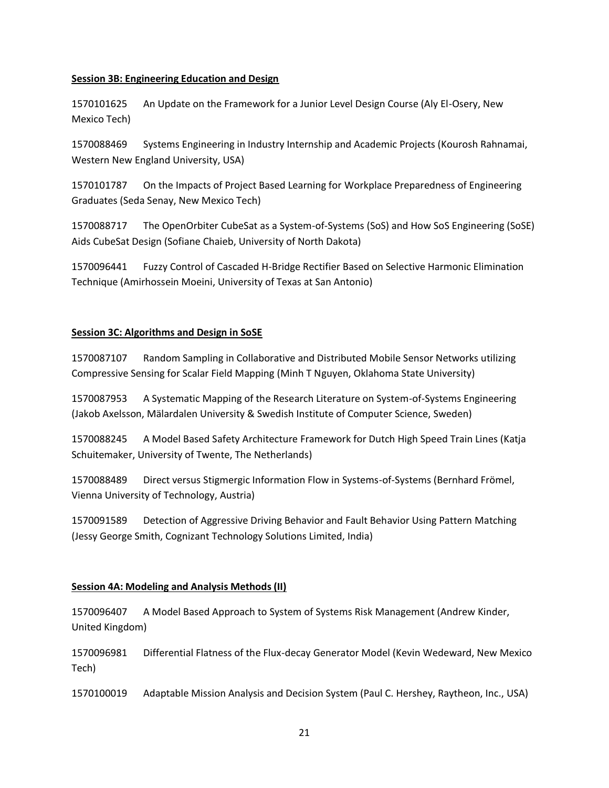#### **Session 3B: Engineering Education and Design**

1570101625 An Update on the Framework for a Junior Level Design Course (Aly El-Osery, New Mexico Tech)

1570088469 Systems Engineering in Industry Internship and Academic Projects (Kourosh Rahnamai, Western New England University, USA)

1570101787 On the Impacts of Project Based Learning for Workplace Preparedness of Engineering Graduates (Seda Senay, New Mexico Tech)

1570088717 The OpenOrbiter CubeSat as a System-of-Systems (SoS) and How SoS Engineering (SoSE) Aids CubeSat Design (Sofiane Chaieb, University of North Dakota)

1570096441 Fuzzy Control of Cascaded H-Bridge Rectifier Based on Selective Harmonic Elimination Technique (Amirhossein Moeini, University of Texas at San Antonio)

#### **Session 3C: Algorithms and Design in SoSE**

1570087107 Random Sampling in Collaborative and Distributed Mobile Sensor Networks utilizing Compressive Sensing for Scalar Field Mapping (Minh T Nguyen, Oklahoma State University)

1570087953 A Systematic Mapping of the Research Literature on System-of-Systems Engineering (Jakob Axelsson, Mälardalen University & Swedish Institute of Computer Science, Sweden)

1570088245 A Model Based Safety Architecture Framework for Dutch High Speed Train Lines (Katja Schuitemaker, University of Twente, The Netherlands)

1570088489 Direct versus Stigmergic Information Flow in Systems-of-Systems (Bernhard Frömel, Vienna University of Technology, Austria)

1570091589 Detection of Aggressive Driving Behavior and Fault Behavior Using Pattern Matching (Jessy George Smith, Cognizant Technology Solutions Limited, India)

#### **Session 4A: Modeling and Analysis Methods (II)**

1570096407 A Model Based Approach to System of Systems Risk Management (Andrew Kinder, United Kingdom)

1570096981 Differential Flatness of the Flux-decay Generator Model (Kevin Wedeward, New Mexico Tech)

1570100019 Adaptable Mission Analysis and Decision System (Paul C. Hershey, Raytheon, Inc., USA)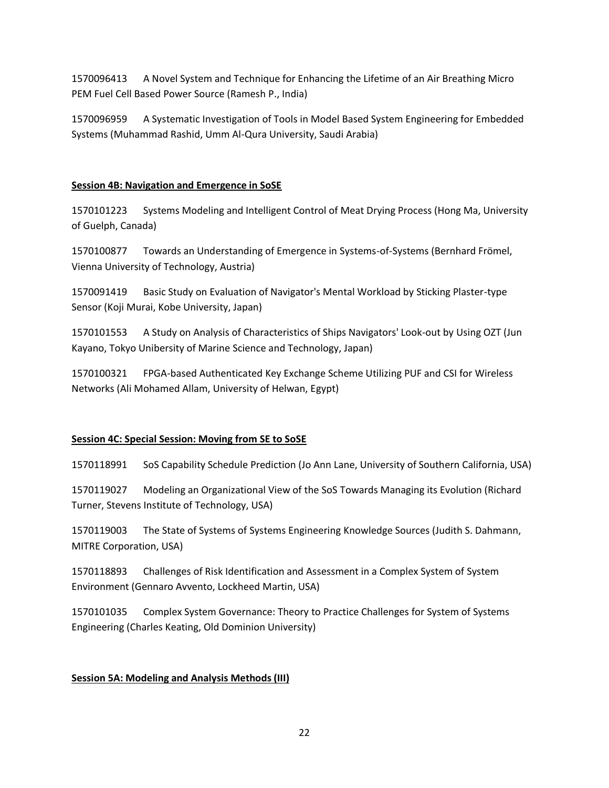1570096413 A Novel System and Technique for Enhancing the Lifetime of an Air Breathing Micro PEM Fuel Cell Based Power Source (Ramesh P., India)

1570096959 A Systematic Investigation of Tools in Model Based System Engineering for Embedded Systems (Muhammad Rashid, Umm Al-Qura University, Saudi Arabia)

### **Session 4B: Navigation and Emergence in SoSE**

1570101223 Systems Modeling and Intelligent Control of Meat Drying Process (Hong Ma, University of Guelph, Canada)

1570100877 Towards an Understanding of Emergence in Systems-of-Systems (Bernhard Frömel, Vienna University of Technology, Austria)

1570091419 Basic Study on Evaluation of Navigator's Mental Workload by Sticking Plaster-type Sensor (Koji Murai, Kobe University, Japan)

1570101553 A Study on Analysis of Characteristics of Ships Navigators' Look-out by Using OZT (Jun Kayano, Tokyo Unibersity of Marine Science and Technology, Japan)

1570100321 FPGA-based Authenticated Key Exchange Scheme Utilizing PUF and CSI for Wireless Networks (Ali Mohamed Allam, University of Helwan, Egypt)

## **Session 4C: Special Session: Moving from SE to SoSE**

1570118991 SoS Capability Schedule Prediction (Jo Ann Lane, University of Southern California, USA)

1570119027 Modeling an Organizational View of the SoS Towards Managing its Evolution (Richard Turner, Stevens Institute of Technology, USA)

1570119003 The State of Systems of Systems Engineering Knowledge Sources (Judith S. Dahmann, MITRE Corporation, USA)

1570118893 Challenges of Risk Identification and Assessment in a Complex System of System Environment (Gennaro Avvento, Lockheed Martin, USA)

1570101035 Complex System Governance: Theory to Practice Challenges for System of Systems Engineering (Charles Keating, Old Dominion University)

## **Session 5A: Modeling and Analysis Methods (III)**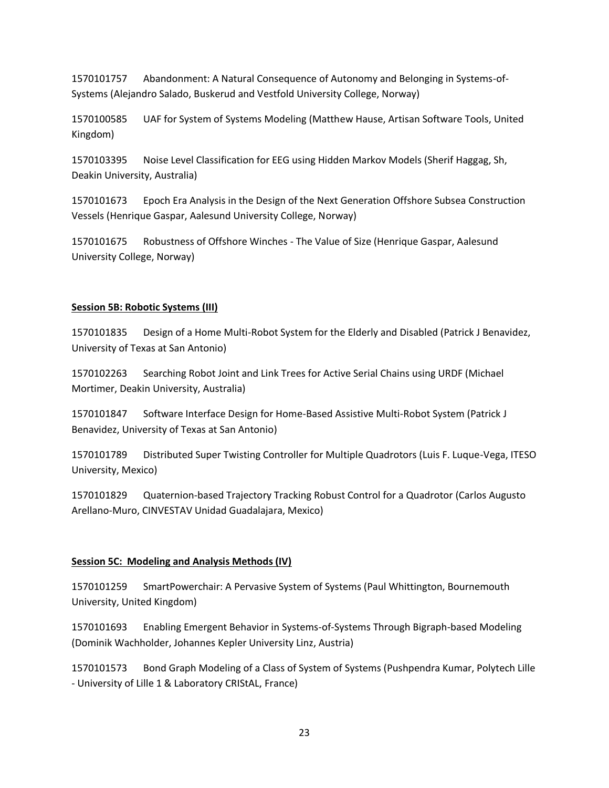1570101757 Abandonment: A Natural Consequence of Autonomy and Belonging in Systems-of-Systems (Alejandro Salado, Buskerud and Vestfold University College, Norway)

1570100585 UAF for System of Systems Modeling (Matthew Hause, Artisan Software Tools, United Kingdom)

1570103395 Noise Level Classification for EEG using Hidden Markov Models (Sherif Haggag, Sh, Deakin University, Australia)

1570101673 Epoch Era Analysis in the Design of the Next Generation Offshore Subsea Construction Vessels (Henrique Gaspar, Aalesund University College, Norway)

1570101675 Robustness of Offshore Winches - The Value of Size (Henrique Gaspar, Aalesund University College, Norway)

### **Session 5B: Robotic Systems (III)**

1570101835 Design of a Home Multi-Robot System for the Elderly and Disabled (Patrick J Benavidez, University of Texas at San Antonio)

1570102263 Searching Robot Joint and Link Trees for Active Serial Chains using URDF (Michael Mortimer, Deakin University, Australia)

1570101847 Software Interface Design for Home-Based Assistive Multi-Robot System (Patrick J Benavidez, University of Texas at San Antonio)

1570101789 Distributed Super Twisting Controller for Multiple Quadrotors (Luis F. Luque-Vega, ITESO University, Mexico)

1570101829 Quaternion-based Trajectory Tracking Robust Control for a Quadrotor (Carlos Augusto Arellano-Muro, CINVESTAV Unidad Guadalajara, Mexico)

## **Session 5C: Modeling and Analysis Methods (IV)**

1570101259 SmartPowerchair: A Pervasive System of Systems (Paul Whittington, Bournemouth University, United Kingdom)

1570101693 Enabling Emergent Behavior in Systems-of-Systems Through Bigraph-based Modeling (Dominik Wachholder, Johannes Kepler University Linz, Austria)

1570101573 Bond Graph Modeling of a Class of System of Systems (Pushpendra Kumar, Polytech Lille - University of Lille 1 & Laboratory CRIStAL, France)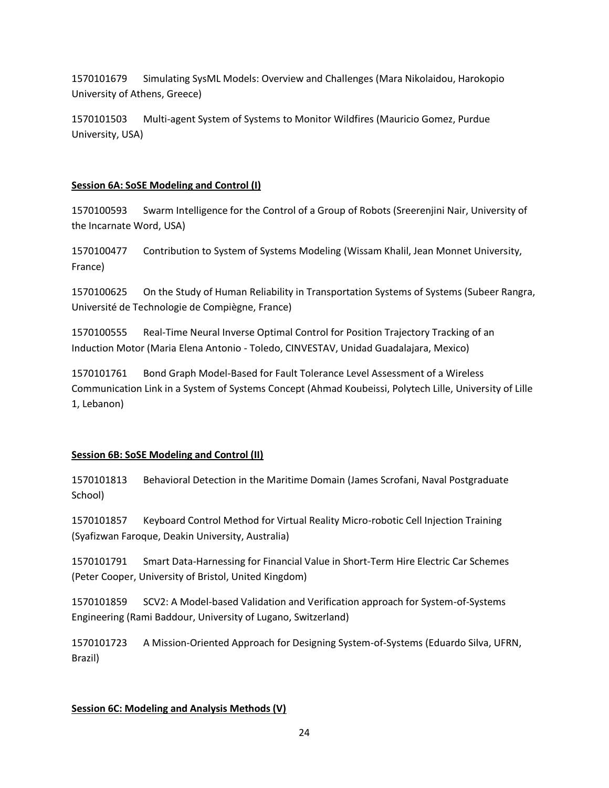1570101679 Simulating SysML Models: Overview and Challenges (Mara Nikolaidou, Harokopio University of Athens, Greece)

1570101503 Multi-agent System of Systems to Monitor Wildfires (Mauricio Gomez, Purdue University, USA)

## **Session 6A: SoSE Modeling and Control (I)**

1570100593 Swarm Intelligence for the Control of a Group of Robots (Sreerenjini Nair, University of the Incarnate Word, USA)

1570100477 Contribution to System of Systems Modeling (Wissam Khalil, Jean Monnet University, France)

1570100625 On the Study of Human Reliability in Transportation Systems of Systems (Subeer Rangra, Université de Technologie de Compiègne, France)

1570100555 Real-Time Neural Inverse Optimal Control for Position Trajectory Tracking of an Induction Motor (Maria Elena Antonio - Toledo, CINVESTAV, Unidad Guadalajara, Mexico)

1570101761 Bond Graph Model-Based for Fault Tolerance Level Assessment of a Wireless Communication Link in a System of Systems Concept (Ahmad Koubeissi, Polytech Lille, University of Lille 1, Lebanon)

## **Session 6B: SoSE Modeling and Control (II)**

1570101813 Behavioral Detection in the Maritime Domain (James Scrofani, Naval Postgraduate School)

1570101857 Keyboard Control Method for Virtual Reality Micro-robotic Cell Injection Training (Syafizwan Faroque, Deakin University, Australia)

1570101791 Smart Data-Harnessing for Financial Value in Short-Term Hire Electric Car Schemes (Peter Cooper, University of Bristol, United Kingdom)

1570101859 SCV2: A Model-based Validation and Verification approach for System-of-Systems Engineering (Rami Baddour, University of Lugano, Switzerland)

1570101723 A Mission-Oriented Approach for Designing System-of-Systems (Eduardo Silva, UFRN, Brazil)

## **Session 6C: Modeling and Analysis Methods (V)**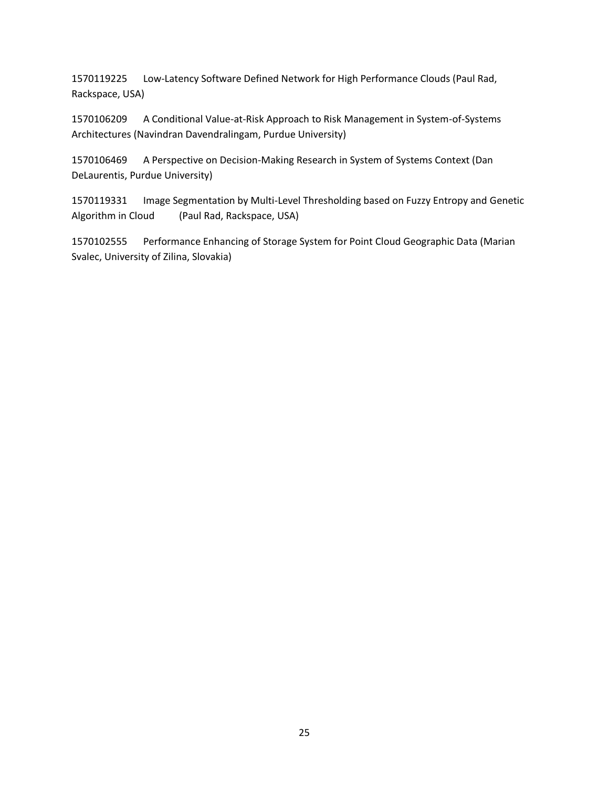1570119225 Low-Latency Software Defined Network for High Performance Clouds (Paul Rad, Rackspace, USA)

1570106209 A Conditional Value-at-Risk Approach to Risk Management in System-of-Systems Architectures (Navindran Davendralingam, Purdue University)

1570106469 A Perspective on Decision-Making Research in System of Systems Context (Dan DeLaurentis, Purdue University)

1570119331 Image Segmentation by Multi-Level Thresholding based on Fuzzy Entropy and Genetic Algorithm in Cloud (Paul Rad, Rackspace, USA)

1570102555 Performance Enhancing of Storage System for Point Cloud Geographic Data (Marian Svalec, University of Zilina, Slovakia)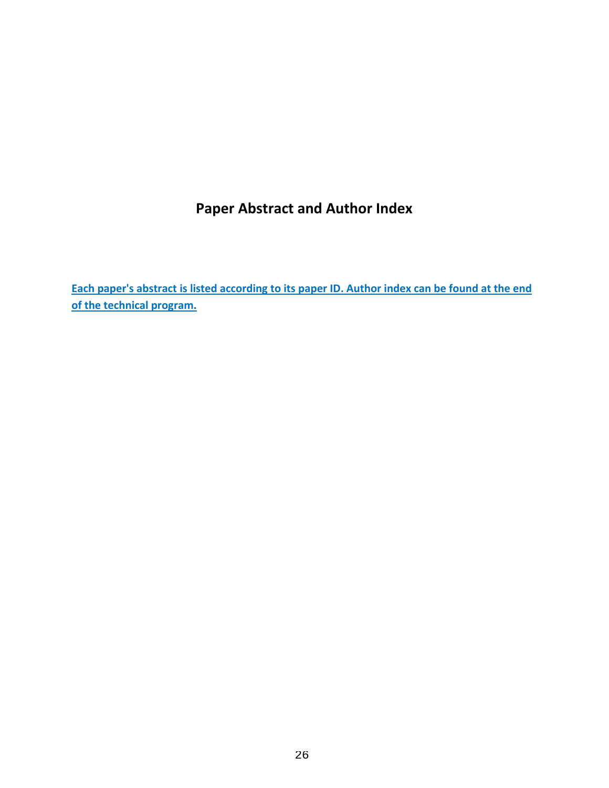# **Paper Abstract and Author Index**

**Each paper's abstract is listed according to its paper ID. Author index can be found at the end of the technical program.**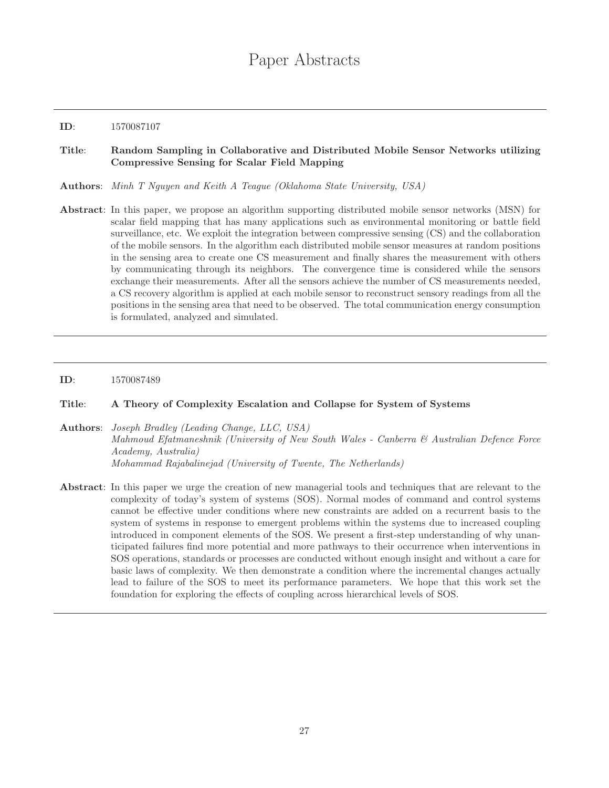#### Title: Random Sampling in Collaborative and Distributed Mobile Sensor Networks utilizing Compressive Sensing for Scalar Field Mapping

Authors: Minh T Nguyen and Keith A Teague (Oklahoma State University, USA)

- Abstract: In this paper, we propose an algorithm supporting distributed mobile sensor networks (MSN) for scalar field mapping that has many applications such as environmental monitoring or battle field surveillance, etc. We exploit the integration between compressive sensing (CS) and the collaboration of the mobile sensors. In the algorithm each distributed mobile sensor measures at random positions in the sensing area to create one CS measurement and finally shares the measurement with others by communicating through its neighbors. The convergence time is considered while the sensors exchange their measurements. After all the sensors achieve the number of CS measurements needed, a CS recovery algorithm is applied at each mobile sensor to reconstruct sensory readings from all the positions in the sensing area that need to be observed. The total communication energy consumption is formulated, analyzed and simulated.
- ID: 1570087489

#### Title: A Theory of Complexity Escalation and Collapse for System of Systems

- Authors: Joseph Bradley (Leading Change, LLC, USA) Mahmoud Efatmaneshnik (University of New South Wales - Canberra & Australian Defence Force Academy, Australia) Mohammad Rajabalinejad (University of Twente, The Netherlands)
- Abstract: In this paper we urge the creation of new managerial tools and techniques that are relevant to the complexity of today's system of systems (SOS). Normal modes of command and control systems cannot be effective under conditions where new constraints are added on a recurrent basis to the system of systems in response to emergent problems within the systems due to increased coupling introduced in component elements of the SOS. We present a first-step understanding of why unanticipated failures find more potential and more pathways to their occurrence when interventions in SOS operations, standards or processes are conducted without enough insight and without a care for basic laws of complexity. We then demonstrate a condition where the incremental changes actually lead to failure of the SOS to meet its performance parameters. We hope that this work set the foundation for exploring the effects of coupling across hierarchical levels of SOS.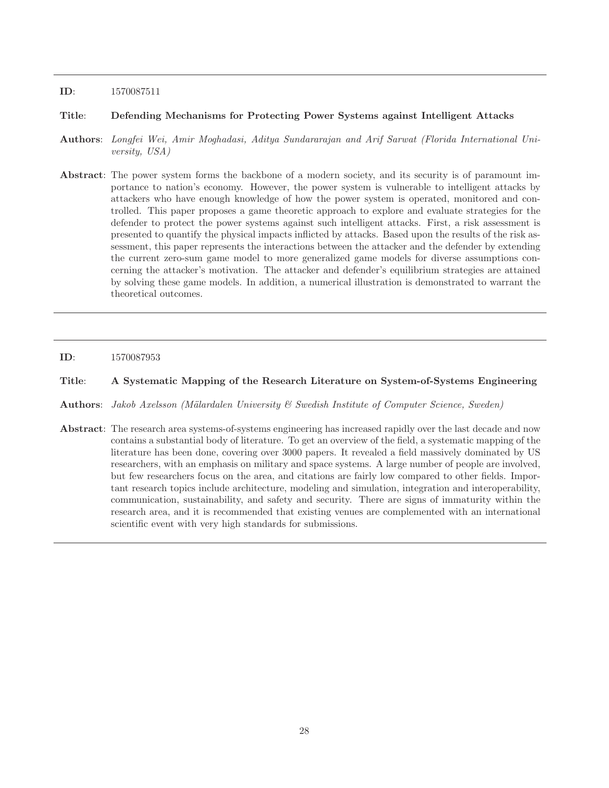#### Title: Defending Mechanisms for Protecting Power Systems against Intelligent Attacks

- Authors: Longfei Wei, Amir Moghadasi, Aditya Sundararajan and Arif Sarwat (Florida International University, USA)
- Abstract: The power system forms the backbone of a modern society, and its security is of paramount importance to nation's economy. However, the power system is vulnerable to intelligent attacks by attackers who have enough knowledge of how the power system is operated, monitored and controlled. This paper proposes a game theoretic approach to explore and evaluate strategies for the defender to protect the power systems against such intelligent attacks. First, a risk assessment is presented to quantify the physical impacts inflicted by attacks. Based upon the results of the risk assessment, this paper represents the interactions between the attacker and the defender by extending the current zero-sum game model to more generalized game models for diverse assumptions concerning the attacker's motivation. The attacker and defender's equilibrium strategies are attained by solving these game models. In addition, a numerical illustration is demonstrated to warrant the theoretical outcomes.

ID: 1570087953

#### Title: A Systematic Mapping of the Research Literature on System-of-Systems Engineering

- Authors: Jakob Axelsson (Mälardalen University  $\mathcal C$  Swedish Institute of Computer Science, Sweden)
- Abstract: The research area systems-of-systems engineering has increased rapidly over the last decade and now contains a substantial body of literature. To get an overview of the field, a systematic mapping of the literature has been done, covering over 3000 papers. It revealed a field massively dominated by US researchers, with an emphasis on military and space systems. A large number of people are involved, but few researchers focus on the area, and citations are fairly low compared to other fields. Important research topics include architecture, modeling and simulation, integration and interoperability, communication, sustainability, and safety and security. There are signs of immaturity within the research area, and it is recommended that existing venues are complemented with an international scientific event with very high standards for submissions.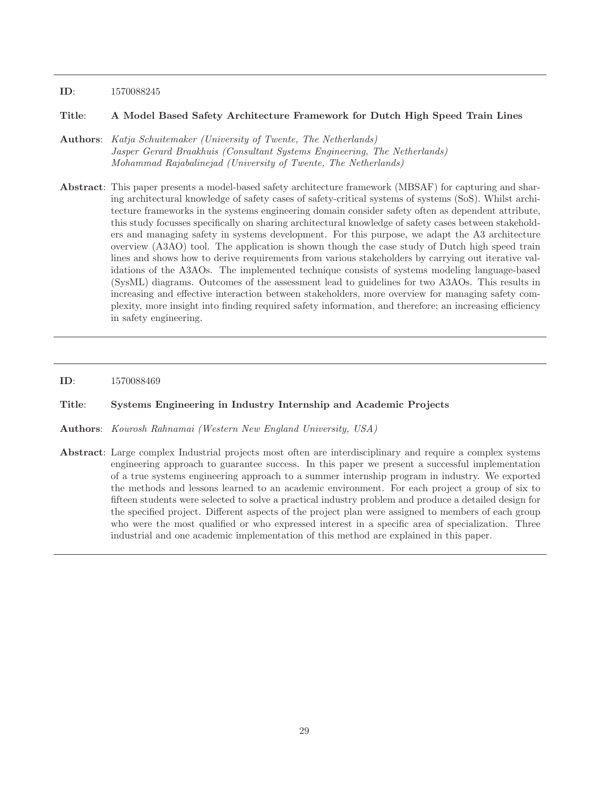#### Title: A Model Based Safety Architecture Framework for Dutch High Speed Train Lines

- Authors: Katja Schuitemaker (University of Twente, The Netherlands) Jasper Gerard Braakhuis (Consultant Systems Engineering, The Netherlands) Mohammad Rajabalinejad (University of Twente, The Netherlands)
- Abstract: This paper presents a model-based safety architecture framework (MBSAF) for capturing and sharing architectural knowledge of safety cases of safety-critical systems of systems (SoS). Whilst architecture frameworks in the systems engineering domain consider safety often as dependent attribute, this study focusses specifically on sharing architectural knowledge of safety cases between stakeholders and managing safety in systems development. For this purpose, we adapt the A3 architecture overview (A3AO) tool. The application is shown though the case study of Dutch high speed train lines and shows how to derive requirements from various stakeholders by carrying out iterative validations of the A3AOs. The implemented technique consists of systems modeling language-based (SysML) diagrams. Outcomes of the assessment lead to guidelines for two A3AOs. This results in increasing and effective interaction between stakeholders, more overview for managing safety complexity, more insight into finding required safety information, and therefore; an increasing efficiency in safety engineering.
- ID: 1570088469

#### Title: Systems Engineering in Industry Internship and Academic Projects

- Authors: Kourosh Rahnamai (Western New England University, USA)
- Abstract: Large complex Industrial projects most often are interdisciplinary and require a complex systems engineering approach to guarantee success. In this paper we present a successful implementation of a true systems engineering approach to a summer internship program in industry. We exported the methods and lessons learned to an academic environment. For each project a group of six to fifteen students were selected to solve a practical industry problem and produce a detailed design for the specified project. Different aspects of the project plan were assigned to members of each group who were the most qualified or who expressed interest in a specific area of specialization. Three industrial and one academic implementation of this method are explained in this paper.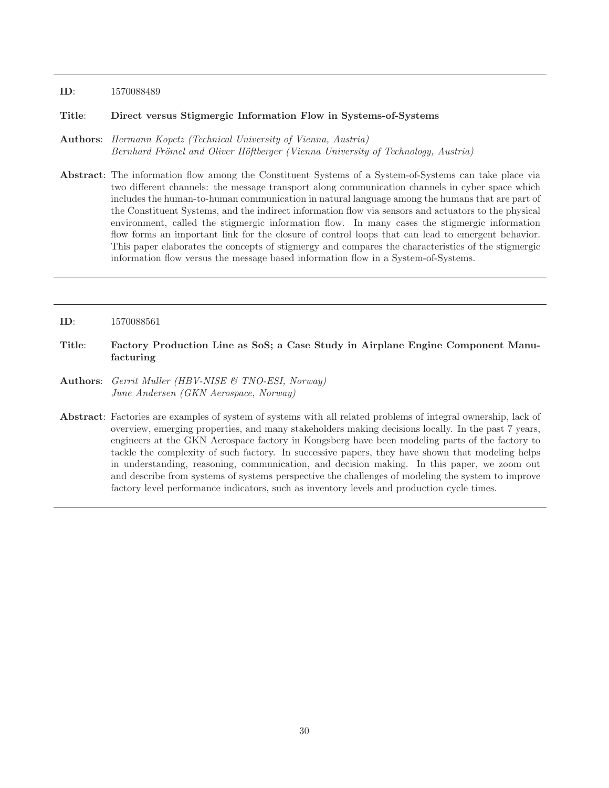#### Title: Direct versus Stigmergic Information Flow in Systems-of-Systems

- Authors: Hermann Kopetz (Technical University of Vienna, Austria) Bernhard Frömel and Oliver Höftberger (Vienna University of Technology, Austria)
- Abstract: The information flow among the Constituent Systems of a System-of-Systems can take place via two different channels: the message transport along communication channels in cyber space which includes the human-to-human communication in natural language among the humans that are part of the Constituent Systems, and the indirect information flow via sensors and actuators to the physical environment, called the stigmergic information flow. In many cases the stigmergic information flow forms an important link for the closure of control loops that can lead to emergent behavior. This paper elaborates the concepts of stigmergy and compares the characteristics of the stigmergic information flow versus the message based information flow in a System-of-Systems.

#### ID: 1570088561

- Title: Factory Production Line as SoS; a Case Study in Airplane Engine Component Manufacturing
- Authors: Gerrit Muller (HBV-NISE & TNO-ESI, Norway) June Andersen (GKN Aerospace, Norway)
- Abstract: Factories are examples of system of systems with all related problems of integral ownership, lack of overview, emerging properties, and many stakeholders making decisions locally. In the past 7 years, engineers at the GKN Aerospace factory in Kongsberg have been modeling parts of the factory to tackle the complexity of such factory. In successive papers, they have shown that modeling helps in understanding, reasoning, communication, and decision making. In this paper, we zoom out and describe from systems of systems perspective the challenges of modeling the system to improve factory level performance indicators, such as inventory levels and production cycle times.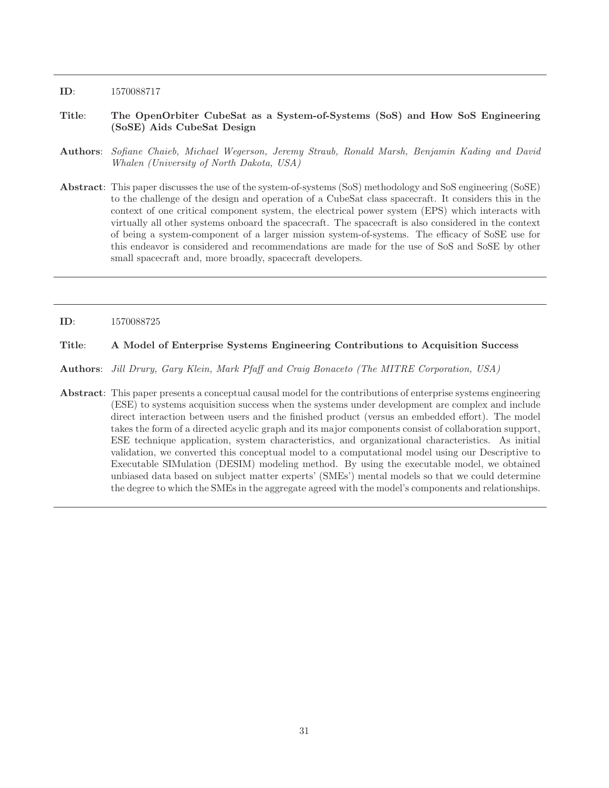#### Title: The OpenOrbiter CubeSat as a System-of-Systems (SoS) and How SoS Engineering (SoSE) Aids CubeSat Design

- Authors: Sofiane Chaieb, Michael Wegerson, Jeremy Straub, Ronald Marsh, Benjamin Kading and David Whalen (University of North Dakota, USA)
- Abstract: This paper discusses the use of the system-of-systems (SoS) methodology and SoS engineering (SoSE) to the challenge of the design and operation of a CubeSat class spacecraft. It considers this in the context of one critical component system, the electrical power system (EPS) which interacts with virtually all other systems onboard the spacecraft. The spacecraft is also considered in the context of being a system-component of a larger mission system-of-systems. The efficacy of SoSE use for this endeavor is considered and recommendations are made for the use of SoS and SoSE by other small spacecraft and, more broadly, spacecraft developers.

ID: 1570088725

#### Title: A Model of Enterprise Systems Engineering Contributions to Acquisition Success

Authors: Jill Drury, Gary Klein, Mark Pfaff and Craig Bonaceto (The MITRE Corporation, USA)

Abstract: This paper presents a conceptual causal model for the contributions of enterprise systems engineering (ESE) to systems acquisition success when the systems under development are complex and include direct interaction between users and the finished product (versus an embedded effort). The model takes the form of a directed acyclic graph and its major components consist of collaboration support, ESE technique application, system characteristics, and organizational characteristics. As initial validation, we converted this conceptual model to a computational model using our Descriptive to Executable SIMulation (DESIM) modeling method. By using the executable model, we obtained unbiased data based on subject matter experts' (SMEs') mental models so that we could determine the degree to which the SMEs in the aggregate agreed with the model's components and relationships.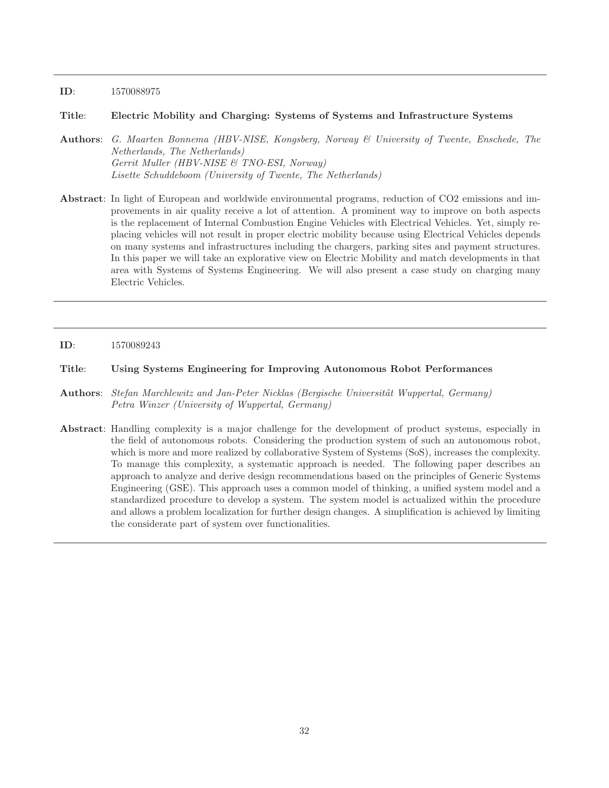#### Title: Electric Mobility and Charging: Systems of Systems and Infrastructure Systems

- Authors: G. Maarten Bonnema (HBV-NISE, Kongsberg, Norway & University of Twente, Enschede, The Netherlands, The Netherlands) Gerrit Muller (HBV-NISE & TNO-ESI, Norway) Lisette Schuddeboom (University of Twente, The Netherlands)
- Abstract: In light of European and worldwide environmental programs, reduction of CO2 emissions and improvements in air quality receive a lot of attention. A prominent way to improve on both aspects is the replacement of Internal Combustion Engine Vehicles with Electrical Vehicles. Yet, simply replacing vehicles will not result in proper electric mobility because using Electrical Vehicles depends on many systems and infrastructures including the chargers, parking sites and payment structures. In this paper we will take an explorative view on Electric Mobility and match developments in that area with Systems of Systems Engineering. We will also present a case study on charging many Electric Vehicles.

ID: 1570089243

#### Title: Using Systems Engineering for Improving Autonomous Robot Performances

- Authors: Stefan Marchlewitz and Jan-Peter Nicklas (Bergische Universität Wuppertal, Germany) Petra Winzer (University of Wuppertal, Germany)
- Abstract: Handling complexity is a major challenge for the development of product systems, especially in the field of autonomous robots. Considering the production system of such an autonomous robot, which is more and more realized by collaborative System of Systems (SoS), increases the complexity. To manage this complexity, a systematic approach is needed. The following paper describes an approach to analyze and derive design recommendations based on the principles of Generic Systems Engineering (GSE). This approach uses a common model of thinking, a unified system model and a standardized procedure to develop a system. The system model is actualized within the procedure and allows a problem localization for further design changes. A simplification is achieved by limiting the considerate part of system over functionalities.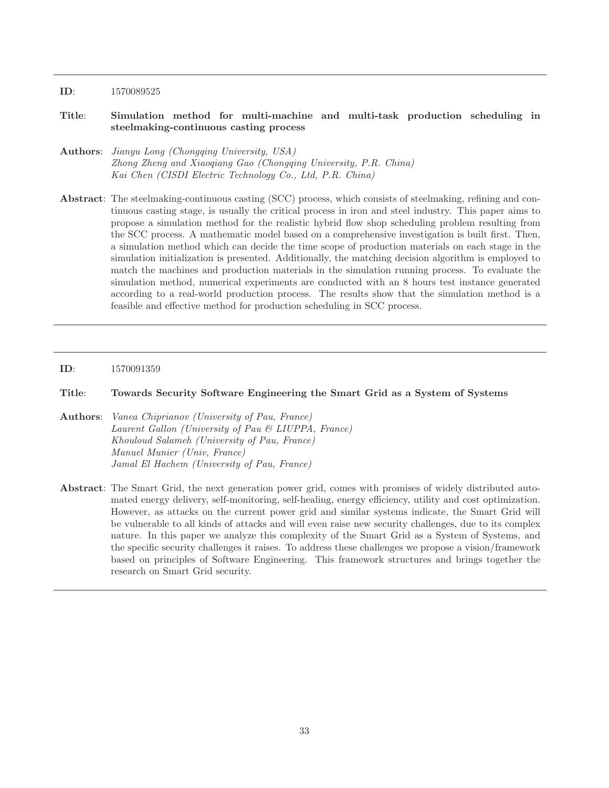Title: Simulation method for multi-machine and multi-task production scheduling in steelmaking-continuous casting process

Authors: Jianyu Long (Chongqing University, USA) Zhong Zheng and Xiaoqiang Gao (Chongqing University, P.R. China) Kai Chen (CISDI Electric Technology Co., Ltd, P.R. China)

Abstract: The steelmaking-continuous casting (SCC) process, which consists of steelmaking, refining and continuous casting stage, is usually the critical process in iron and steel industry. This paper aims to propose a simulation method for the realistic hybrid flow shop scheduling problem resulting from the SCC process. A mathematic model based on a comprehensive investigation is built first. Then, a simulation method which can decide the time scope of production materials on each stage in the simulation initialization is presented. Additionally, the matching decision algorithm is employed to match the machines and production materials in the simulation running process. To evaluate the simulation method, numerical experiments are conducted with an 8 hours test instance generated according to a real-world production process. The results show that the simulation method is a feasible and effective method for production scheduling in SCC process.

#### ID: 1570091359

#### Title: Towards Security Software Engineering the Smart Grid as a System of Systems

Authors: Vanea Chiprianov (University of Pau, France) Laurent Gallon (University of Pau & LIUPPA, France) Khouloud Salameh (University of Pau, France) Manuel Munier (Univ, France) Jamal El Hachem (University of Pau, France)

Abstract: The Smart Grid, the next generation power grid, comes with promises of widely distributed automated energy delivery, self-monitoring, self-healing, energy efficiency, utility and cost optimization. However, as attacks on the current power grid and similar systems indicate, the Smart Grid will be vulnerable to all kinds of attacks and will even raise new security challenges, due to its complex nature. In this paper we analyze this complexity of the Smart Grid as a System of Systems, and the specific security challenges it raises. To address these challenges we propose a vision/framework based on principles of Software Engineering. This framework structures and brings together the research on Smart Grid security.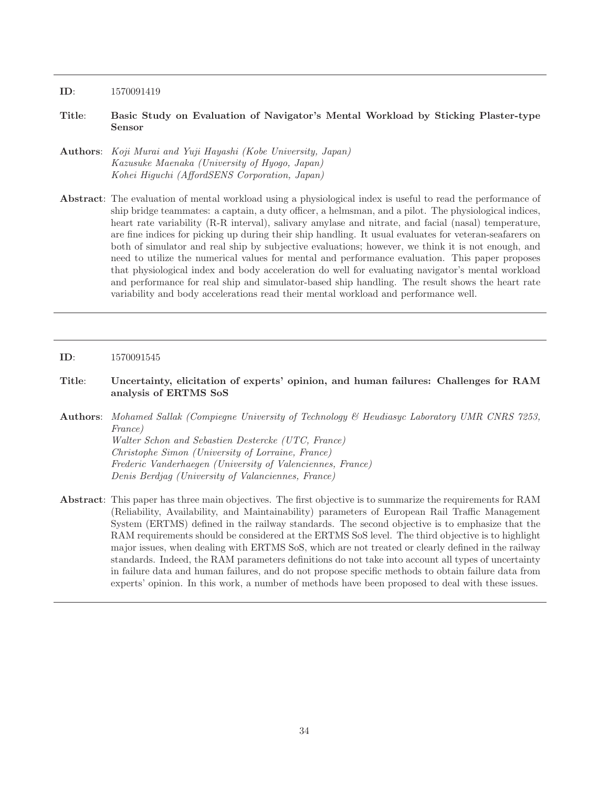#### Title: Basic Study on Evaluation of Navigator's Mental Workload by Sticking Plaster-type Sensor

Authors: Koji Murai and Yuji Hayashi (Kobe University, Japan) Kazusuke Maenaka (University of Hyogo, Japan) Kohei Higuchi (AffordSENS Corporation, Japan)

#### ID: 1570091545

#### Title: Uncertainty, elicitation of experts' opinion, and human failures: Challenges for RAM analysis of ERTMS SoS

- Authors: Mohamed Sallak (Compiegne University of Technology & Heudiasyc Laboratory UMR CNRS 7253, France) Walter Schon and Sebastien Destercke (UTC, France) Christophe Simon (University of Lorraine, France) Frederic Vanderhaegen (University of Valenciennes, France) Denis Berdjag (University of Valanciennes, France)
- Abstract: This paper has three main objectives. The first objective is to summarize the requirements for RAM (Reliability, Availability, and Maintainability) parameters of European Rail Traffic Management System (ERTMS) defined in the railway standards. The second objective is to emphasize that the RAM requirements should be considered at the ERTMS SoS level. The third objective is to highlight major issues, when dealing with ERTMS SoS, which are not treated or clearly defined in the railway standards. Indeed, the RAM parameters definitions do not take into account all types of uncertainty in failure data and human failures, and do not propose specific methods to obtain failure data from experts' opinion. In this work, a number of methods have been proposed to deal with these issues.

Abstract: The evaluation of mental workload using a physiological index is useful to read the performance of ship bridge teammates: a captain, a duty officer, a helmsman, and a pilot. The physiological indices, heart rate variability (R-R interval), salivary amylase and nitrate, and facial (nasal) temperature, are fine indices for picking up during their ship handling. It usual evaluates for veteran-seafarers on both of simulator and real ship by subjective evaluations; however, we think it is not enough, and need to utilize the numerical values for mental and performance evaluation. This paper proposes that physiological index and body acceleration do well for evaluating navigator's mental workload and performance for real ship and simulator-based ship handling. The result shows the heart rate variability and body accelerations read their mental workload and performance well.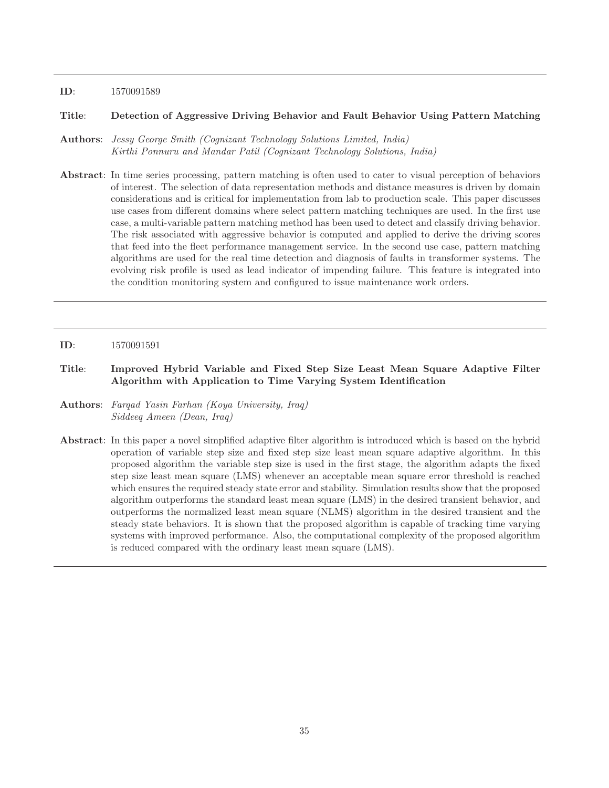#### Title: Detection of Aggressive Driving Behavior and Fault Behavior Using Pattern Matching

Authors: Jessy George Smith (Cognizant Technology Solutions Limited, India) Kirthi Ponnuru and Mandar Patil (Cognizant Technology Solutions, India)

Abstract: In time series processing, pattern matching is often used to cater to visual perception of behaviors of interest. The selection of data representation methods and distance measures is driven by domain considerations and is critical for implementation from lab to production scale. This paper discusses use cases from different domains where select pattern matching techniques are used. In the first use case, a multi-variable pattern matching method has been used to detect and classify driving behavior. The risk associated with aggressive behavior is computed and applied to derive the driving scores that feed into the fleet performance management service. In the second use case, pattern matching algorithms are used for the real time detection and diagnosis of faults in transformer systems. The evolving risk profile is used as lead indicator of impending failure. This feature is integrated into the condition monitoring system and configured to issue maintenance work orders.

#### ID: 1570091591

#### Title: Improved Hybrid Variable and Fixed Step Size Least Mean Square Adaptive Filter Algorithm with Application to Time Varying System Identification

- Authors: Farqad Yasin Farhan (Koya University, Iraq) Siddeeq Ameen (Dean, Iraq)
- Abstract: In this paper a novel simplified adaptive filter algorithm is introduced which is based on the hybrid operation of variable step size and fixed step size least mean square adaptive algorithm. In this proposed algorithm the variable step size is used in the first stage, the algorithm adapts the fixed step size least mean square (LMS) whenever an acceptable mean square error threshold is reached which ensures the required steady state error and stability. Simulation results show that the proposed algorithm outperforms the standard least mean square (LMS) in the desired transient behavior, and outperforms the normalized least mean square (NLMS) algorithm in the desired transient and the steady state behaviors. It is shown that the proposed algorithm is capable of tracking time varying systems with improved performance. Also, the computational complexity of the proposed algorithm is reduced compared with the ordinary least mean square (LMS).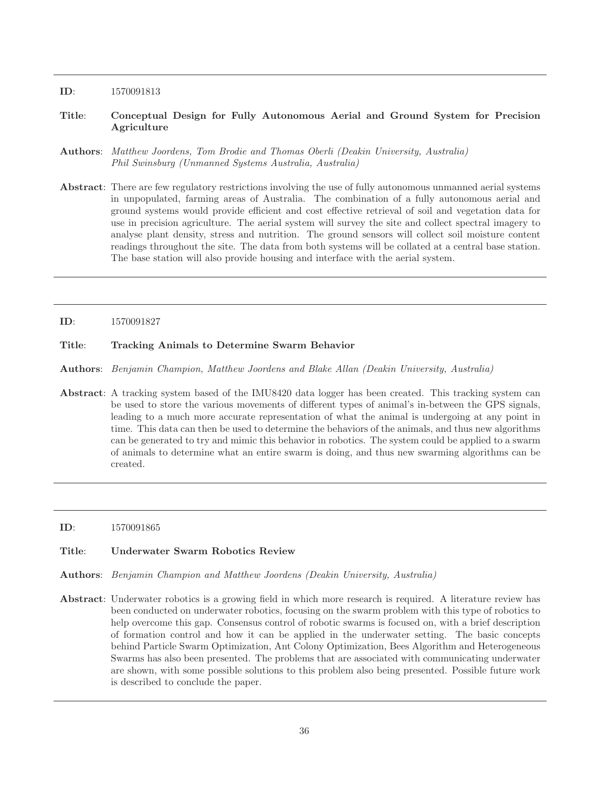- Title: Conceptual Design for Fully Autonomous Aerial and Ground System for Precision Agriculture
- Authors: Matthew Joordens, Tom Brodie and Thomas Oberli (Deakin University, Australia) Phil Swinsburg (Unmanned Systems Australia, Australia)
- Abstract: There are few regulatory restrictions involving the use of fully autonomous unmanned aerial systems in unpopulated, farming areas of Australia. The combination of a fully autonomous aerial and ground systems would provide efficient and cost effective retrieval of soil and vegetation data for use in precision agriculture. The aerial system will survey the site and collect spectral imagery to analyse plant density, stress and nutrition. The ground sensors will collect soil moisture content readings throughout the site. The data from both systems will be collated at a central base station. The base station will also provide housing and interface with the aerial system.

ID: 1570091827

#### Title: Tracking Animals to Determine Swarm Behavior

- Authors: Benjamin Champion, Matthew Joordens and Blake Allan (Deakin University, Australia)
- Abstract: A tracking system based of the IMU8420 data logger has been created. This tracking system can be used to store the various movements of different types of animal's in-between the GPS signals, leading to a much more accurate representation of what the animal is undergoing at any point in time. This data can then be used to determine the behaviors of the animals, and thus new algorithms can be generated to try and mimic this behavior in robotics. The system could be applied to a swarm of animals to determine what an entire swarm is doing, and thus new swarming algorithms can be created.

ID: 1570091865

#### Title: Underwater Swarm Robotics Review

- Authors: Benjamin Champion and Matthew Joordens (Deakin University, Australia)
- Abstract: Underwater robotics is a growing field in which more research is required. A literature review has been conducted on underwater robotics, focusing on the swarm problem with this type of robotics to help overcome this gap. Consensus control of robotic swarms is focused on, with a brief description of formation control and how it can be applied in the underwater setting. The basic concepts behind Particle Swarm Optimization, Ant Colony Optimization, Bees Algorithm and Heterogeneous Swarms has also been presented. The problems that are associated with communicating underwater are shown, with some possible solutions to this problem also being presented. Possible future work is described to conclude the paper.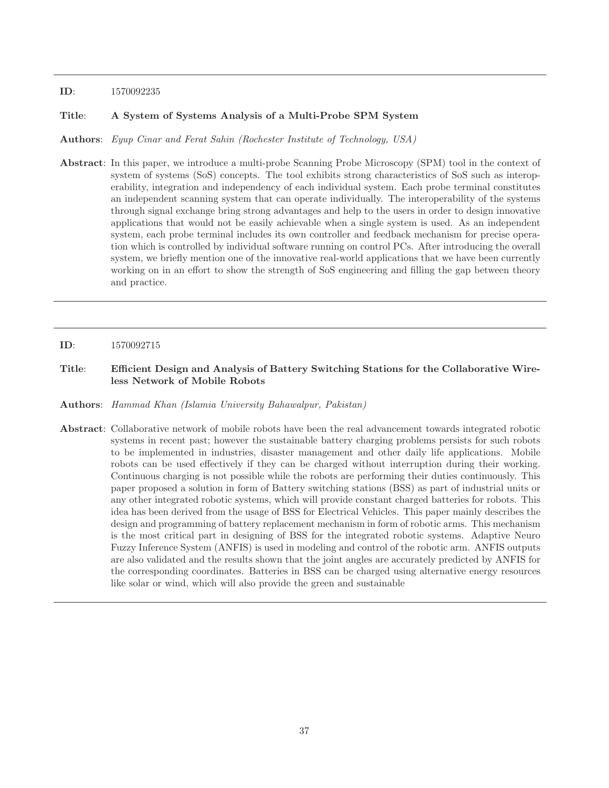#### Title: A System of Systems Analysis of a Multi-Probe SPM System

Authors: Eyup Cinar and Ferat Sahin (Rochester Institute of Technology, USA)

- Abstract: In this paper, we introduce a multi-probe Scanning Probe Microscopy (SPM) tool in the context of system of systems (SoS) concepts. The tool exhibits strong characteristics of SoS such as interoperability, integration and independency of each individual system. Each probe terminal constitutes an independent scanning system that can operate individually. The interoperability of the systems through signal exchange bring strong advantages and help to the users in order to design innovative applications that would not be easily achievable when a single system is used. As an independent system, each probe terminal includes its own controller and feedback mechanism for precise operation which is controlled by individual software running on control PCs. After introducing the overall system, we briefly mention one of the innovative real-world applications that we have been currently working on in an effort to show the strength of SoS engineering and filling the gap between theory and practice.
- ID: 1570092715

# Title: Efficient Design and Analysis of Battery Switching Stations for the Collaborative Wireless Network of Mobile Robots

- Authors: Hammad Khan (Islamia University Bahawalpur, Pakistan)
- Abstract: Collaborative network of mobile robots have been the real advancement towards integrated robotic systems in recent past; however the sustainable battery charging problems persists for such robots to be implemented in industries, disaster management and other daily life applications. Mobile robots can be used effectively if they can be charged without interruption during their working. Continuous charging is not possible while the robots are performing their duties continuously. This paper proposed a solution in form of Battery switching stations (BSS) as part of industrial units or any other integrated robotic systems, which will provide constant charged batteries for robots. This idea has been derived from the usage of BSS for Electrical Vehicles. This paper mainly describes the design and programming of battery replacement mechanism in form of robotic arms. This mechanism is the most critical part in designing of BSS for the integrated robotic systems. Adaptive Neuro Fuzzy Inference System (ANFIS) is used in modeling and control of the robotic arm. ANFIS outputs are also validated and the results shown that the joint angles are accurately predicted by ANFIS for the corresponding coordinates. Batteries in BSS can be charged using alternative energy resources like solar or wind, which will also provide the green and sustainable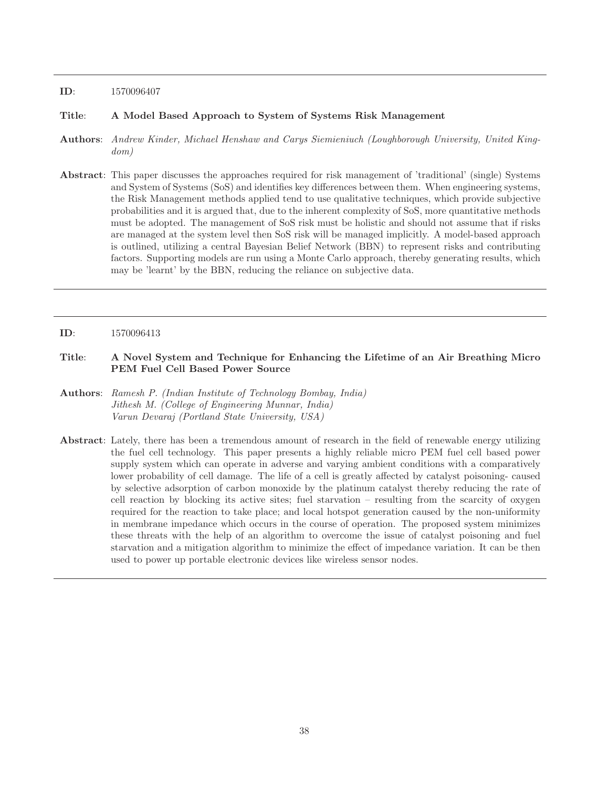#### Title: A Model Based Approach to System of Systems Risk Management

- Authors: Andrew Kinder, Michael Henshaw and Carys Siemieniuch (Loughborough University, United Kingdom)
- Abstract: This paper discusses the approaches required for risk management of 'traditional' (single) Systems and System of Systems (SoS) and identifies key differences between them. When engineering systems, the Risk Management methods applied tend to use qualitative techniques, which provide subjective probabilities and it is argued that, due to the inherent complexity of SoS, more quantitative methods must be adopted. The management of SoS risk must be holistic and should not assume that if risks are managed at the system level then SoS risk will be managed implicitly. A model-based approach is outlined, utilizing a central Bayesian Belief Network (BBN) to represent risks and contributing factors. Supporting models are run using a Monte Carlo approach, thereby generating results, which may be 'learnt' by the BBN, reducing the reliance on subjective data.

### ID: 1570096413

# Title: A Novel System and Technique for Enhancing the Lifetime of an Air Breathing Micro PEM Fuel Cell Based Power Source

- Authors: Ramesh P. (Indian Institute of Technology Bombay, India) Jithesh M. (College of Engineering Munnar, India) Varun Devaraj (Portland State University, USA)
- Abstract: Lately, there has been a tremendous amount of research in the field of renewable energy utilizing the fuel cell technology. This paper presents a highly reliable micro PEM fuel cell based power supply system which can operate in adverse and varying ambient conditions with a comparatively lower probability of cell damage. The life of a cell is greatly affected by catalyst poisoning- caused by selective adsorption of carbon monoxide by the platinum catalyst thereby reducing the rate of cell reaction by blocking its active sites; fuel starvation – resulting from the scarcity of oxygen required for the reaction to take place; and local hotspot generation caused by the non-uniformity in membrane impedance which occurs in the course of operation. The proposed system minimizes these threats with the help of an algorithm to overcome the issue of catalyst poisoning and fuel starvation and a mitigation algorithm to minimize the effect of impedance variation. It can be then used to power up portable electronic devices like wireless sensor nodes.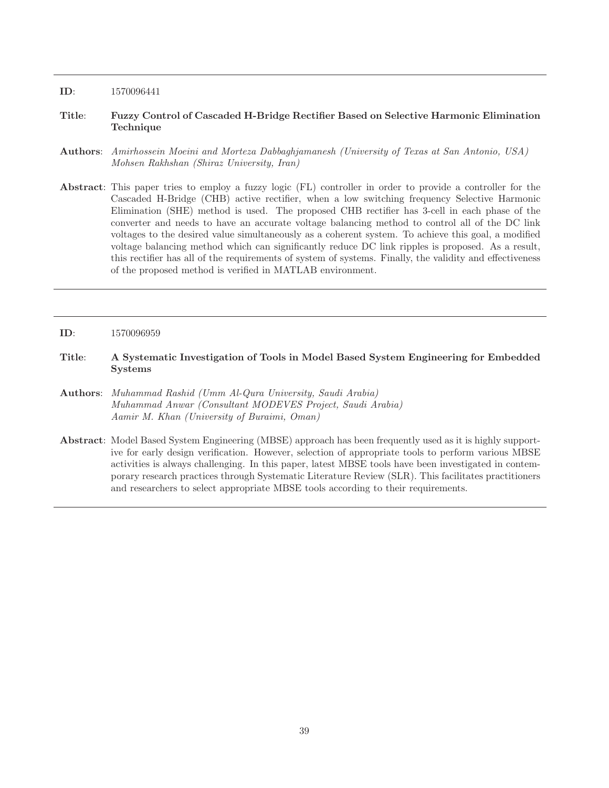# Title: Fuzzy Control of Cascaded H-Bridge Rectifier Based on Selective Harmonic Elimination Technique

- Authors: Amirhossein Moeini and Morteza Dabbaghjamanesh (University of Texas at San Antonio, USA) Mohsen Rakhshan (Shiraz University, Iran)
- Abstract: This paper tries to employ a fuzzy logic (FL) controller in order to provide a controller for the Cascaded H-Bridge (CHB) active rectifier, when a low switching frequency Selective Harmonic Elimination (SHE) method is used. The proposed CHB rectifier has 3-cell in each phase of the converter and needs to have an accurate voltage balancing method to control all of the DC link voltages to the desired value simultaneously as a coherent system. To achieve this goal, a modified voltage balancing method which can significantly reduce DC link ripples is proposed. As a result, this rectifier has all of the requirements of system of systems. Finally, the validity and effectiveness of the proposed method is verified in MATLAB environment.

#### ID: 1570096959

- Title: A Systematic Investigation of Tools in Model Based System Engineering for Embedded Systems
- Authors: Muhammad Rashid (Umm Al-Qura University, Saudi Arabia) Muhammad Anwar (Consultant MODEVES Project, Saudi Arabia) Aamir M. Khan (University of Buraimi, Oman)
- Abstract: Model Based System Engineering (MBSE) approach has been frequently used as it is highly supportive for early design verification. However, selection of appropriate tools to perform various MBSE activities is always challenging. In this paper, latest MBSE tools have been investigated in contemporary research practices through Systematic Literature Review (SLR). This facilitates practitioners and researchers to select appropriate MBSE tools according to their requirements.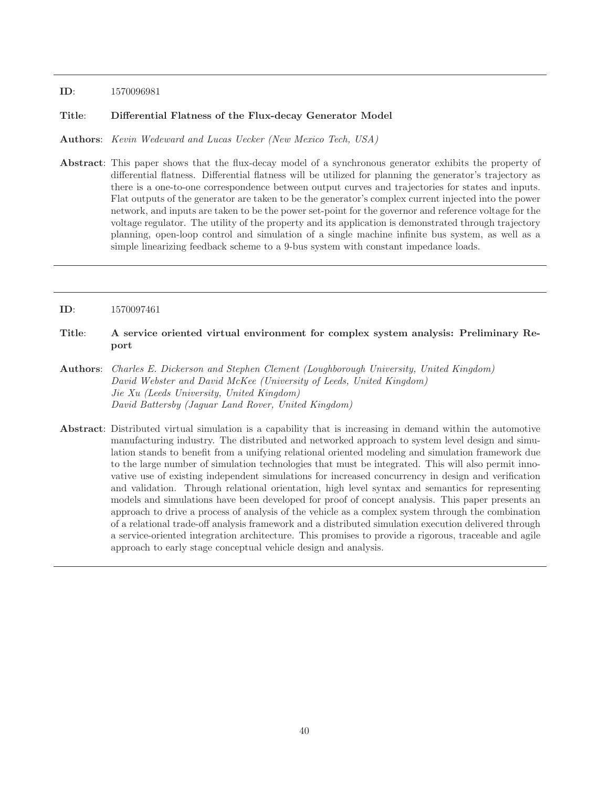#### Title: Differential Flatness of the Flux-decay Generator Model

Authors: Kevin Wedeward and Lucas Uecker (New Mexico Tech, USA)

Abstract: This paper shows that the flux-decay model of a synchronous generator exhibits the property of differential flatness. Differential flatness will be utilized for planning the generator's trajectory as there is a one-to-one correspondence between output curves and trajectories for states and inputs. Flat outputs of the generator are taken to be the generator's complex current injected into the power network, and inputs are taken to be the power set-point for the governor and reference voltage for the voltage regulator. The utility of the property and its application is demonstrated through trajectory planning, open-loop control and simulation of a single machine infinite bus system, as well as a simple linearizing feedback scheme to a 9-bus system with constant impedance loads.

ID: 1570097461

# Title: A service oriented virtual environment for complex system analysis: Preliminary Report

- Authors: Charles E. Dickerson and Stephen Clement (Loughborough University, United Kingdom) David Webster and David McKee (University of Leeds, United Kingdom) Jie Xu (Leeds University, United Kingdom) David Battersby (Jaguar Land Rover, United Kingdom)
- Abstract: Distributed virtual simulation is a capability that is increasing in demand within the automotive manufacturing industry. The distributed and networked approach to system level design and simulation stands to benefit from a unifying relational oriented modeling and simulation framework due to the large number of simulation technologies that must be integrated. This will also permit innovative use of existing independent simulations for increased concurrency in design and verification and validation. Through relational orientation, high level syntax and semantics for representing models and simulations have been developed for proof of concept analysis. This paper presents an approach to drive a process of analysis of the vehicle as a complex system through the combination of a relational trade-off analysis framework and a distributed simulation execution delivered through a service-oriented integration architecture. This promises to provide a rigorous, traceable and agile approach to early stage conceptual vehicle design and analysis.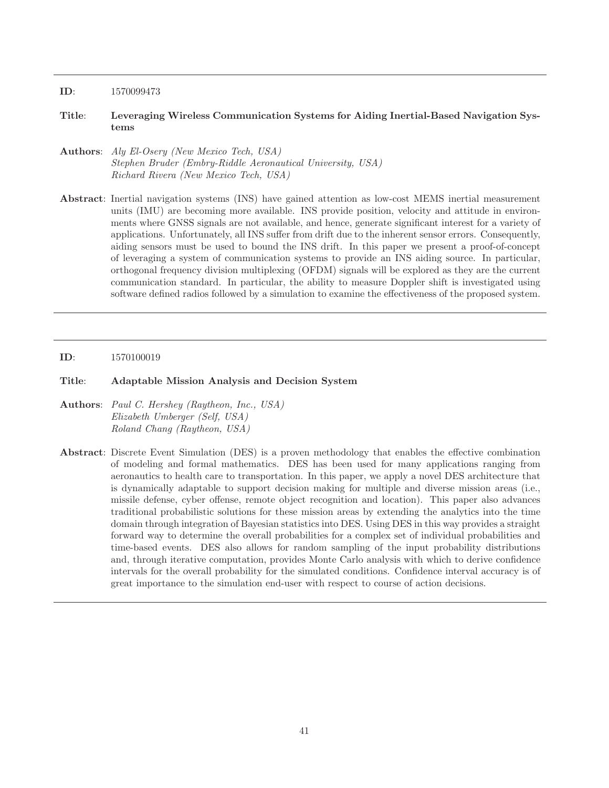# Title: Leveraging Wireless Communication Systems for Aiding Inertial-Based Navigation Systems

- Authors: Aly El-Osery (New Mexico Tech, USA) Stephen Bruder (Embry-Riddle Aeronautical University, USA) Richard Rivera (New Mexico Tech, USA)
- Abstract: Inertial navigation systems (INS) have gained attention as low-cost MEMS inertial measurement units (IMU) are becoming more available. INS provide position, velocity and attitude in environments where GNSS signals are not available, and hence, generate significant interest for a variety of applications. Unfortunately, all INS suffer from drift due to the inherent sensor errors. Consequently, aiding sensors must be used to bound the INS drift. In this paper we present a proof-of-concept of leveraging a system of communication systems to provide an INS aiding source. In particular, orthogonal frequency division multiplexing (OFDM) signals will be explored as they are the current communication standard. In particular, the ability to measure Doppler shift is investigated using software defined radios followed by a simulation to examine the effectiveness of the proposed system.

#### ID: 1570100019

## Title: Adaptable Mission Analysis and Decision System

- Authors: Paul C. Hershey (Raytheon, Inc., USA) Elizabeth Umberger (Self, USA) Roland Chang (Raytheon, USA)
- Abstract: Discrete Event Simulation (DES) is a proven methodology that enables the effective combination of modeling and formal mathematics. DES has been used for many applications ranging from aeronautics to health care to transportation. In this paper, we apply a novel DES architecture that is dynamically adaptable to support decision making for multiple and diverse mission areas (i.e., missile defense, cyber offense, remote object recognition and location). This paper also advances traditional probabilistic solutions for these mission areas by extending the analytics into the time domain through integration of Bayesian statistics into DES. Using DES in this way provides a straight forward way to determine the overall probabilities for a complex set of individual probabilities and time-based events. DES also allows for random sampling of the input probability distributions and, through iterative computation, provides Monte Carlo analysis with which to derive confidence intervals for the overall probability for the simulated conditions. Confidence interval accuracy is of great importance to the simulation end-user with respect to course of action decisions.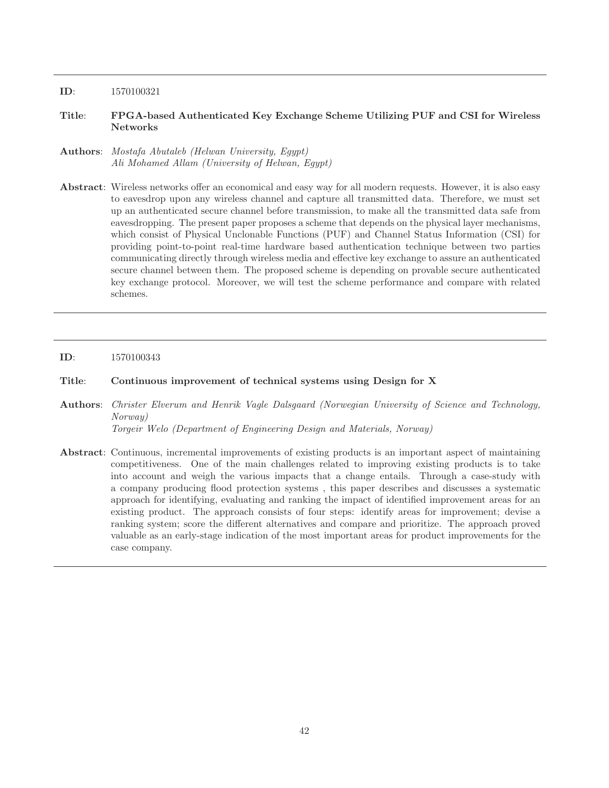## Title: FPGA-based Authenticated Key Exchange Scheme Utilizing PUF and CSI for Wireless Networks

Authors: Mostafa Abutaleb (Helwan University, Egypt) Ali Mohamed Allam (University of Helwan, Egypt)

Abstract: Wireless networks offer an economical and easy way for all modern requests. However, it is also easy to eavesdrop upon any wireless channel and capture all transmitted data. Therefore, we must set up an authenticated secure channel before transmission, to make all the transmitted data safe from eavesdropping. The present paper proposes a scheme that depends on the physical layer mechanisms, which consist of Physical Unclonable Functions (PUF) and Channel Status Information (CSI) for providing point-to-point real-time hardware based authentication technique between two parties communicating directly through wireless media and effective key exchange to assure an authenticated secure channel between them. The proposed scheme is depending on provable secure authenticated key exchange protocol. Moreover, we will test the scheme performance and compare with related schemes.

#### ID: 1570100343

#### Title: Continuous improvement of technical systems using Design for X

- Authors: Christer Elverum and Henrik Vagle Dalsgaard (Norwegian University of Science and Technology, Norway) Torgeir Welo (Department of Engineering Design and Materials, Norway)
- Abstract: Continuous, incremental improvements of existing products is an important aspect of maintaining competitiveness. One of the main challenges related to improving existing products is to take into account and weigh the various impacts that a change entails. Through a case-study with a company producing flood protection systems , this paper describes and discusses a systematic approach for identifying, evaluating and ranking the impact of identified improvement areas for an existing product. The approach consists of four steps: identify areas for improvement; devise a ranking system; score the different alternatives and compare and prioritize. The approach proved valuable as an early-stage indication of the most important areas for product improvements for the case company.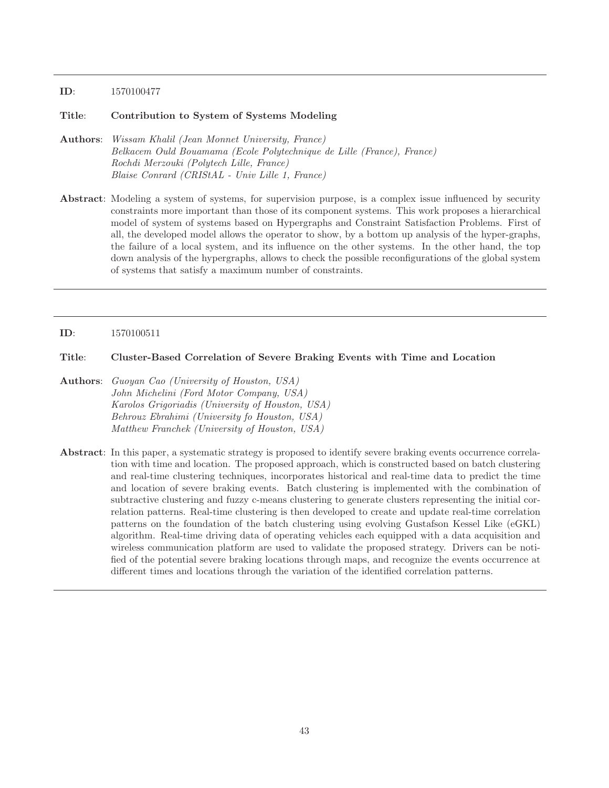#### Title: Contribution to System of Systems Modeling

Authors: Wissam Khalil (Jean Monnet University, France) Belkacem Ould Bouamama (Ecole Polytechnique de Lille (France), France) Rochdi Merzouki (Polytech Lille, France) Blaise Conrard (CRIStAL - Univ Lille 1, France)

Abstract: Modeling a system of systems, for supervision purpose, is a complex issue influenced by security constraints more important than those of its component systems. This work proposes a hierarchical model of system of systems based on Hypergraphs and Constraint Satisfaction Problems. First of all, the developed model allows the operator to show, by a bottom up analysis of the hyper-graphs, the failure of a local system, and its influence on the other systems. In the other hand, the top down analysis of the hypergraphs, allows to check the possible reconfigurations of the global system of systems that satisfy a maximum number of constraints.

### ID: 1570100511

#### Title: Cluster-Based Correlation of Severe Braking Events with Time and Location

- Authors: Guoyan Cao (University of Houston, USA) John Michelini (Ford Motor Company, USA) Karolos Grigoriadis (University of Houston, USA) Behrouz Ebrahimi (University fo Houston, USA) Matthew Franchek (University of Houston, USA)
- Abstract: In this paper, a systematic strategy is proposed to identify severe braking events occurrence correlation with time and location. The proposed approach, which is constructed based on batch clustering and real-time clustering techniques, incorporates historical and real-time data to predict the time and location of severe braking events. Batch clustering is implemented with the combination of subtractive clustering and fuzzy c-means clustering to generate clusters representing the initial correlation patterns. Real-time clustering is then developed to create and update real-time correlation patterns on the foundation of the batch clustering using evolving Gustafson Kessel Like (eGKL) algorithm. Real-time driving data of operating vehicles each equipped with a data acquisition and wireless communication platform are used to validate the proposed strategy. Drivers can be notified of the potential severe braking locations through maps, and recognize the events occurrence at different times and locations through the variation of the identified correlation patterns.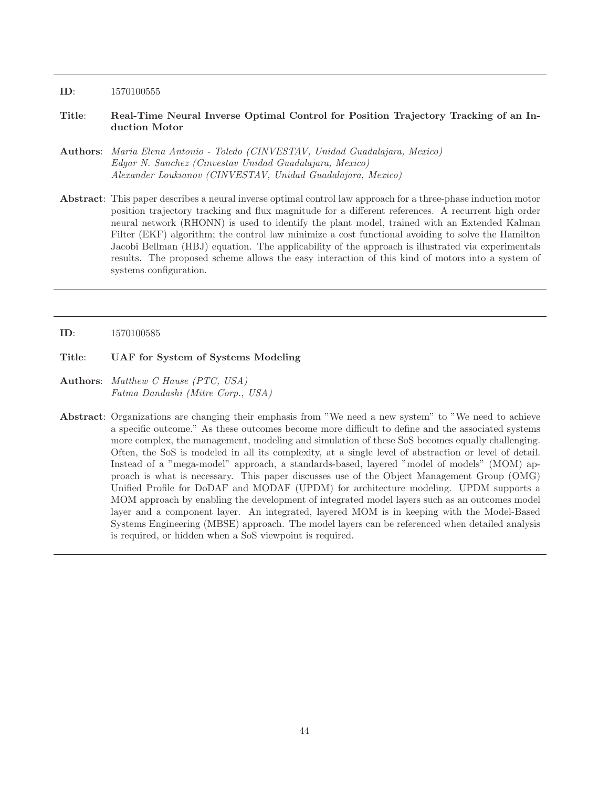- Title: Real-Time Neural Inverse Optimal Control for Position Trajectory Tracking of an Induction Motor
- Authors: Maria Elena Antonio Toledo (CINVESTAV, Unidad Guadalajara, Mexico) Edgar N. Sanchez (Cinvestav Unidad Guadalajara, Mexico) Alexander Loukianov (CINVESTAV, Unidad Guadalajara, Mexico)
- Abstract: This paper describes a neural inverse optimal control law approach for a three-phase induction motor position trajectory tracking and flux magnitude for a different references. A recurrent high order neural network (RHONN) is used to identify the plant model, trained with an Extended Kalman Filter (EKF) algorithm; the control law minimize a cost functional avoiding to solve the Hamilton Jacobi Bellman (HBJ) equation. The applicability of the approach is illustrated via experimentals results. The proposed scheme allows the easy interaction of this kind of motors into a system of systems configuration.

## ID: 1570100585

#### Title: UAF for System of Systems Modeling

- Authors: Matthew C Hause (PTC, USA) Fatma Dandashi (Mitre Corp., USA)
- Abstract: Organizations are changing their emphasis from "We need a new system" to "We need to achieve a specific outcome." As these outcomes become more difficult to define and the associated systems more complex, the management, modeling and simulation of these SoS becomes equally challenging. Often, the SoS is modeled in all its complexity, at a single level of abstraction or level of detail. Instead of a "mega-model" approach, a standards-based, layered "model of models" (MOM) approach is what is necessary. This paper discusses use of the Object Management Group (OMG) Unified Profile for DoDAF and MODAF (UPDM) for architecture modeling. UPDM supports a MOM approach by enabling the development of integrated model layers such as an outcomes model layer and a component layer. An integrated, layered MOM is in keeping with the Model-Based Systems Engineering (MBSE) approach. The model layers can be referenced when detailed analysis is required, or hidden when a SoS viewpoint is required.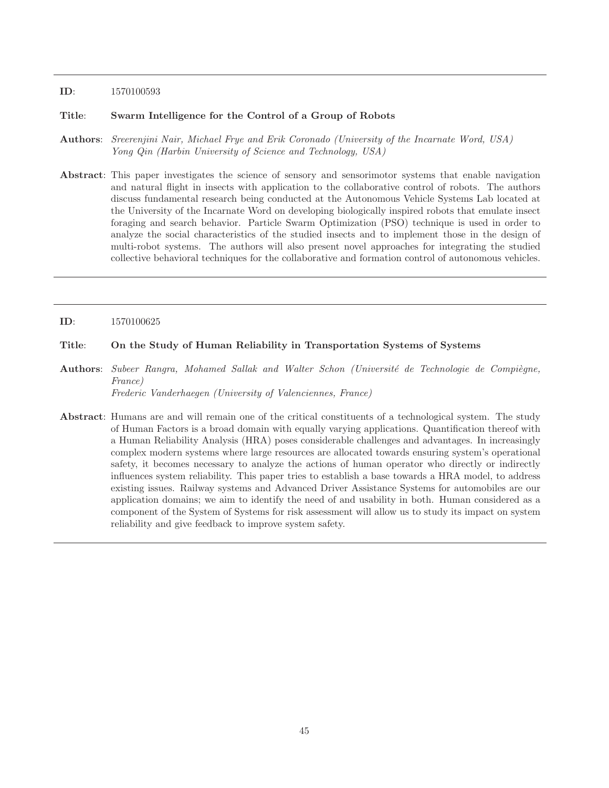#### Title: Swarm Intelligence for the Control of a Group of Robots

- Authors: Sreerenjini Nair, Michael Frye and Erik Coronado (University of the Incarnate Word, USA) Yong Qin (Harbin University of Science and Technology, USA)
- Abstract: This paper investigates the science of sensory and sensorimotor systems that enable navigation and natural flight in insects with application to the collaborative control of robots. The authors discuss fundamental research being conducted at the Autonomous Vehicle Systems Lab located at the University of the Incarnate Word on developing biologically inspired robots that emulate insect foraging and search behavior. Particle Swarm Optimization (PSO) technique is used in order to analyze the social characteristics of the studied insects and to implement those in the design of multi-robot systems. The authors will also present novel approaches for integrating the studied collective behavioral techniques for the collaborative and formation control of autonomous vehicles.

ID: 1570100625

# Title: On the Study of Human Reliability in Transportation Systems of Systems

- Authors: Subeer Rangra, Mohamed Sallak and Walter Schon (Université de Technologie de Compiègne, France) Frederic Vanderhaegen (University of Valenciennes, France)
- Abstract: Humans are and will remain one of the critical constituents of a technological system. The study of Human Factors is a broad domain with equally varying applications. Quantification thereof with a Human Reliability Analysis (HRA) poses considerable challenges and advantages. In increasingly complex modern systems where large resources are allocated towards ensuring system's operational safety, it becomes necessary to analyze the actions of human operator who directly or indirectly influences system reliability. This paper tries to establish a base towards a HRA model, to address existing issues. Railway systems and Advanced Driver Assistance Systems for automobiles are our application domains; we aim to identify the need of and usability in both. Human considered as a component of the System of Systems for risk assessment will allow us to study its impact on system reliability and give feedback to improve system safety.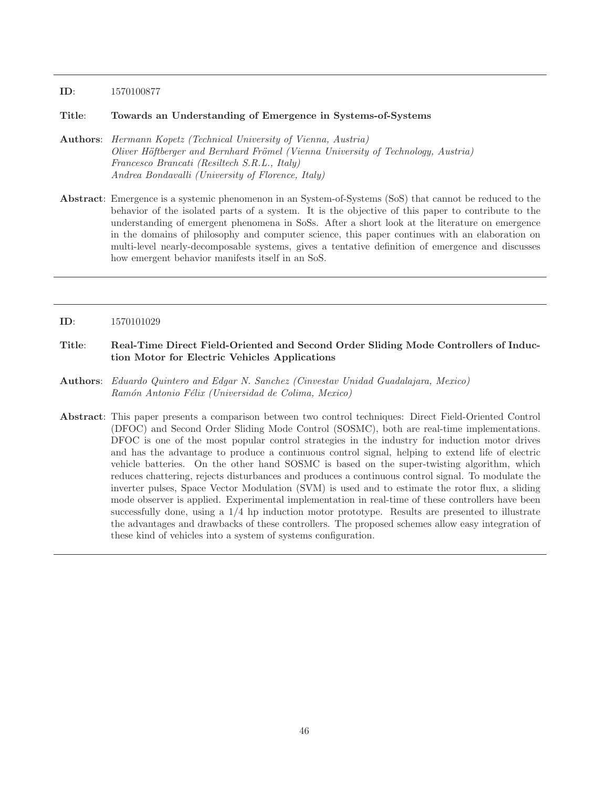#### Title: Towards an Understanding of Emergence in Systems-of-Systems

- Authors: Hermann Kopetz (Technical University of Vienna, Austria) Oliver Höftberger and Bernhard Frömel (Vienna University of Technology, Austria) Francesco Brancati (Resiltech S.R.L., Italy) Andrea Bondavalli (University of Florence, Italy)
- Abstract: Emergence is a systemic phenomenon in an System-of-Systems (SoS) that cannot be reduced to the behavior of the isolated parts of a system. It is the objective of this paper to contribute to the understanding of emergent phenomena in SoSs. After a short look at the literature on emergence in the domains of philosophy and computer science, this paper continues with an elaboration on multi-level nearly-decomposable systems, gives a tentative definition of emergence and discusses how emergent behavior manifests itself in an SoS.

#### ID: 1570101029

# Title: Real-Time Direct Field-Oriented and Second Order Sliding Mode Controllers of Induction Motor for Electric Vehicles Applications

- Authors: Eduardo Quintero and Edgar N. Sanchez (Cinvestav Unidad Guadalajara, Mexico) Ramón Antonio Félix (Universidad de Colima, Mexico)
- Abstract: This paper presents a comparison between two control techniques: Direct Field-Oriented Control (DFOC) and Second Order Sliding Mode Control (SOSMC), both are real-time implementations. DFOC is one of the most popular control strategies in the industry for induction motor drives and has the advantage to produce a continuous control signal, helping to extend life of electric vehicle batteries. On the other hand SOSMC is based on the super-twisting algorithm, which reduces chattering, rejects disturbances and produces a continuous control signal. To modulate the inverter pulses, Space Vector Modulation (SVM) is used and to estimate the rotor flux, a sliding mode observer is applied. Experimental implementation in real-time of these controllers have been successfully done, using a  $1/4$  hp induction motor prototype. Results are presented to illustrate the advantages and drawbacks of these controllers. The proposed schemes allow easy integration of these kind of vehicles into a system of systems configuration.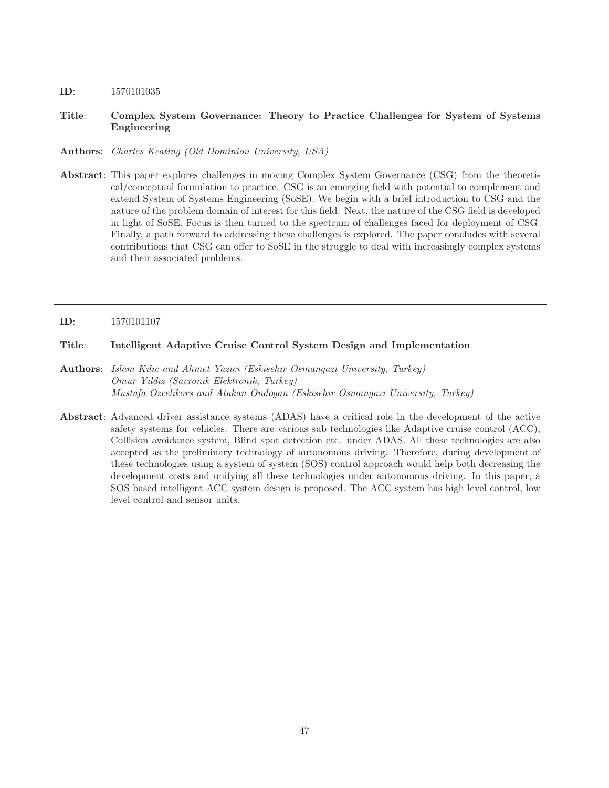# Title: Complex System Governance: Theory to Practice Challenges for System of Systems Engineering

## Authors: Charles Keating (Old Dominion University, USA)

Abstract: This paper explores challenges in moving Complex System Governance (CSG) from the theoretical/conceptual formulation to practice. CSG is an emerging field with potential to complement and extend System of Systems Engineering (SoSE). We begin with a brief introduction to CSG and the nature of the problem domain of interest for this field. Next, the nature of the CSG field is developed in light of SoSE. Focus is then turned to the spectrum of challenges faced for deployment of CSG. Finally, a path forward to addressing these challenges is explored. The paper concludes with several contributions that CSG can offer to SoSE in the struggle to deal with increasingly complex systems and their associated problems.

#### ID: 1570101107

# Title: Intelligent Adaptive Cruise Control System Design and Implementation

- Authors: Islam Kilic and Ahmet Yazici (Eskisehir Osmangazi University, Turkey) Omur Yıldız (Savronik Elektronik, Turkey) Mustafa Ozcelikors and Atakan Ondogan (Eskisehir Osmangazi University, Turkey)
- Abstract: Advanced driver assistance systems (ADAS) have a critical role in the development of the active safety systems for vehicles. There are various sub technologies like Adaptive cruise control (ACC), Collision avoidance system, Blind spot detection etc. under ADAS. All these technologies are also accepted as the preliminary technology of autonomous driving. Therefore, during development of these technologies using a system of system (SOS) control approach would help both decreasing the development costs and unifying all these technologies under autonomous driving. In this paper, a SOS based intelligent ACC system design is proposed. The ACC system has high level control, low level control and sensor units.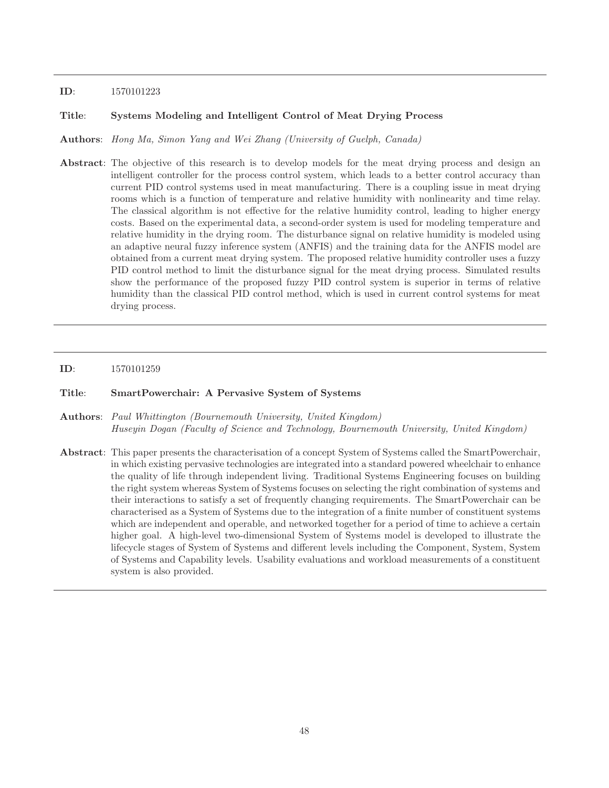## Title: Systems Modeling and Intelligent Control of Meat Drying Process

Authors: Hong Ma, Simon Yang and Wei Zhang (University of Guelph, Canada)

Abstract: The objective of this research is to develop models for the meat drying process and design an intelligent controller for the process control system, which leads to a better control accuracy than current PID control systems used in meat manufacturing. There is a coupling issue in meat drying rooms which is a function of temperature and relative humidity with nonlinearity and time relay. The classical algorithm is not effective for the relative humidity control, leading to higher energy costs. Based on the experimental data, a second-order system is used for modeling temperature and relative humidity in the drying room. The disturbance signal on relative humidity is modeled using an adaptive neural fuzzy inference system (ANFIS) and the training data for the ANFIS model are obtained from a current meat drying system. The proposed relative humidity controller uses a fuzzy PID control method to limit the disturbance signal for the meat drying process. Simulated results show the performance of the proposed fuzzy PID control system is superior in terms of relative humidity than the classical PID control method, which is used in current control systems for meat drying process.

## ID: 1570101259

# Title: SmartPowerchair: A Pervasive System of Systems

- Authors: Paul Whittington (Bournemouth University, United Kingdom) Huseyin Dogan (Faculty of Science and Technology, Bournemouth University, United Kingdom)
- Abstract: This paper presents the characterisation of a concept System of Systems called the SmartPowerchair, in which existing pervasive technologies are integrated into a standard powered wheelchair to enhance the quality of life through independent living. Traditional Systems Engineering focuses on building the right system whereas System of Systems focuses on selecting the right combination of systems and their interactions to satisfy a set of frequently changing requirements. The SmartPowerchair can be characterised as a System of Systems due to the integration of a finite number of constituent systems which are independent and operable, and networked together for a period of time to achieve a certain higher goal. A high-level two-dimensional System of Systems model is developed to illustrate the lifecycle stages of System of Systems and different levels including the Component, System, System of Systems and Capability levels. Usability evaluations and workload measurements of a constituent system is also provided.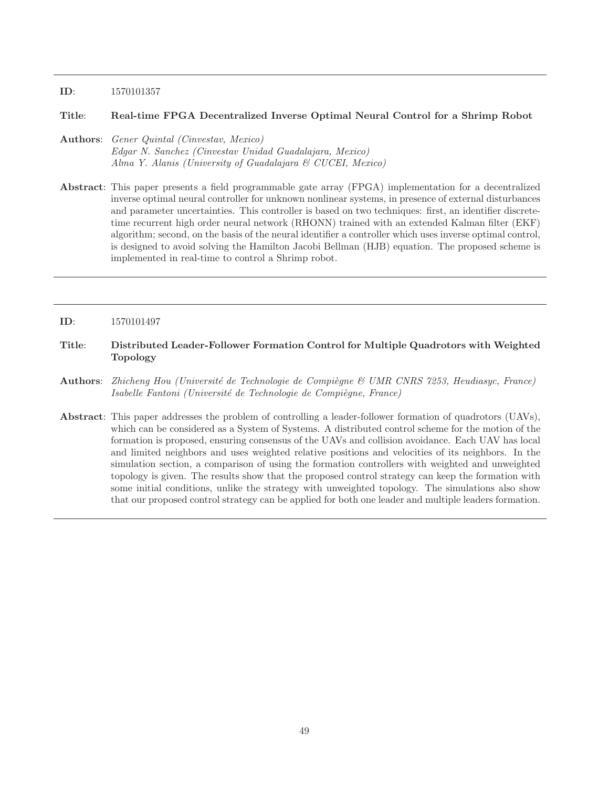#### Title: Real-time FPGA Decentralized Inverse Optimal Neural Control for a Shrimp Robot

Authors: Gener Quintal (Cinvestav, Mexico) Edgar N. Sanchez (Cinvestav Unidad Guadalajara, Mexico) Alma Y. Alanis (University of Guadalajara & CUCEI, Mexico)

Abstract: This paper presents a field programmable gate array (FPGA) implementation for a decentralized inverse optimal neural controller for unknown nonlinear systems, in presence of external disturbances and parameter uncertainties. This controller is based on two techniques: first, an identifier discretetime recurrent high order neural network (RHONN) trained with an extended Kalman filter (EKF) algorithm; second, on the basis of the neural identifier a controller which uses inverse optimal control, is designed to avoid solving the Hamilton Jacobi Bellman (HJB) equation. The proposed scheme is implemented in real-time to control a Shrimp robot.

#### ID: 1570101497

# Title: Distributed Leader-Follower Formation Control for Multiple Quadrotors with Weighted Topology

- Authors: Zhicheng Hou (Université de Technologie de Compiègne & UMR CNRS 7253, Heudiasyc, France) Isabelle Fantoni (Université de Technologie de Compiègne, France)
- Abstract: This paper addresses the problem of controlling a leader-follower formation of quadrotors (UAVs), which can be considered as a System of Systems. A distributed control scheme for the motion of the formation is proposed, ensuring consensus of the UAVs and collision avoidance. Each UAV has local and limited neighbors and uses weighted relative positions and velocities of its neighbors. In the simulation section, a comparison of using the formation controllers with weighted and unweighted topology is given. The results show that the proposed control strategy can keep the formation with some initial conditions, unlike the strategy with unweighted topology. The simulations also show that our proposed control strategy can be applied for both one leader and multiple leaders formation.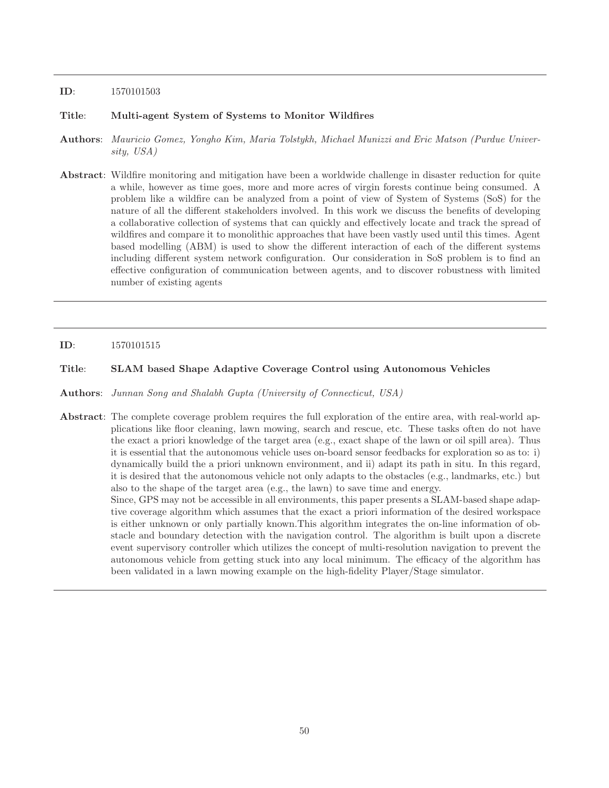#### Title: Multi-agent System of Systems to Monitor Wildfires

- Authors: Mauricio Gomez, Yongho Kim, Maria Tolstykh, Michael Munizzi and Eric Matson (Purdue University, USA)
- Abstract: Wildfire monitoring and mitigation have been a worldwide challenge in disaster reduction for quite a while, however as time goes, more and more acres of virgin forests continue being consumed. A problem like a wildfire can be analyzed from a point of view of System of Systems (SoS) for the nature of all the different stakeholders involved. In this work we discuss the benefits of developing a collaborative collection of systems that can quickly and effectively locate and track the spread of wildfires and compare it to monolithic approaches that have been vastly used until this times. Agent based modelling (ABM) is used to show the different interaction of each of the different systems including different system network configuration. Our consideration in SoS problem is to find an effective configuration of communication between agents, and to discover robustness with limited number of existing agents

ID: 1570101515

## Title: SLAM based Shape Adaptive Coverage Control using Autonomous Vehicles

- Authors: Junnan Song and Shalabh Gupta (University of Connecticut, USA)
- Abstract: The complete coverage problem requires the full exploration of the entire area, with real-world applications like floor cleaning, lawn mowing, search and rescue, etc. These tasks often do not have the exact a priori knowledge of the target area (e.g., exact shape of the lawn or oil spill area). Thus it is essential that the autonomous vehicle uses on-board sensor feedbacks for exploration so as to: i) dynamically build the a priori unknown environment, and ii) adapt its path in situ. In this regard, it is desired that the autonomous vehicle not only adapts to the obstacles (e.g., landmarks, etc.) but also to the shape of the target area (e.g., the lawn) to save time and energy. Since, GPS may not be accessible in all environments, this paper presents a SLAM-based shape adaptive coverage algorithm which assumes that the exact a priori information of the desired workspace is either unknown or only partially known.This algorithm integrates the on-line information of obstacle and boundary detection with the navigation control. The algorithm is built upon a discrete event supervisory controller which utilizes the concept of multi-resolution navigation to prevent the autonomous vehicle from getting stuck into any local minimum. The efficacy of the algorithm has

been validated in a lawn mowing example on the high-fidelity Player/Stage simulator.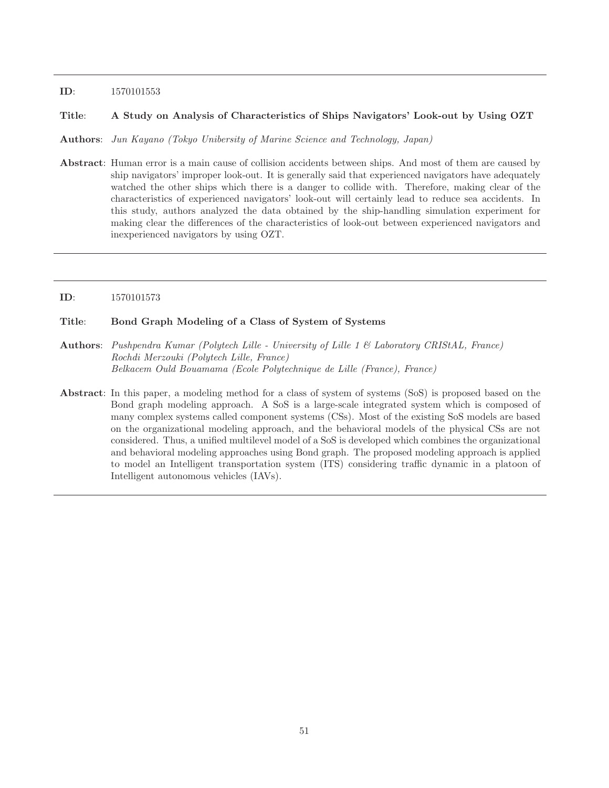#### Title: A Study on Analysis of Characteristics of Ships Navigators' Look-out by Using OZT

Authors: Jun Kayano (Tokyo Unibersity of Marine Science and Technology, Japan)

- Abstract: Human error is a main cause of collision accidents between ships. And most of them are caused by ship navigators' improper look-out. It is generally said that experienced navigators have adequately watched the other ships which there is a danger to collide with. Therefore, making clear of the characteristics of experienced navigators' look-out will certainly lead to reduce sea accidents. In this study, authors analyzed the data obtained by the ship-handling simulation experiment for making clear the differences of the characteristics of look-out between experienced navigators and inexperienced navigators by using OZT.
- ID: 1570101573

### Title: Bond Graph Modeling of a Class of System of Systems

- Authors: Pushpendra Kumar (Polytech Lille University of Lille 1 & Laboratory CRIStAL, France) Rochdi Merzouki (Polytech Lille, France) Belkacem Ould Bouamama (Ecole Polytechnique de Lille (France), France)
- Abstract: In this paper, a modeling method for a class of system of systems (SoS) is proposed based on the Bond graph modeling approach. A SoS is a large-scale integrated system which is composed of many complex systems called component systems (CSs). Most of the existing SoS models are based on the organizational modeling approach, and the behavioral models of the physical CSs are not considered. Thus, a unified multilevel model of a SoS is developed which combines the organizational and behavioral modeling approaches using Bond graph. The proposed modeling approach is applied to model an Intelligent transportation system (ITS) considering traffic dynamic in a platoon of Intelligent autonomous vehicles (IAVs).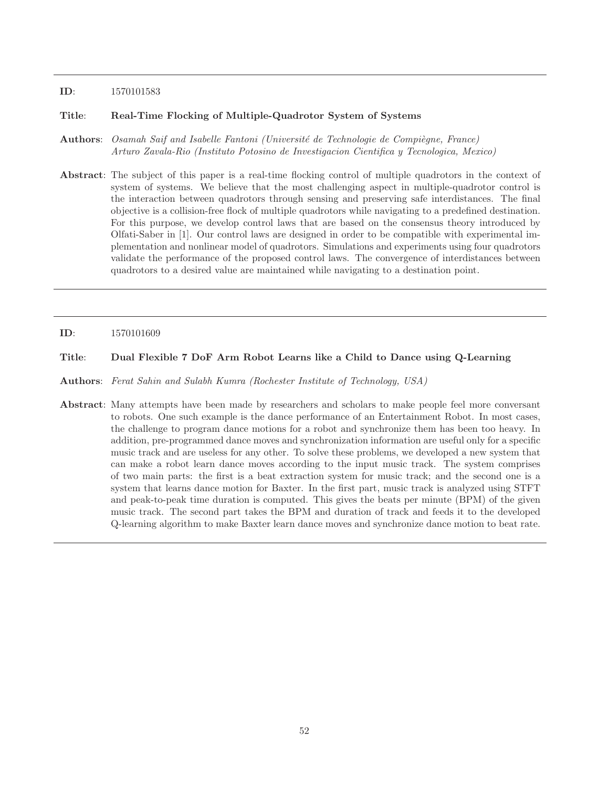#### Title: Real-Time Flocking of Multiple-Quadrotor System of Systems

- Authors: Osamah Saif and Isabelle Fantoni (Université de Technologie de Compiègne, France) Arturo Zavala-Rio (Instituto Potosino de Investigacion Cientifica y Tecnologica, Mexico)
- Abstract: The subject of this paper is a real-time flocking control of multiple quadrotors in the context of system of systems. We believe that the most challenging aspect in multiple-quadrotor control is the interaction between quadrotors through sensing and preserving safe interdistances. The final objective is a collision-free flock of multiple quadrotors while navigating to a predefined destination. For this purpose, we develop control laws that are based on the consensus theory introduced by Olfati-Saber in [1]. Our control laws are designed in order to be compatible with experimental implementation and nonlinear model of quadrotors. Simulations and experiments using four quadrotors validate the performance of the proposed control laws. The convergence of interdistances between quadrotors to a desired value are maintained while navigating to a destination point.

#### ID: 1570101609

#### Title: Dual Flexible 7 DoF Arm Robot Learns like a Child to Dance using Q-Learning

Authors: Ferat Sahin and Sulabh Kumra (Rochester Institute of Technology, USA)

Abstract: Many attempts have been made by researchers and scholars to make people feel more conversant to robots. One such example is the dance performance of an Entertainment Robot. In most cases, the challenge to program dance motions for a robot and synchronize them has been too heavy. In addition, pre-programmed dance moves and synchronization information are useful only for a specific music track and are useless for any other. To solve these problems, we developed a new system that can make a robot learn dance moves according to the input music track. The system comprises of two main parts: the first is a beat extraction system for music track; and the second one is a system that learns dance motion for Baxter. In the first part, music track is analyzed using STFT and peak-to-peak time duration is computed. This gives the beats per minute (BPM) of the given music track. The second part takes the BPM and duration of track and feeds it to the developed Q-learning algorithm to make Baxter learn dance moves and synchronize dance motion to beat rate.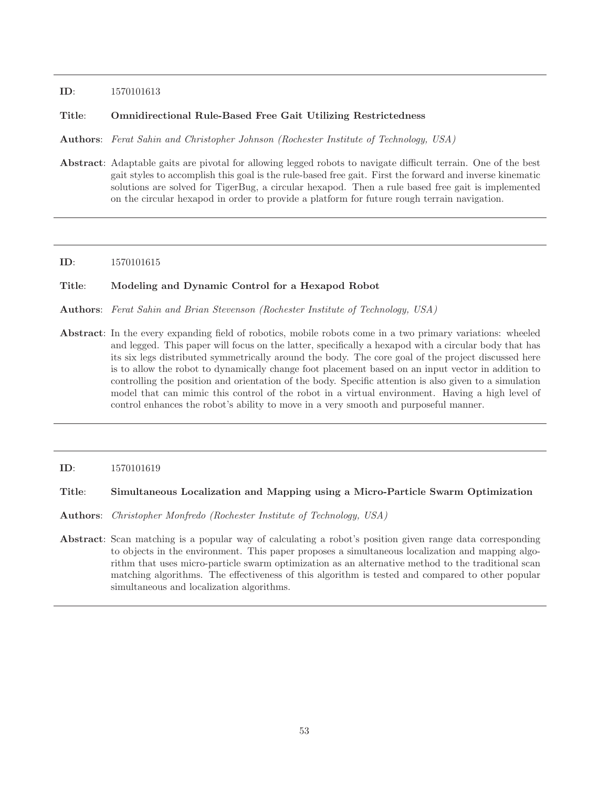#### Title: Omnidirectional Rule-Based Free Gait Utilizing Restrictedness

- Authors: Ferat Sahin and Christopher Johnson (Rochester Institute of Technology, USA)
- Abstract: Adaptable gaits are pivotal for allowing legged robots to navigate difficult terrain. One of the best gait styles to accomplish this goal is the rule-based free gait. First the forward and inverse kinematic solutions are solved for TigerBug, a circular hexapod. Then a rule based free gait is implemented on the circular hexapod in order to provide a platform for future rough terrain navigation.

ID: 1570101615

# Title: Modeling and Dynamic Control for a Hexapod Robot

- Authors: Ferat Sahin and Brian Stevenson (Rochester Institute of Technology, USA)
- Abstract: In the every expanding field of robotics, mobile robots come in a two primary variations: wheeled and legged. This paper will focus on the latter, specifically a hexapod with a circular body that has its six legs distributed symmetrically around the body. The core goal of the project discussed here is to allow the robot to dynamically change foot placement based on an input vector in addition to controlling the position and orientation of the body. Specific attention is also given to a simulation model that can mimic this control of the robot in a virtual environment. Having a high level of control enhances the robot's ability to move in a very smooth and purposeful manner.

## ID: 1570101619

# Title: Simultaneous Localization and Mapping using a Micro-Particle Swarm Optimization

- Authors: Christopher Monfredo (Rochester Institute of Technology, USA)
- Abstract: Scan matching is a popular way of calculating a robot's position given range data corresponding to objects in the environment. This paper proposes a simultaneous localization and mapping algorithm that uses micro-particle swarm optimization as an alternative method to the traditional scan matching algorithms. The effectiveness of this algorithm is tested and compared to other popular simultaneous and localization algorithms.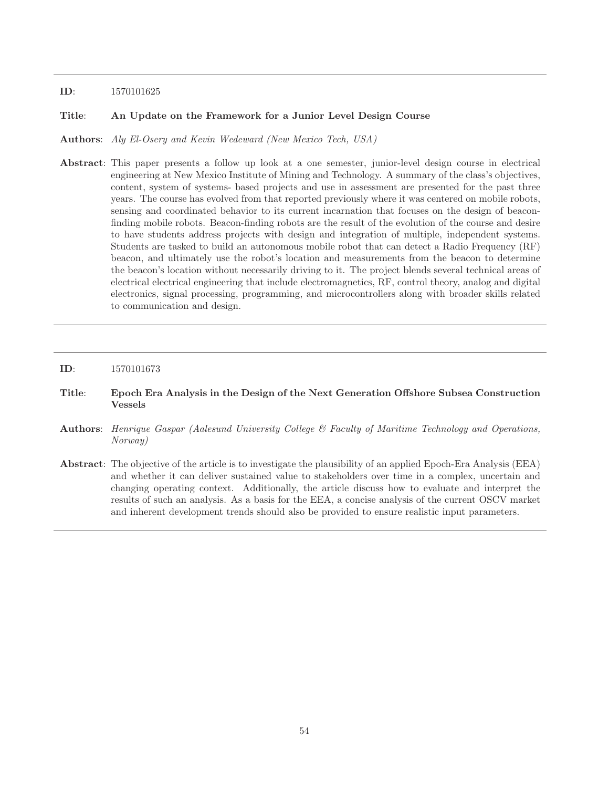## Title: An Update on the Framework for a Junior Level Design Course

Authors: Aly El-Osery and Kevin Wedeward (New Mexico Tech, USA)

Abstract: This paper presents a follow up look at a one semester, junior-level design course in electrical engineering at New Mexico Institute of Mining and Technology. A summary of the class's objectives, content, system of systems- based projects and use in assessment are presented for the past three years. The course has evolved from that reported previously where it was centered on mobile robots, sensing and coordinated behavior to its current incarnation that focuses on the design of beaconfinding mobile robots. Beacon-finding robots are the result of the evolution of the course and desire to have students address projects with design and integration of multiple, independent systems. Students are tasked to build an autonomous mobile robot that can detect a Radio Frequency (RF) beacon, and ultimately use the robot's location and measurements from the beacon to determine the beacon's location without necessarily driving to it. The project blends several technical areas of electrical electrical engineering that include electromagnetics, RF, control theory, analog and digital electronics, signal processing, programming, and microcontrollers along with broader skills related to communication and design.

## ID: 1570101673

- Title: Epoch Era Analysis in the Design of the Next Generation Offshore Subsea Construction Vessels
- Authors: Henrique Gaspar (Aalesund University College & Faculty of Maritime Technology and Operations, Norway)
- Abstract: The objective of the article is to investigate the plausibility of an applied Epoch-Era Analysis (EEA) and whether it can deliver sustained value to stakeholders over time in a complex, uncertain and changing operating context. Additionally, the article discuss how to evaluate and interpret the results of such an analysis. As a basis for the EEA, a concise analysis of the current OSCV market and inherent development trends should also be provided to ensure realistic input parameters.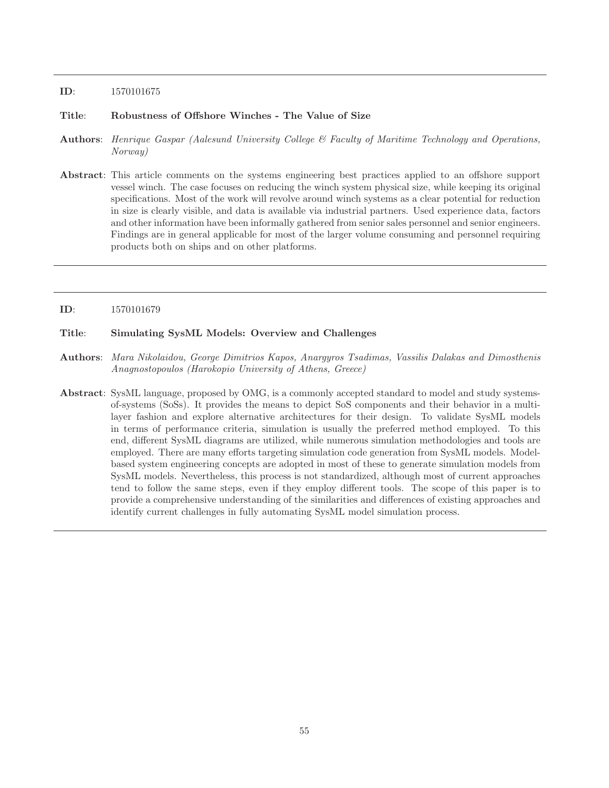#### Title: Robustness of Offshore Winches - The Value of Size

- Authors: Henrique Gaspar (Aalesund University College & Faculty of Maritime Technology and Operations, Norway)
- Abstract: This article comments on the systems engineering best practices applied to an offshore support vessel winch. The case focuses on reducing the winch system physical size, while keeping its original specifications. Most of the work will revolve around winch systems as a clear potential for reduction in size is clearly visible, and data is available via industrial partners. Used experience data, factors and other information have been informally gathered from senior sales personnel and senior engineers. Findings are in general applicable for most of the larger volume consuming and personnel requiring products both on ships and on other platforms.

ID: 1570101679

### Title: Simulating SysML Models: Overview and Challenges

- Authors: Mara Nikolaidou, George Dimitrios Kapos, Anargyros Tsadimas, Vassilis Dalakas and Dimosthenis Anagnostopoulos (Harokopio University of Athens, Greece)
- Abstract: SysML language, proposed by OMG, is a commonly accepted standard to model and study systemsof-systems (SoSs). It provides the means to depict SoS components and their behavior in a multilayer fashion and explore alternative architectures for their design. To validate SysML models in terms of performance criteria, simulation is usually the preferred method employed. To this end, different SysML diagrams are utilized, while numerous simulation methodologies and tools are employed. There are many efforts targeting simulation code generation from SysML models. Modelbased system engineering concepts are adopted in most of these to generate simulation models from SysML models. Nevertheless, this process is not standardized, although most of current approaches tend to follow the same steps, even if they employ different tools. The scope of this paper is to provide a comprehensive understanding of the similarities and differences of existing approaches and identify current challenges in fully automating SysML model simulation process.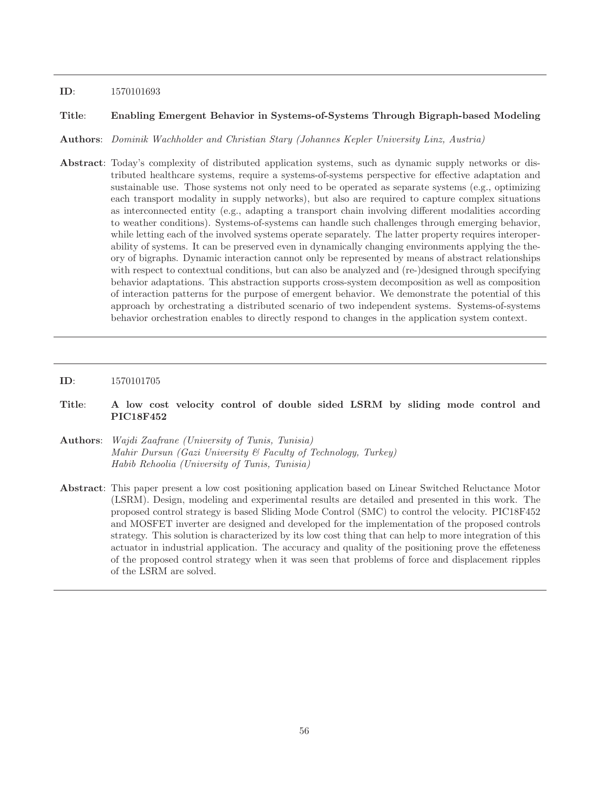#### Title: Enabling Emergent Behavior in Systems-of-Systems Through Bigraph-based Modeling

Authors: Dominik Wachholder and Christian Stary (Johannes Kepler University Linz, Austria)

- Abstract: Today's complexity of distributed application systems, such as dynamic supply networks or distributed healthcare systems, require a systems-of-systems perspective for effective adaptation and sustainable use. Those systems not only need to be operated as separate systems (e.g., optimizing each transport modality in supply networks), but also are required to capture complex situations as interconnected entity (e.g., adapting a transport chain involving different modalities according to weather conditions). Systems-of-systems can handle such challenges through emerging behavior, while letting each of the involved systems operate separately. The latter property requires interoperability of systems. It can be preserved even in dynamically changing environments applying the theory of bigraphs. Dynamic interaction cannot only be represented by means of abstract relationships with respect to contextual conditions, but can also be analyzed and (re-)designed through specifying behavior adaptations. This abstraction supports cross-system decomposition as well as composition of interaction patterns for the purpose of emergent behavior. We demonstrate the potential of this approach by orchestrating a distributed scenario of two independent systems. Systems-of-systems behavior orchestration enables to directly respond to changes in the application system context.
- ID: 1570101705
- Title: A low cost velocity control of double sided LSRM by sliding mode control and PIC18F452
- Authors: Wajdi Zaafrane (University of Tunis, Tunisia) Mahir Dursun (Gazi University & Faculty of Technology, Turkey) Habib Rehoolia (University of Tunis, Tunisia)
- Abstract: This paper present a low cost positioning application based on Linear Switched Reluctance Motor (LSRM). Design, modeling and experimental results are detailed and presented in this work. The proposed control strategy is based Sliding Mode Control (SMC) to control the velocity. PIC18F452 and MOSFET inverter are designed and developed for the implementation of the proposed controls strategy. This solution is characterized by its low cost thing that can help to more integration of this actuator in industrial application. The accuracy and quality of the positioning prove the effeteness of the proposed control strategy when it was seen that problems of force and displacement ripples of the LSRM are solved.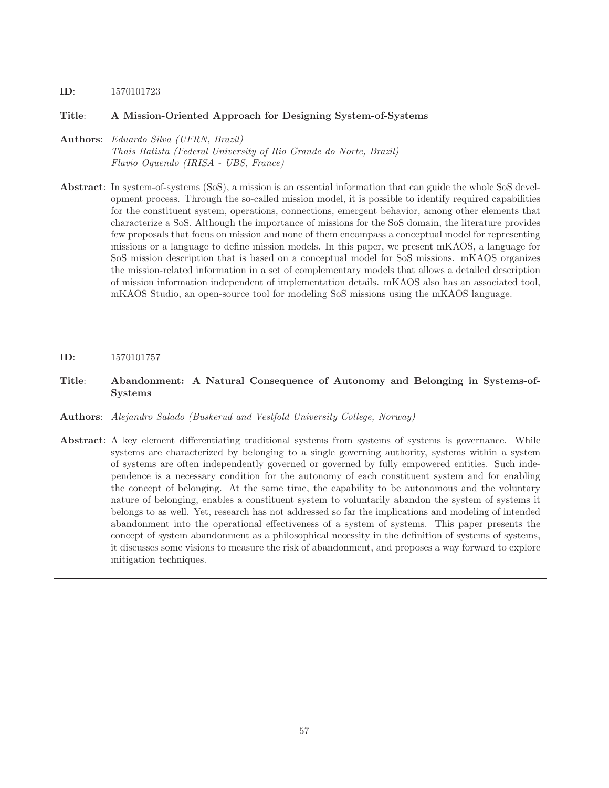#### Title: A Mission-Oriented Approach for Designing System-of-Systems

- Authors: Eduardo Silva (UFRN, Brazil) Thais Batista (Federal University of Rio Grande do Norte, Brazil) Flavio Oquendo (IRISA - UBS, France)
- Abstract: In system-of-systems (SoS), a mission is an essential information that can guide the whole SoS development process. Through the so-called mission model, it is possible to identify required capabilities for the constituent system, operations, connections, emergent behavior, among other elements that characterize a SoS. Although the importance of missions for the SoS domain, the literature provides few proposals that focus on mission and none of them encompass a conceptual model for representing missions or a language to define mission models. In this paper, we present mKAOS, a language for SoS mission description that is based on a conceptual model for SoS missions. mKAOS organizes the mission-related information in a set of complementary models that allows a detailed description of mission information independent of implementation details. mKAOS also has an associated tool, mKAOS Studio, an open-source tool for modeling SoS missions using the mKAOS language.

#### ID: 1570101757

# Title: Abandonment: A Natural Consequence of Autonomy and Belonging in Systems-of-Systems

#### Authors: Alejandro Salado (Buskerud and Vestfold University College, Norway)

Abstract: A key element differentiating traditional systems from systems of systems is governance. While systems are characterized by belonging to a single governing authority, systems within a system of systems are often independently governed or governed by fully empowered entities. Such independence is a necessary condition for the autonomy of each constituent system and for enabling the concept of belonging. At the same time, the capability to be autonomous and the voluntary nature of belonging, enables a constituent system to voluntarily abandon the system of systems it belongs to as well. Yet, research has not addressed so far the implications and modeling of intended abandonment into the operational effectiveness of a system of systems. This paper presents the concept of system abandonment as a philosophical necessity in the definition of systems of systems, it discusses some visions to measure the risk of abandonment, and proposes a way forward to explore mitigation techniques.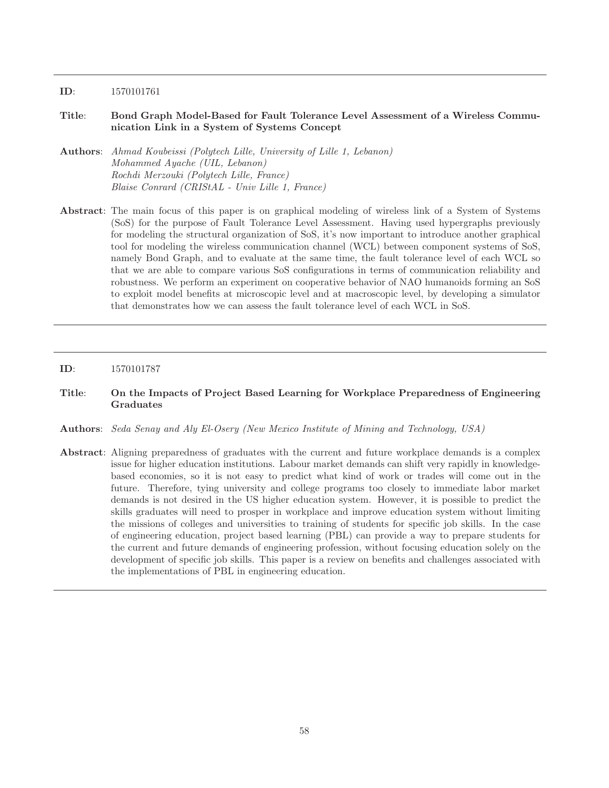## Title: Bond Graph Model-Based for Fault Tolerance Level Assessment of a Wireless Communication Link in a System of Systems Concept

- Authors: Ahmad Koubeissi (Polytech Lille, University of Lille 1, Lebanon) Mohammed Ayache (UIL, Lebanon) Rochdi Merzouki (Polytech Lille, France) Blaise Conrard (CRIStAL - Univ Lille 1, France)
- Abstract: The main focus of this paper is on graphical modeling of wireless link of a System of Systems (SoS) for the purpose of Fault Tolerance Level Assessment. Having used hypergraphs previously for modeling the structural organization of SoS, it's now important to introduce another graphical tool for modeling the wireless communication channel (WCL) between component systems of SoS, namely Bond Graph, and to evaluate at the same time, the fault tolerance level of each WCL so that we are able to compare various SoS configurations in terms of communication reliability and robustness. We perform an experiment on cooperative behavior of NAO humanoids forming an SoS to exploit model benefits at microscopic level and at macroscopic level, by developing a simulator that demonstrates how we can assess the fault tolerance level of each WCL in SoS.

# ID: 1570101787

# Title: On the Impacts of Project Based Learning for Workplace Preparedness of Engineering Graduates

## Authors: Seda Senay and Aly El-Osery (New Mexico Institute of Mining and Technology, USA)

Abstract: Aligning preparedness of graduates with the current and future workplace demands is a complex issue for higher education institutions. Labour market demands can shift very rapidly in knowledgebased economies, so it is not easy to predict what kind of work or trades will come out in the future. Therefore, tying university and college programs too closely to immediate labor market demands is not desired in the US higher education system. However, it is possible to predict the skills graduates will need to prosper in workplace and improve education system without limiting the missions of colleges and universities to training of students for specific job skills. In the case of engineering education, project based learning (PBL) can provide a way to prepare students for the current and future demands of engineering profession, without focusing education solely on the development of specific job skills. This paper is a review on benefits and challenges associated with the implementations of PBL in engineering education.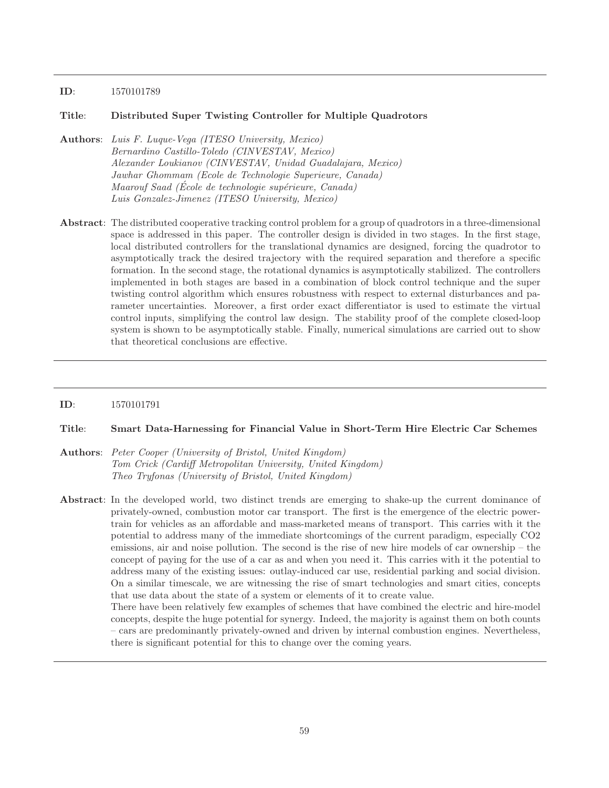#### Title: Distributed Super Twisting Controller for Multiple Quadrotors

Authors: Luis F. Luque-Vega (ITESO University, Mexico) Bernardino Castillo-Toledo (CINVESTAV, Mexico) Alexander Loukianov (CINVESTAV, Unidad Guadalajara, Mexico) Jawhar Ghommam (Ecole de Technologie Superieure, Canada) Maarouf Saad (École de technologie supérieure, Canada) Luis Gonzalez-Jimenez (ITESO University, Mexico)

Abstract: The distributed cooperative tracking control problem for a group of quadrotors in a three-dimensional space is addressed in this paper. The controller design is divided in two stages. In the first stage, local distributed controllers for the translational dynamics are designed, forcing the quadrotor to asymptotically track the desired trajectory with the required separation and therefore a specific formation. In the second stage, the rotational dynamics is asymptotically stabilized. The controllers implemented in both stages are based in a combination of block control technique and the super twisting control algorithm which ensures robustness with respect to external disturbances and parameter uncertainties. Moreover, a first order exact differentiator is used to estimate the virtual control inputs, simplifying the control law design. The stability proof of the complete closed-loop system is shown to be asymptotically stable. Finally, numerical simulations are carried out to show that theoretical conclusions are effective.

## ID: 1570101791

#### Title: Smart Data-Harnessing for Financial Value in Short-Term Hire Electric Car Schemes

# Authors: Peter Cooper (University of Bristol, United Kingdom) Tom Crick (Cardiff Metropolitan University, United Kingdom) Theo Tryfonas (University of Bristol, United Kingdom)

Abstract: In the developed world, two distinct trends are emerging to shake-up the current dominance of privately-owned, combustion motor car transport. The first is the emergence of the electric powertrain for vehicles as an affordable and mass-marketed means of transport. This carries with it the potential to address many of the immediate shortcomings of the current paradigm, especially CO2 emissions, air and noise pollution. The second is the rise of new hire models of car ownership – the concept of paying for the use of a car as and when you need it. This carries with it the potential to address many of the existing issues: outlay-induced car use, residential parking and social division. On a similar timescale, we are witnessing the rise of smart technologies and smart cities, concepts that use data about the state of a system or elements of it to create value.

There have been relatively few examples of schemes that have combined the electric and hire-model concepts, despite the huge potential for synergy. Indeed, the majority is against them on both counts – cars are predominantly privately-owned and driven by internal combustion engines. Nevertheless, there is significant potential for this to change over the coming years.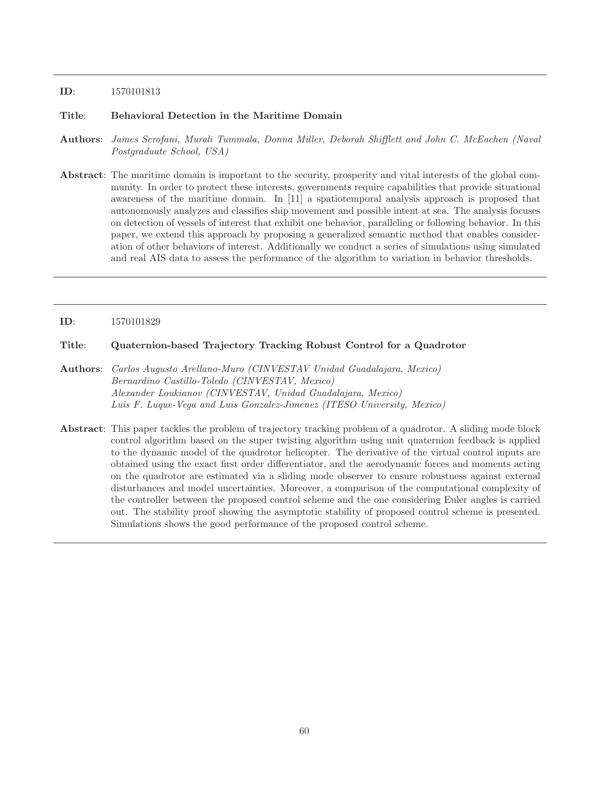#### Title: Behavioral Detection in the Maritime Domain

- Authors: James Scrofani, Murali Tummala, Donna Miller, Deborah Shifflett and John C. McEachen (Naval Postgraduate School, USA)
- Abstract: The maritime domain is important to the security, prosperity and vital interests of the global community. In order to protect these interests, governments require capabilities that provide situational awareness of the maritime domain. In [11] a spatiotemporal analysis approach is proposed that autonomously analyzes and classifies ship movement and possible intent at sea. The analysis focuses on detection of vessels of interest that exhibit one behavior, paralleling or following behavior. In this paper, we extend this approach by proposing a generalized semantic method that enables consideration of other behaviors of interest. Additionally we conduct a series of simulations using simulated and real AIS data to assess the performance of the algorithm to variation in behavior thresholds.

#### ID: 1570101829

# Title: Quaternion-based Trajectory Tracking Robust Control for a Quadrotor

- Authors: Carlos Augusto Arellano-Muro (CINVESTAV Unidad Guadalajara, Mexico) Bernardino Castillo-Toledo (CINVESTAV, Mexico) Alexander Loukianov (CINVESTAV, Unidad Guadalajara, Mexico) Luis F. Luque-Vega and Luis Gonzalez-Jimenez (ITESO University, Mexico)
- Abstract: This paper tackles the problem of trajectory tracking problem of a quadrotor. A sliding mode block control algorithm based on the super twisting algorithm using unit quaternion feedback is applied to the dynamic model of the quadrotor helicopter. The derivative of the virtual control inputs are obtained using the exact first order differentiator, and the aerodynamic forces and moments acting on the quadrotor are estimated via a sliding mode observer to ensure robustness against external disturbances and model uncertainties. Moreover, a comparison of the computational complexity of the controller between the proposed control scheme and the one considering Euler angles is carried out. The stability proof showing the asymptotic stability of proposed control scheme is presented. Simulations shows the good performance of the proposed control scheme.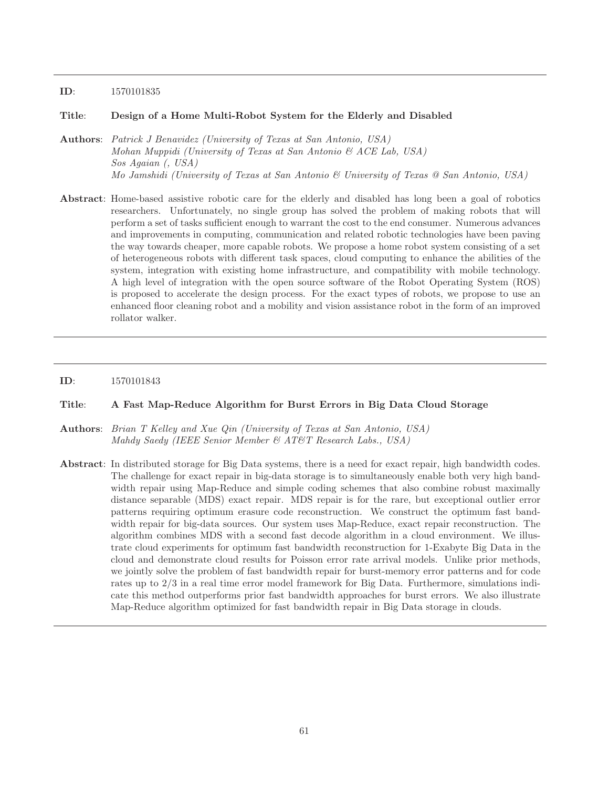#### Title: Design of a Home Multi-Robot System for the Elderly and Disabled

- Authors: Patrick J Benavidez (University of Texas at San Antonio, USA) Mohan Muppidi (University of Texas at San Antonio & ACE Lab, USA) Sos Agaian (, USA) Mo Jamshidi (University of Texas at San Antonio & University of Texas @ San Antonio, USA)
- Abstract: Home-based assistive robotic care for the elderly and disabled has long been a goal of robotics researchers. Unfortunately, no single group has solved the problem of making robots that will perform a set of tasks sufficient enough to warrant the cost to the end consumer. Numerous advances and improvements in computing, communication and related robotic technologies have been paving the way towards cheaper, more capable robots. We propose a home robot system consisting of a set of heterogeneous robots with different task spaces, cloud computing to enhance the abilities of the system, integration with existing home infrastructure, and compatibility with mobile technology. A high level of integration with the open source software of the Robot Operating System (ROS) is proposed to accelerate the design process. For the exact types of robots, we propose to use an enhanced floor cleaning robot and a mobility and vision assistance robot in the form of an improved rollator walker.
- ID: 1570101843

# Title: A Fast Map-Reduce Algorithm for Burst Errors in Big Data Cloud Storage

- Authors: Brian T Kelley and Xue Qin (University of Texas at San Antonio, USA) Mahdy Saedy (IEEE Senior Member & AT&T Research Labs., USA)
- Abstract: In distributed storage for Big Data systems, there is a need for exact repair, high bandwidth codes. The challenge for exact repair in big-data storage is to simultaneously enable both very high bandwidth repair using Map-Reduce and simple coding schemes that also combine robust maximally distance separable (MDS) exact repair. MDS repair is for the rare, but exceptional outlier error patterns requiring optimum erasure code reconstruction. We construct the optimum fast bandwidth repair for big-data sources. Our system uses Map-Reduce, exact repair reconstruction. The algorithm combines MDS with a second fast decode algorithm in a cloud environment. We illustrate cloud experiments for optimum fast bandwidth reconstruction for 1-Exabyte Big Data in the cloud and demonstrate cloud results for Poisson error rate arrival models. Unlike prior methods, we jointly solve the problem of fast bandwidth repair for burst-memory error patterns and for code rates up to 2/3 in a real time error model framework for Big Data. Furthermore, simulations indicate this method outperforms prior fast bandwidth approaches for burst errors. We also illustrate Map-Reduce algorithm optimized for fast bandwidth repair in Big Data storage in clouds.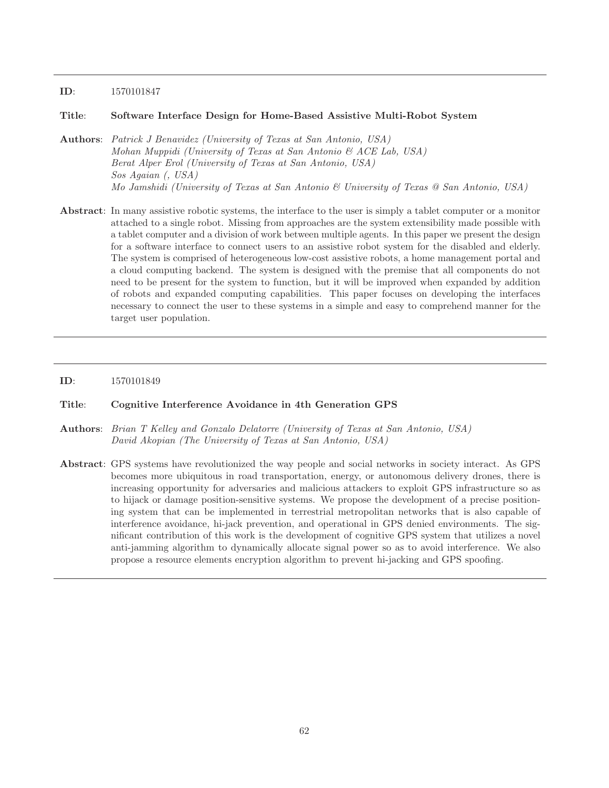## Title: Software Interface Design for Home-Based Assistive Multi-Robot System

Authors: Patrick J Benavidez (University of Texas at San Antonio, USA) Mohan Muppidi (University of Texas at San Antonio & ACE Lab, USA) Berat Alper Erol (University of Texas at San Antonio, USA) Sos Agaian (, USA) Mo Jamshidi (University of Texas at San Antonio & University of Texas @ San Antonio, USA)

Abstract: In many assistive robotic systems, the interface to the user is simply a tablet computer or a monitor attached to a single robot. Missing from approaches are the system extensibility made possible with a tablet computer and a division of work between multiple agents. In this paper we present the design for a software interface to connect users to an assistive robot system for the disabled and elderly. The system is comprised of heterogeneous low-cost assistive robots, a home management portal and a cloud computing backend. The system is designed with the premise that all components do not need to be present for the system to function, but it will be improved when expanded by addition of robots and expanded computing capabilities. This paper focuses on developing the interfaces necessary to connect the user to these systems in a simple and easy to comprehend manner for the target user population.

## ID: 1570101849

# Title: Cognitive Interference Avoidance in 4th Generation GPS

- Authors: Brian T Kelley and Gonzalo Delatorre (University of Texas at San Antonio, USA) David Akopian (The University of Texas at San Antonio, USA)
- Abstract: GPS systems have revolutionized the way people and social networks in society interact. As GPS becomes more ubiquitous in road transportation, energy, or autonomous delivery drones, there is increasing opportunity for adversaries and malicious attackers to exploit GPS infrastructure so as to hijack or damage position-sensitive systems. We propose the development of a precise positioning system that can be implemented in terrestrial metropolitan networks that is also capable of interference avoidance, hi-jack prevention, and operational in GPS denied environments. The significant contribution of this work is the development of cognitive GPS system that utilizes a novel anti-jamming algorithm to dynamically allocate signal power so as to avoid interference. We also propose a resource elements encryption algorithm to prevent hi-jacking and GPS spoofing.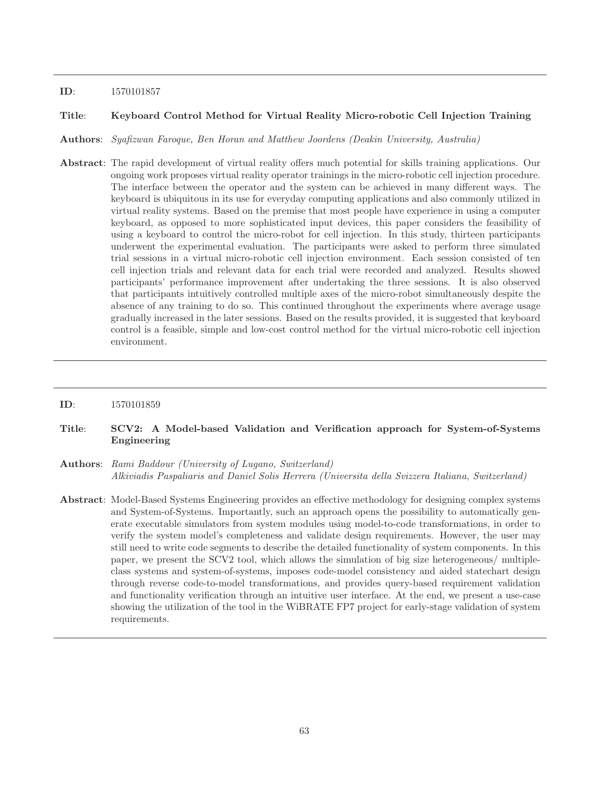#### Title: Keyboard Control Method for Virtual Reality Micro-robotic Cell Injection Training

Authors: Syafizwan Faroque, Ben Horan and Matthew Joordens (Deakin University, Australia)

Abstract: The rapid development of virtual reality offers much potential for skills training applications. Our ongoing work proposes virtual reality operator trainings in the micro-robotic cell injection procedure. The interface between the operator and the system can be achieved in many different ways. The keyboard is ubiquitous in its use for everyday computing applications and also commonly utilized in virtual reality systems. Based on the premise that most people have experience in using a computer keyboard, as opposed to more sophisticated input devices, this paper considers the feasibility of using a keyboard to control the micro-robot for cell injection. In this study, thirteen participants underwent the experimental evaluation. The participants were asked to perform three simulated trial sessions in a virtual micro-robotic cell injection environment. Each session consisted of ten cell injection trials and relevant data for each trial were recorded and analyzed. Results showed participants' performance improvement after undertaking the three sessions. It is also observed that participants intuitively controlled multiple axes of the micro-robot simultaneously despite the absence of any training to do so. This continued throughout the experiments where average usage gradually increased in the later sessions. Based on the results provided, it is suggested that keyboard control is a feasible, simple and low-cost control method for the virtual micro-robotic cell injection environment.

## ID: 1570101859

# Title: SCV2: A Model-based Validation and Verification approach for System-of-Systems Engineering

# Authors: Rami Baddour (University of Lugano, Switzerland) Alkiviadis Paspaliaris and Daniel Solis Herrera (Universita della Svizzera Italiana, Switzerland)

Abstract: Model-Based Systems Engineering provides an effective methodology for designing complex systems and System-of-Systems. Importantly, such an approach opens the possibility to automatically generate executable simulators from system modules using model-to-code transformations, in order to verify the system model's completeness and validate design requirements. However, the user may still need to write code segments to describe the detailed functionality of system components. In this paper, we present the SCV2 tool, which allows the simulation of big size heterogeneous/ multipleclass systems and system-of-systems, imposes code-model consistency and aided statechart design through reverse code-to-model transformations, and provides query-based requirement validation and functionality verification through an intuitive user interface. At the end, we present a use-case showing the utilization of the tool in the WiBRATE FP7 project for early-stage validation of system requirements.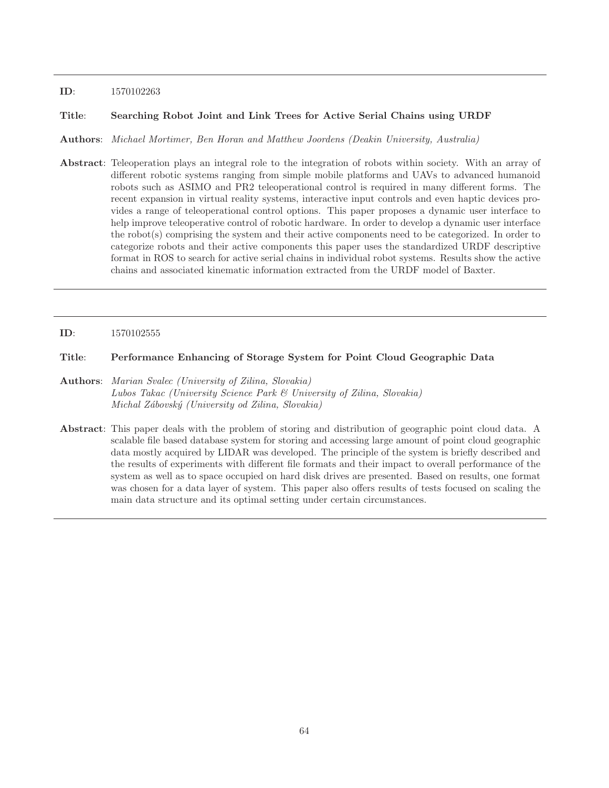## Title: Searching Robot Joint and Link Trees for Active Serial Chains using URDF

#### Authors: Michael Mortimer, Ben Horan and Matthew Joordens (Deakin University, Australia)

Abstract: Teleoperation plays an integral role to the integration of robots within society. With an array of different robotic systems ranging from simple mobile platforms and UAVs to advanced humanoid robots such as ASIMO and PR2 teleoperational control is required in many different forms. The recent expansion in virtual reality systems, interactive input controls and even haptic devices provides a range of teleoperational control options. This paper proposes a dynamic user interface to help improve teleoperative control of robotic hardware. In order to develop a dynamic user interface the robot(s) comprising the system and their active components need to be categorized. In order to categorize robots and their active components this paper uses the standardized URDF descriptive format in ROS to search for active serial chains in individual robot systems. Results show the active chains and associated kinematic information extracted from the URDF model of Baxter.

### ID: 1570102555

#### Title: Performance Enhancing of Storage System for Point Cloud Geographic Data

- Authors: Marian Svalec (University of Zilina, Slovakia) Lubos Takac (University Science Park & University of Zilina, Slovakia) Michal Zábovský (University od Zilina, Slovakia)
- Abstract: This paper deals with the problem of storing and distribution of geographic point cloud data. A scalable file based database system for storing and accessing large amount of point cloud geographic data mostly acquired by LIDAR was developed. The principle of the system is briefly described and the results of experiments with different file formats and their impact to overall performance of the system as well as to space occupied on hard disk drives are presented. Based on results, one format was chosen for a data layer of system. This paper also offers results of tests focused on scaling the main data structure and its optimal setting under certain circumstances.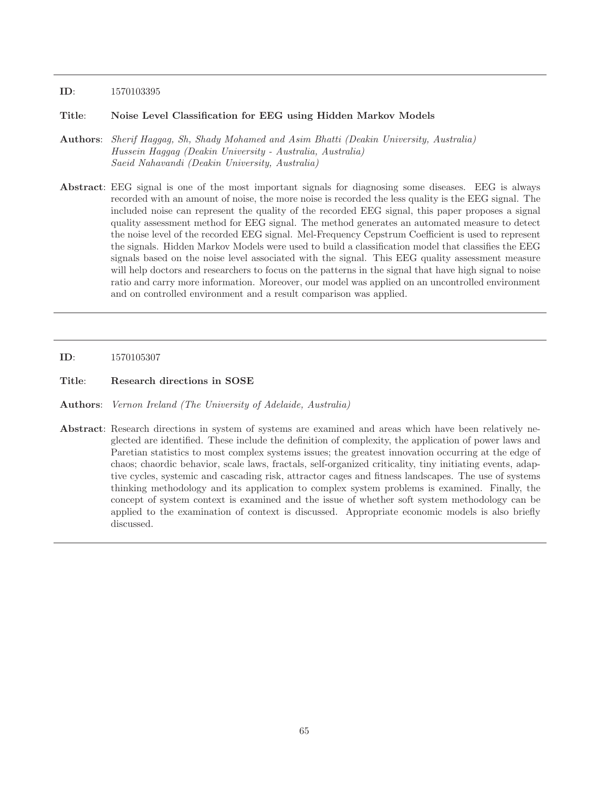#### Title: Noise Level Classification for EEG using Hidden Markov Models

- Authors: Sherif Haggag, Sh, Shady Mohamed and Asim Bhatti (Deakin University, Australia) Hussein Haggag (Deakin University - Australia, Australia) Saeid Nahavandi (Deakin University, Australia)
- Abstract: EEG signal is one of the most important signals for diagnosing some diseases. EEG is always recorded with an amount of noise, the more noise is recorded the less quality is the EEG signal. The included noise can represent the quality of the recorded EEG signal, this paper proposes a signal quality assessment method for EEG signal. The method generates an automated measure to detect the noise level of the recorded EEG signal. Mel-Frequency Cepstrum Coefficient is used to represent the signals. Hidden Markov Models were used to build a classification model that classifies the EEG signals based on the noise level associated with the signal. This EEG quality assessment measure will help doctors and researchers to focus on the patterns in the signal that have high signal to noise ratio and carry more information. Moreover, our model was applied on an uncontrolled environment and on controlled environment and a result comparison was applied.

ID: 1570105307

## Title: Research directions in SOSE

Authors: Vernon Ireland (The University of Adelaide, Australia)

Abstract: Research directions in system of systems are examined and areas which have been relatively neglected are identified. These include the definition of complexity, the application of power laws and Paretian statistics to most complex systems issues; the greatest innovation occurring at the edge of chaos; chaordic behavior, scale laws, fractals, self-organized criticality, tiny initiating events, adaptive cycles, systemic and cascading risk, attractor cages and fitness landscapes. The use of systems thinking methodology and its application to complex system problems is examined. Finally, the concept of system context is examined and the issue of whether soft system methodology can be applied to the examination of context is discussed. Appropriate economic models is also briefly discussed.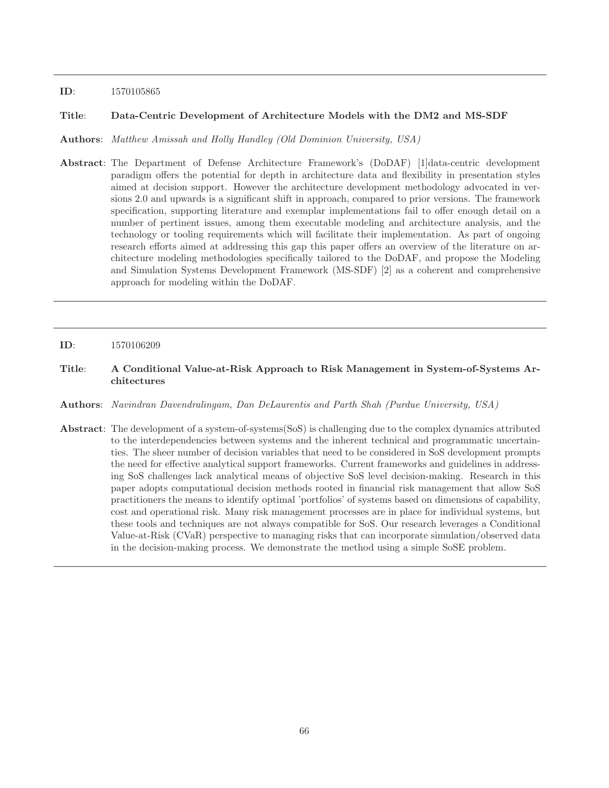#### Title: Data-Centric Development of Architecture Models with the DM2 and MS-SDF

Authors: Matthew Amissah and Holly Handley (Old Dominion University, USA)

Abstract: The Department of Defense Architecture Framework's (DoDAF) [1]data-centric development paradigm offers the potential for depth in architecture data and flexibility in presentation styles aimed at decision support. However the architecture development methodology advocated in versions 2.0 and upwards is a significant shift in approach, compared to prior versions. The framework specification, supporting literature and exemplar implementations fail to offer enough detail on a number of pertinent issues, among them executable modeling and architecture analysis, and the technology or tooling requirements which will facilitate their implementation. As part of ongoing research efforts aimed at addressing this gap this paper offers an overview of the literature on architecture modeling methodologies specifically tailored to the DoDAF, and propose the Modeling and Simulation Systems Development Framework (MS-SDF) [2] as a coherent and comprehensive approach for modeling within the DoDAF.

# ID: 1570106209

# Title: A Conditional Value-at-Risk Approach to Risk Management in System-of-Systems Architectures

- Authors: Navindran Davendralingam, Dan DeLaurentis and Parth Shah (Purdue University, USA)
- Abstract: The development of a system-of-systems(SoS) is challenging due to the complex dynamics attributed to the interdependencies between systems and the inherent technical and programmatic uncertainties. The sheer number of decision variables that need to be considered in SoS development prompts the need for effective analytical support frameworks. Current frameworks and guidelines in addressing SoS challenges lack analytical means of objective SoS level decision-making. Research in this paper adopts computational decision methods rooted in financial risk management that allow SoS practitioners the means to identify optimal 'portfolios' of systems based on dimensions of capability, cost and operational risk. Many risk management processes are in place for individual systems, but these tools and techniques are not always compatible for SoS. Our research leverages a Conditional Value-at-Risk (CVaR) perspective to managing risks that can incorporate simulation/observed data in the decision-making process. We demonstrate the method using a simple SoSE problem.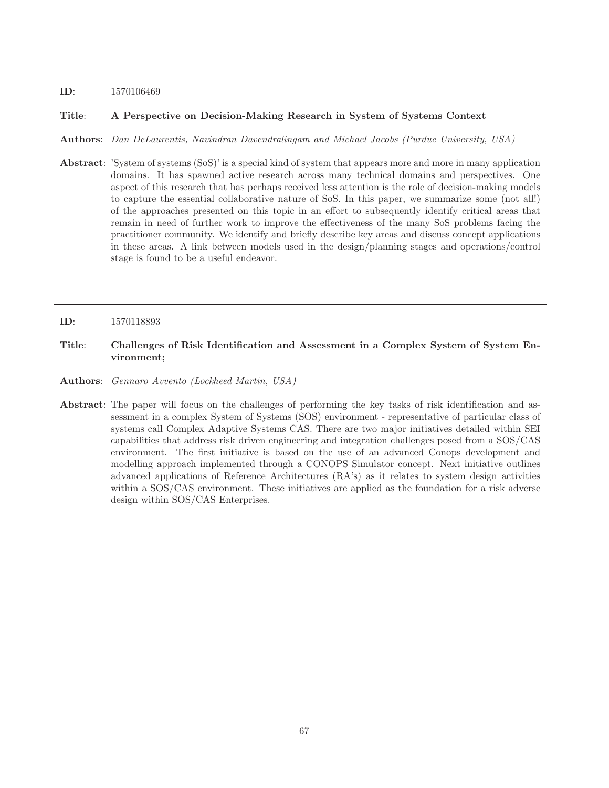# Title: A Perspective on Decision-Making Research in System of Systems Context

- Authors: Dan DeLaurentis, Navindran Davendralingam and Michael Jacobs (Purdue University, USA)
- Abstract: 'System of systems (SoS)' is a special kind of system that appears more and more in many application domains. It has spawned active research across many technical domains and perspectives. One aspect of this research that has perhaps received less attention is the role of decision-making models to capture the essential collaborative nature of SoS. In this paper, we summarize some (not all!) of the approaches presented on this topic in an effort to subsequently identify critical areas that remain in need of further work to improve the effectiveness of the many SoS problems facing the practitioner community. We identify and briefly describe key areas and discuss concept applications in these areas. A link between models used in the design/planning stages and operations/control stage is found to be a useful endeavor.

ID: 1570118893

# Title: Challenges of Risk Identification and Assessment in a Complex System of System Environment;

- Authors: Gennaro Avvento (Lockheed Martin, USA)
- Abstract: The paper will focus on the challenges of performing the key tasks of risk identification and assessment in a complex System of Systems (SOS) environment - representative of particular class of systems call Complex Adaptive Systems CAS. There are two major initiatives detailed within SEI capabilities that address risk driven engineering and integration challenges posed from a SOS/CAS environment. The first initiative is based on the use of an advanced Conops development and modelling approach implemented through a CONOPS Simulator concept. Next initiative outlines advanced applications of Reference Architectures (RA's) as it relates to system design activities within a SOS/CAS environment. These initiatives are applied as the foundation for a risk adverse design within SOS/CAS Enterprises.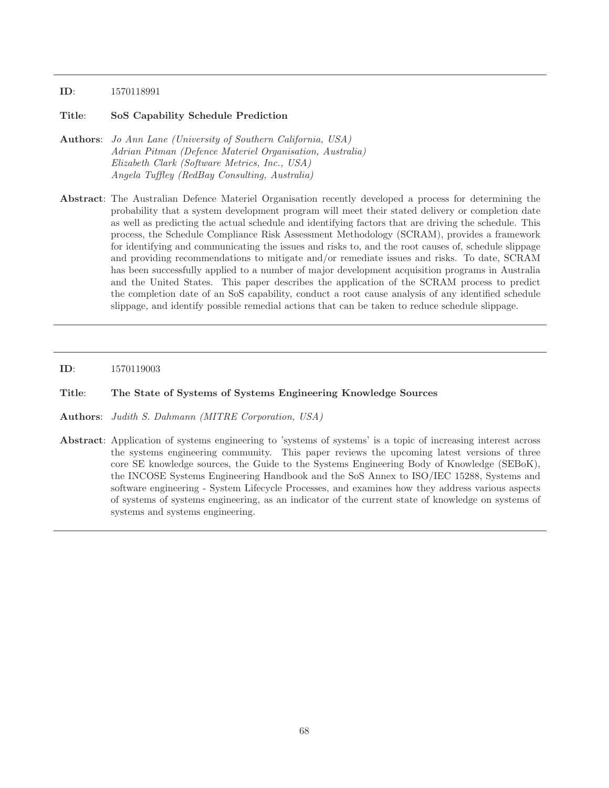#### Title: SoS Capability Schedule Prediction

- Authors: Jo Ann Lane (University of Southern California, USA) Adrian Pitman (Defence Materiel Organisation, Australia) Elizabeth Clark (Software Metrics, Inc., USA) Angela Tuffley (RedBay Consulting, Australia)
- Abstract: The Australian Defence Materiel Organisation recently developed a process for determining the probability that a system development program will meet their stated delivery or completion date as well as predicting the actual schedule and identifying factors that are driving the schedule. This process, the Schedule Compliance Risk Assessment Methodology (SCRAM), provides a framework for identifying and communicating the issues and risks to, and the root causes of, schedule slippage and providing recommendations to mitigate and/or remediate issues and risks. To date, SCRAM has been successfully applied to a number of major development acquisition programs in Australia and the United States. This paper describes the application of the SCRAM process to predict the completion date of an SoS capability, conduct a root cause analysis of any identified schedule slippage, and identify possible remedial actions that can be taken to reduce schedule slippage.

## ID: 1570119003

# Title: The State of Systems of Systems Engineering Knowledge Sources

- Authors: Judith S. Dahmann (MITRE Corporation, USA)
- Abstract: Application of systems engineering to 'systems of systems' is a topic of increasing interest across the systems engineering community. This paper reviews the upcoming latest versions of three core SE knowledge sources, the Guide to the Systems Engineering Body of Knowledge (SEBoK), the INCOSE Systems Engineering Handbook and the SoS Annex to ISO/IEC 15288, Systems and software engineering - System Lifecycle Processes, and examines how they address various aspects of systems of systems engineering, as an indicator of the current state of knowledge on systems of systems and systems engineering.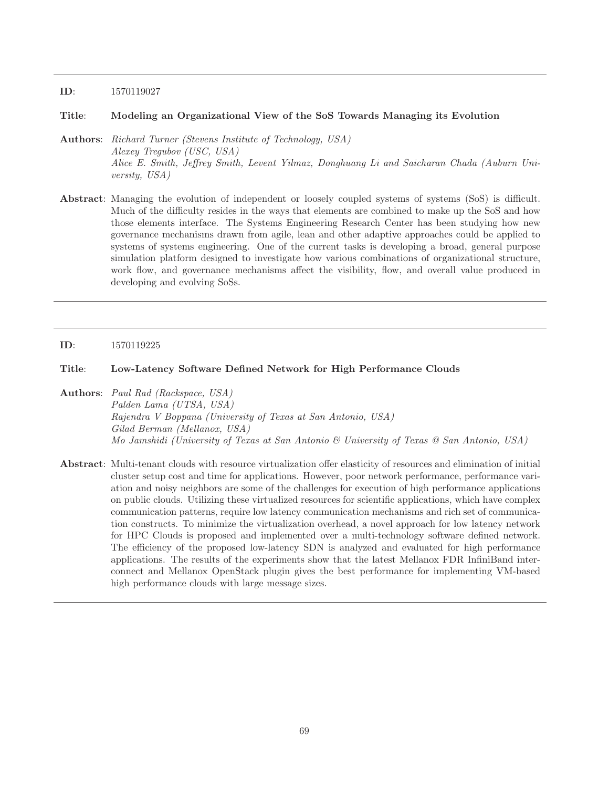#### Title: Modeling an Organizational View of the SoS Towards Managing its Evolution

- Authors: Richard Turner (Stevens Institute of Technology, USA) Alexey Tregubov (USC, USA) Alice E. Smith, Jeffrey Smith, Levent Yilmaz, Donghuang Li and Saicharan Chada (Auburn University, USA)
- Abstract: Managing the evolution of independent or loosely coupled systems of systems (SoS) is difficult. Much of the difficulty resides in the ways that elements are combined to make up the SoS and how those elements interface. The Systems Engineering Research Center has been studying how new governance mechanisms drawn from agile, lean and other adaptive approaches could be applied to systems of systems engineering. One of the current tasks is developing a broad, general purpose simulation platform designed to investigate how various combinations of organizational structure, work flow, and governance mechanisms affect the visibility, flow, and overall value produced in developing and evolving SoSs.

# ID: 1570119225

#### Title: Low-Latency Software Defined Network for High Performance Clouds

- Authors: Paul Rad (Rackspace, USA) Palden Lama (UTSA, USA) Rajendra V Boppana (University of Texas at San Antonio, USA) Gilad Berman (Mellanox, USA) Mo Jamshidi (University of Texas at San Antonio & University of Texas @ San Antonio, USA)
- Abstract: Multi-tenant clouds with resource virtualization offer elasticity of resources and elimination of initial cluster setup cost and time for applications. However, poor network performance, performance variation and noisy neighbors are some of the challenges for execution of high performance applications on public clouds. Utilizing these virtualized resources for scientific applications, which have complex communication patterns, require low latency communication mechanisms and rich set of communication constructs. To minimize the virtualization overhead, a novel approach for low latency network for HPC Clouds is proposed and implemented over a multi-technology software defined network. The efficiency of the proposed low-latency SDN is analyzed and evaluated for high performance applications. The results of the experiments show that the latest Mellanox FDR InfiniBand interconnect and Mellanox OpenStack plugin gives the best performance for implementing VM-based high performance clouds with large message sizes.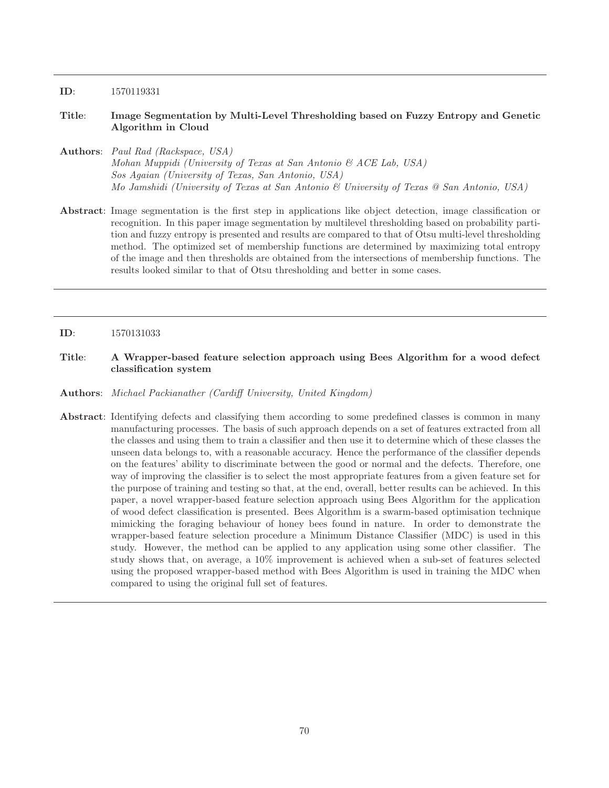# Title: Image Segmentation by Multi-Level Thresholding based on Fuzzy Entropy and Genetic Algorithm in Cloud

- Authors: Paul Rad (Rackspace, USA) Mohan Muppidi (University of Texas at San Antonio  $\mathcal{B}$  ACE Lab, USA) Sos Agaian (University of Texas, San Antonio, USA) Mo Jamshidi (University of Texas at San Antonio & University of Texas @ San Antonio, USA)
- Abstract: Image segmentation is the first step in applications like object detection, image classification or recognition. In this paper image segmentation by multilevel thresholding based on probability partition and fuzzy entropy is presented and results are compared to that of Otsu multi-level thresholding method. The optimized set of membership functions are determined by maximizing total entropy of the image and then thresholds are obtained from the intersections of membership functions. The results looked similar to that of Otsu thresholding and better in some cases.

#### ID: 1570131033

## Title: A Wrapper-based feature selection approach using Bees Algorithm for a wood defect classification system

- Authors: Michael Packianather (Cardiff University, United Kingdom)
- Abstract: Identifying defects and classifying them according to some predefined classes is common in many manufacturing processes. The basis of such approach depends on a set of features extracted from all the classes and using them to train a classifier and then use it to determine which of these classes the unseen data belongs to, with a reasonable accuracy. Hence the performance of the classifier depends on the features' ability to discriminate between the good or normal and the defects. Therefore, one way of improving the classifier is to select the most appropriate features from a given feature set for the purpose of training and testing so that, at the end, overall, better results can be achieved. In this paper, a novel wrapper-based feature selection approach using Bees Algorithm for the application of wood defect classification is presented. Bees Algorithm is a swarm-based optimisation technique mimicking the foraging behaviour of honey bees found in nature. In order to demonstrate the wrapper-based feature selection procedure a Minimum Distance Classifier (MDC) is used in this study. However, the method can be applied to any application using some other classifier. The study shows that, on average, a 10% improvement is achieved when a sub-set of features selected using the proposed wrapper-based method with Bees Algorithm is used in training the MDC when compared to using the original full set of features.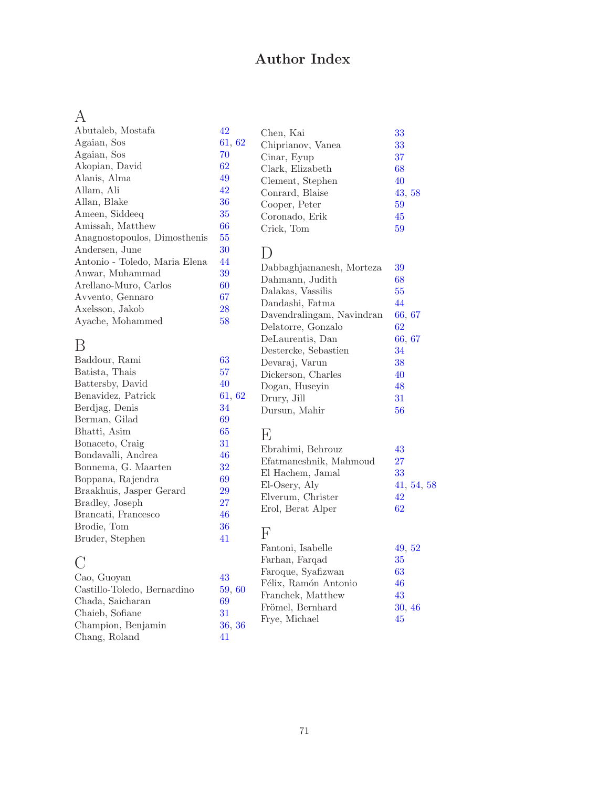# Author Index

# A

| Abutaleb, Mostafa             | 42     |
|-------------------------------|--------|
| Agaian, Sos                   | 61,    |
| Agaian, Sos                   | 70     |
| Akopian, David                | 62     |
| Alanis, Alma                  | 49     |
| Allam, Ali                    | 42     |
| Allan, Blake                  | 36     |
| Ameen, Siddeeq                | 35     |
| Amissah, Matthew              | 66     |
| Anagnostopoulos, Dimosthenis  | 55     |
| Andersen, June                | 30     |
| Antonio - Toledo, Maria Elena | 44     |
| Anwar, Muhammad               | 39     |
| Arellano-Muro, Carlos         | 60     |
| Avvento, Gennaro              | 67     |
| Axelsson, Jakob               | $28\,$ |
| Ayache, Mohammed              | 58     |
|                               |        |

# B

| Baddour, Rami            | 63  |
|--------------------------|-----|
| Batista, Thais           | 57  |
| Battersby, David         | 40  |
| Benavidez, Patrick       | 61, |
| Berdjag, Denis           | 34  |
| Berman, Gilad            | 69  |
| Bhatti, Asim             | 65  |
| Bonaceto, Craig          | 31  |
| Bondavalli, Andrea       | 46  |
| Bonnema, G. Maarten      | 32  |
| Boppana, Rajendra        | 69  |
| Braakhuis, Jasper Gerard | 29  |
| Bradley, Joseph          | 27  |
| Brancati, Francesco      | 46  |
| Brodie, Tom              | 36  |
| Bruder, Stephen          | 41  |
|                          |     |

 $\frac{61}{34}$ 

# C

| Cao, Guovan                 | 43     |
|-----------------------------|--------|
| Castillo-Toledo, Bernardino | 59,60  |
| Chada, Saicharan            | 69     |
| Chaieb, Sofiane             | 31     |
| Champion, Benjamin          | 36, 36 |
| Chang, Roland               | 41     |

|                 | Chen, Kai                 | 33         |
|-----------------|---------------------------|------------|
| $\overline{62}$ | Chiprianov, Vanea         | 33         |
|                 | Cinar, Eyup               | 37         |
|                 | Clark, Elizabeth          | 68         |
|                 | Clement, Stephen          | 40         |
|                 | Conrard, Blaise           | 43, 58     |
|                 | Cooper, Peter             | 59         |
|                 | Coronado, Erik            | 45         |
|                 | Crick, Tom                | $59\,$     |
|                 | $\vert$ )                 |            |
|                 | Dabbaghjamanesh, Morteza  | 39         |
|                 | Dahmann, Judith           | 68         |
|                 | Dalakas, Vassilis         | 55         |
|                 | Dandashi, Fatma           | 44         |
|                 | Davendralingam, Navindran | 66, 67     |
|                 | Delatorre, Gonzalo        | 62         |
|                 | DeLaurentis, Dan          | 66, 67     |
|                 | Destercke, Sebastien      | 34         |
|                 | Devaraj, Varun            | 38         |
|                 | Dickerson, Charles        | 40         |
|                 | Dogan, Huseyin            | 48         |
| $\red{62}$      | Drury, Jill               | 31         |
|                 | Dursun, Mahir             | $56\,$     |
|                 | Е                         |            |
|                 | Ebrahimi, Behrouz         | 43         |
|                 | Efatmaneshnik, Mahmoud    | 27         |
|                 | El Hachem, Jamal          | 33         |
|                 | El-Osery, Aly             | 41, 54, 58 |
|                 | Elverum, Christer         | 42         |
|                 | Erol, Berat Alper         | 62         |
|                 | $\mathbf{F}$              |            |
|                 | Fantoni, Isabelle         | 49, 52     |
|                 | Farhan, Farqad            | 35         |
|                 | Faroque, Syafizwan        | 63         |
|                 | Félix, Ramón Antonio      | 46         |
| 60              | Franchek, Matthew         | 43         |
|                 | Frömel, Bernhard          | 30, 46     |
|                 | Frye, Michael             | 45         |
| 36              |                           |            |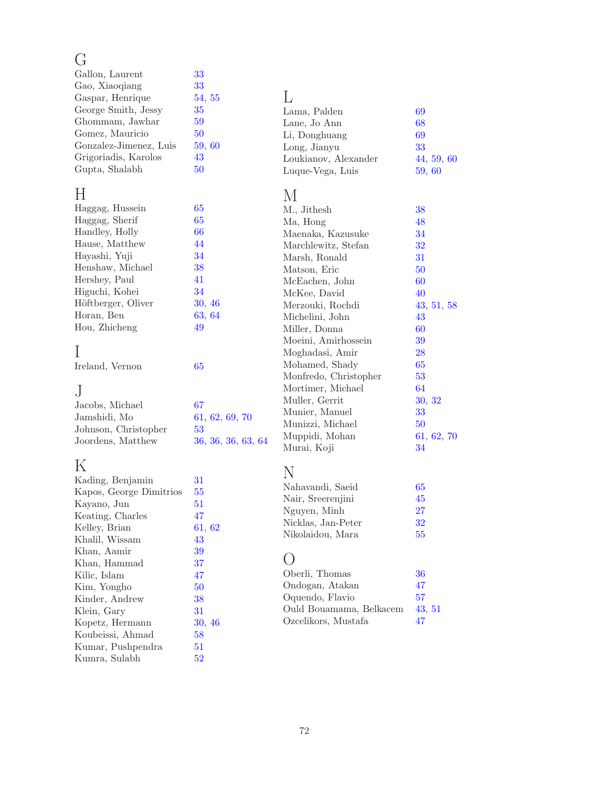# G

Kumar, Pushpendra  $51$ <br>Kumra, Sulabh  $52$ 

Kumra, Sulabh

| Gallon, Laurent         | $33\,$             |                         |            |
|-------------------------|--------------------|-------------------------|------------|
| Gao, Xiaoqiang          | 33                 |                         |            |
| Gaspar, Henrique        | 54, 55             | L                       |            |
| George Smith, Jessy     | 35                 | Lama, Palden            | 69         |
| Ghommam, Jawhar         | 59                 | Lane, Jo Ann            | 68         |
| Gomez, Mauricio         | 50                 | Li, Donghuang           | 69         |
| Gonzalez-Jimenez, Luis  | 59, 60             | Long, Jianyu            | 33         |
| Grigoriadis, Karolos    | 43                 | Loukianov, Alexander    | 44, 59, 60 |
| Gupta, Shalabh          | $50\,$             | Luque-Vega, Luis        | 59,60      |
| Н                       |                    | M                       |            |
|                         |                    |                         |            |
| Haggag, Hussein         | 65                 | M., Jithesh             | 38         |
| Haggag, Sherif          | 65                 | Ma, Hong                | 48         |
| Handley, Holly          | 66                 | Maenaka, Kazusuke       | 34         |
| Hause, Matthew          | 44                 | Marchlewitz, Stefan     | 32         |
| Hayashi, Yuji           | 34                 | Marsh, Ronald           | 31         |
| Henshaw, Michael        | 38                 | Matson, Eric            | 50         |
| Hershey, Paul           | 41                 | McEachen, John          | 60         |
| Higuchi, Kohei          | 34                 | McKee, David            | 40         |
| Höftberger, Oliver      | 30, 46             | Merzouki, Rochdi        | 43, 51, 58 |
| Horan, Ben              | 63, 64             | Michelini, John         | 43         |
| Hou, Zhicheng           | 49                 | Miller, Donna           | 60         |
|                         |                    | Moeini, Amirhossein     | 39         |
| I                       |                    | Moghadasi, Amir         | 28         |
| Ireland, Vernon         | 65                 | Mohamed, Shady          | 65         |
|                         |                    | Monfredo, Christopher   | 53         |
| J                       |                    | Mortimer, Michael       | 64         |
|                         |                    | Muller, Gerrit          | 30, 32     |
| Jacobs, Michael         | 67                 | Munier, Manuel          | 33         |
| Jamshidi, Mo            | 61, 62, 69, 70     | Munizzi, Michael        | 50         |
| Johnson, Christopher    | 53                 | Muppidi, Mohan          | 61, 62, 70 |
| Joordens, Matthew       | 36, 36, 36, 63, 64 | Murai, Koji             | 34         |
| K                       |                    |                         |            |
| Kading, Benjamin        | $31\,$             | N                       |            |
| Kapos, George Dimitrios | 55                 | Nahavandi, Saeid        | 65         |
| Kayano, Jun             | $^{51}$            | Nair, Sreerenjini       | 45         |
| Keating, Charles        | 47                 | Nguyen, Minh            | $27\,$     |
| Kelley, Brian           | 61, 62             | Nicklas, Jan-Peter      | 32         |
| Khalil, Wissam          | 43                 | Nikolaidou, Mara        | 55         |
| Khan, Aamir             | 39                 |                         |            |
| Khan, Hammad            | 37                 | ( )                     |            |
| Kilic, Islam            | 47                 | Oberli, Thomas          | 36         |
|                         |                    | Ondogan, Atakan         | 47         |
| Kim, Yongho             | $50\,$<br>38       | Oquendo, Flavio         | 57         |
| Kinder, Andrew          |                    | Ould Bouamama, Belkacem | 43, 51     |
| Klein, Gary             | 31                 | Ozcelikors, Mustafa     | 47         |
| Kopetz, Hermann         | 30, 46             |                         |            |
| Koubeissi, Ahmad        | 58                 |                         |            |
| Kumar, Pushpendra       | 51                 |                         |            |